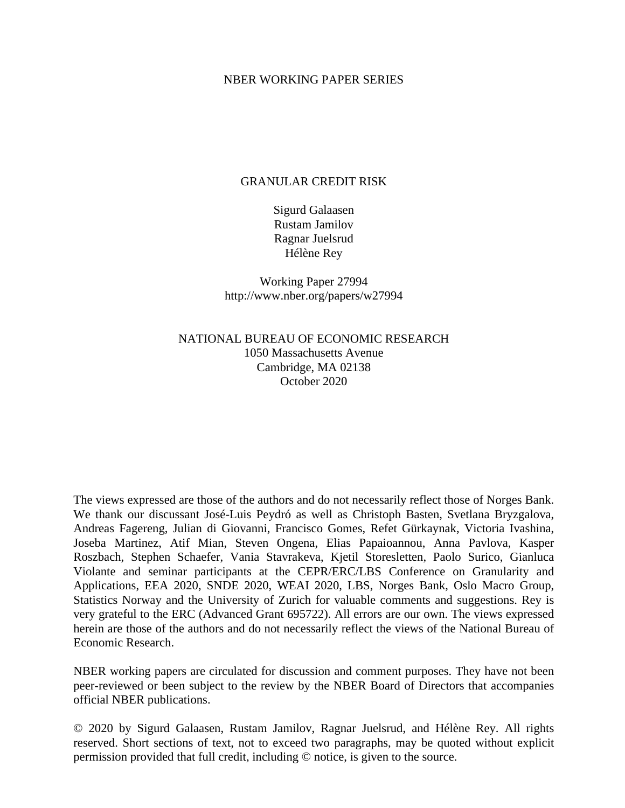### NBER WORKING PAPER SERIES

### GRANULAR CREDIT RISK

Sigurd Galaasen Rustam Jamilov Ragnar Juelsrud Hélène Rey

Working Paper 27994 http://www.nber.org/papers/w27994

NATIONAL BUREAU OF ECONOMIC RESEARCH 1050 Massachusetts Avenue Cambridge, MA 02138 October 2020

The views expressed are those of the authors and do not necessarily reflect those of Norges Bank. We thank our discussant José-Luis Peydró as well as Christoph Basten, Svetlana Bryzgalova, Andreas Fagereng, Julian di Giovanni, Francisco Gomes, Refet Gürkaynak, Victoria Ivashina, Joseba Martinez, Atif Mian, Steven Ongena, Elias Papaioannou, Anna Pavlova, Kasper Roszbach, Stephen Schaefer, Vania Stavrakeva, Kjetil Storesletten, Paolo Surico, Gianluca Violante and seminar participants at the CEPR/ERC/LBS Conference on Granularity and Applications, EEA 2020, SNDE 2020, WEAI 2020, LBS, Norges Bank, Oslo Macro Group, Statistics Norway and the University of Zurich for valuable comments and suggestions. Rey is very grateful to the ERC (Advanced Grant 695722). All errors are our own. The views expressed herein are those of the authors and do not necessarily reflect the views of the National Bureau of Economic Research.

NBER working papers are circulated for discussion and comment purposes. They have not been peer-reviewed or been subject to the review by the NBER Board of Directors that accompanies official NBER publications.

© 2020 by Sigurd Galaasen, Rustam Jamilov, Ragnar Juelsrud, and Hélène Rey. All rights reserved. Short sections of text, not to exceed two paragraphs, may be quoted without explicit permission provided that full credit, including © notice, is given to the source.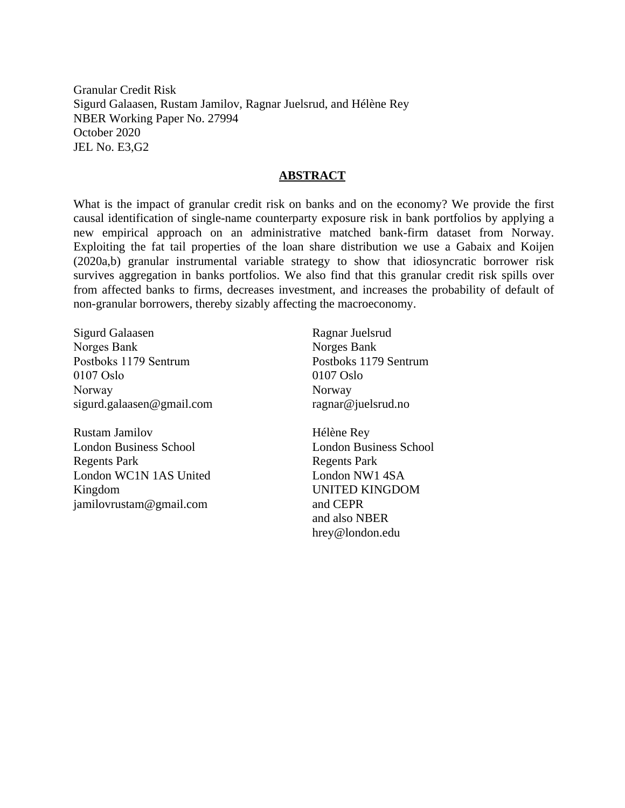Granular Credit Risk Sigurd Galaasen, Rustam Jamilov, Ragnar Juelsrud, and Hélène Rey NBER Working Paper No. 27994 October 2020 JEL No. E3,G2

### **ABSTRACT**

What is the impact of granular credit risk on banks and on the economy? We provide the first causal identification of single-name counterparty exposure risk in bank portfolios by applying a new empirical approach on an administrative matched bank-firm dataset from Norway. Exploiting the fat tail properties of the loan share distribution we use a Gabaix and Koijen (2020a,b) granular instrumental variable strategy to show that idiosyncratic borrower risk survives aggregation in banks portfolios. We also find that this granular credit risk spills over from affected banks to firms, decreases investment, and increases the probability of default of non-granular borrowers, thereby sizably affecting the macroeconomy.

Sigurd Galaasen Norges Bank Postboks 1179 Sentrum 0107 Oslo Norway sigurd.galaasen@gmail.com

Rustam Jamilov London Business School Regents Park London WC1N 1AS United Kingdom jamilovrustam@gmail.com

Ragnar Juelsrud Norges Bank Postboks 1179 Sentrum 0107 Oslo Norway ragnar@juelsrud.no

Hélène Rey London Business School Regents Park London NW1 4SA UNITED KINGDOM and CEPR and also NBER hrey@london.edu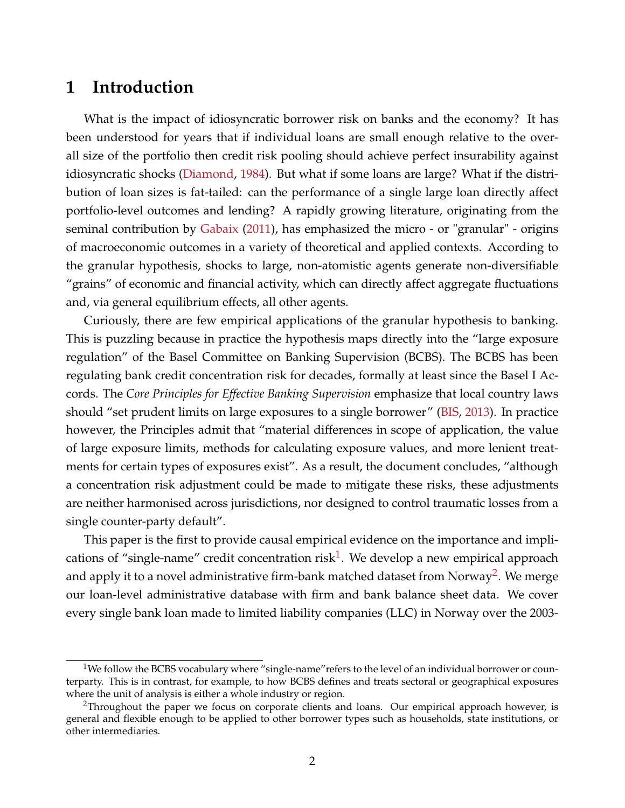# **1 Introduction**

What is the impact of idiosyncratic borrower risk on banks and the economy? It has been understood for years that if individual loans are small enough relative to the overall size of the portfolio then credit risk pooling should achieve perfect insurability against idiosyncratic shocks [\(Diamond,](#page-47-0) [1984\)](#page-47-0). But what if some loans are large? What if the distribution of loan sizes is fat-tailed: can the performance of a single large loan directly affect portfolio-level outcomes and lending? A rapidly growing literature, originating from the seminal contribution by [Gabaix](#page-47-1) [\(2011\)](#page-47-1), has emphasized the micro - or "granular" - origins of macroeconomic outcomes in a variety of theoretical and applied contexts. According to the granular hypothesis, shocks to large, non-atomistic agents generate non-diversifiable "grains" of economic and financial activity, which can directly affect aggregate fluctuations and, via general equilibrium effects, all other agents.

Curiously, there are few empirical applications of the granular hypothesis to banking. This is puzzling because in practice the hypothesis maps directly into the "large exposure regulation" of the Basel Committee on Banking Supervision (BCBS). The BCBS has been regulating bank credit concentration risk for decades, formally at least since the Basel I Accords. The *Core Principles for Effective Banking Supervision* emphasize that local country laws should "set prudent limits on large exposures to a single borrower" [\(BIS,](#page-46-0) [2013\)](#page-46-0). In practice however, the Principles admit that "material differences in scope of application, the value of large exposure limits, methods for calculating exposure values, and more lenient treatments for certain types of exposures exist". As a result, the document concludes, "although a concentration risk adjustment could be made to mitigate these risks, these adjustments are neither harmonised across jurisdictions, nor designed to control traumatic losses from a single counter-party default".

This paper is the first to provide causal empirical evidence on the importance and impli-cations of "single-name" credit concentration risk<sup>[1](#page--1-0)</sup>. We develop a new empirical approach and apply it to a novel administrative firm-bank matched dataset from Norway<sup>[2](#page--1-0)</sup>. We merge our loan-level administrative database with firm and bank balance sheet data. We cover every single bank loan made to limited liability companies (LLC) in Norway over the 2003-

<sup>&</sup>lt;sup>1</sup>We follow the BCBS vocabulary where "single-name" refers to the level of an individual borrower or counterparty. This is in contrast, for example, to how BCBS defines and treats sectoral or geographical exposures where the unit of analysis is either a whole industry or region.

<sup>&</sup>lt;sup>2</sup>Throughout the paper we focus on corporate clients and loans. Our empirical approach however, is general and flexible enough to be applied to other borrower types such as households, state institutions, or other intermediaries.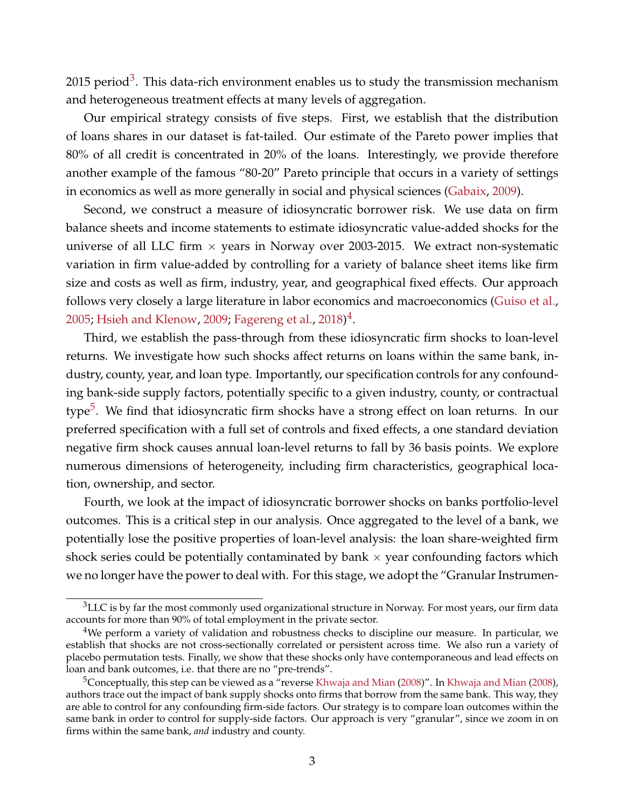2015 period<sup>[3](#page--1-0)</sup>. This data-rich environment enables us to study the transmission mechanism and heterogeneous treatment effects at many levels of aggregation.

Our empirical strategy consists of five steps. First, we establish that the distribution of loans shares in our dataset is fat-tailed. Our estimate of the Pareto power implies that 80% of all credit is concentrated in 20% of the loans. Interestingly, we provide therefore another example of the famous "80-20" Pareto principle that occurs in a variety of settings in economics as well as more generally in social and physical sciences [\(Gabaix,](#page-47-2) [2009\)](#page-47-2).

Second, we construct a measure of idiosyncratic borrower risk. We use data on firm balance sheets and income statements to estimate idiosyncratic value-added shocks for the universe of all LLC firm  $\times$  years in Norway over 2003-2015. We extract non-systematic variation in firm value-added by controlling for a variety of balance sheet items like firm size and costs as well as firm, industry, year, and geographical fixed effects. Our approach follows very closely a large literature in labor economics and macroeconomics [\(Guiso et al.,](#page-47-3) [2005;](#page-47-3) [Hsieh and Klenow,](#page-47-4) [2009;](#page-47-4) [Fagereng et al.,](#page-47-5) [2018\)](#page-47-5) $^4$  $^4$ .

Third, we establish the pass-through from these idiosyncratic firm shocks to loan-level returns. We investigate how such shocks affect returns on loans within the same bank, industry, county, year, and loan type. Importantly, our specification controls for any confounding bank-side supply factors, potentially specific to a given industry, county, or contractual type<sup>[5](#page--1-0)</sup>. We find that idiosyncratic firm shocks have a strong effect on loan returns. In our preferred specification with a full set of controls and fixed effects, a one standard deviation negative firm shock causes annual loan-level returns to fall by 36 basis points. We explore numerous dimensions of heterogeneity, including firm characteristics, geographical location, ownership, and sector.

Fourth, we look at the impact of idiosyncratic borrower shocks on banks portfolio-level outcomes. This is a critical step in our analysis. Once aggregated to the level of a bank, we potentially lose the positive properties of loan-level analysis: the loan share-weighted firm shock series could be potentially contaminated by bank  $\times$  year confounding factors which we no longer have the power to deal with. For this stage, we adopt the "Granular Instrumen-

 $3$ LLC is by far the most commonly used organizational structure in Norway. For most years, our firm data accounts for more than 90% of total employment in the private sector.

<sup>&</sup>lt;sup>4</sup>We perform a variety of validation and robustness checks to discipline our measure. In particular, we establish that shocks are not cross-sectionally correlated or persistent across time. We also run a variety of placebo permutation tests. Finally, we show that these shocks only have contemporaneous and lead effects on loan and bank outcomes, i.e. that there are no "pre-trends".

<sup>5</sup>Conceptually, this step can be viewed as a "reverse [Khwaja and Mian](#page-47-6) [\(2008\)](#page-47-6)". In [Khwaja and Mian](#page-47-6) [\(2008\)](#page-47-6), authors trace out the impact of bank supply shocks onto firms that borrow from the same bank. This way, they are able to control for any confounding firm-side factors. Our strategy is to compare loan outcomes within the same bank in order to control for supply-side factors. Our approach is very "granular", since we zoom in on firms within the same bank, *and* industry and county.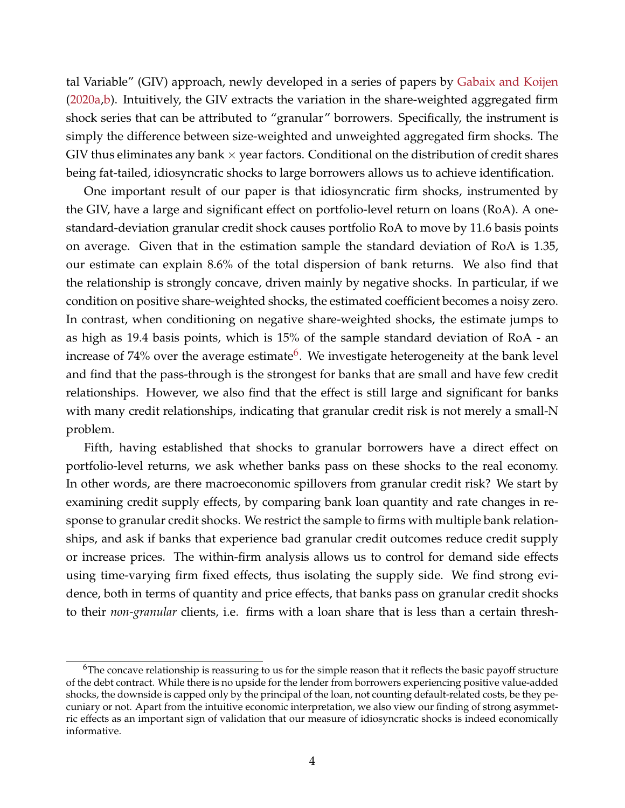tal Variable" (GIV) approach, newly developed in a series of papers by [Gabaix and Koijen](#page-47-7) [\(2020a,](#page-47-7)[b\)](#page-47-8). Intuitively, the GIV extracts the variation in the share-weighted aggregated firm shock series that can be attributed to "granular" borrowers. Specifically, the instrument is simply the difference between size-weighted and unweighted aggregated firm shocks. The GIV thus eliminates any bank  $\times$  year factors. Conditional on the distribution of credit shares being fat-tailed, idiosyncratic shocks to large borrowers allows us to achieve identification.

One important result of our paper is that idiosyncratic firm shocks, instrumented by the GIV, have a large and significant effect on portfolio-level return on loans (RoA). A onestandard-deviation granular credit shock causes portfolio RoA to move by 11.6 basis points on average. Given that in the estimation sample the standard deviation of RoA is 1.35, our estimate can explain 8.6% of the total dispersion of bank returns. We also find that the relationship is strongly concave, driven mainly by negative shocks. In particular, if we condition on positive share-weighted shocks, the estimated coefficient becomes a noisy zero. In contrast, when conditioning on negative share-weighted shocks, the estimate jumps to as high as 19.4 basis points, which is 15% of the sample standard deviation of RoA - an increase of 74% over the average estimate<sup>[6](#page--1-0)</sup>. We investigate heterogeneity at the bank level and find that the pass-through is the strongest for banks that are small and have few credit relationships. However, we also find that the effect is still large and significant for banks with many credit relationships, indicating that granular credit risk is not merely a small-N problem.

Fifth, having established that shocks to granular borrowers have a direct effect on portfolio-level returns, we ask whether banks pass on these shocks to the real economy. In other words, are there macroeconomic spillovers from granular credit risk? We start by examining credit supply effects, by comparing bank loan quantity and rate changes in response to granular credit shocks. We restrict the sample to firms with multiple bank relationships, and ask if banks that experience bad granular credit outcomes reduce credit supply or increase prices. The within-firm analysis allows us to control for demand side effects using time-varying firm fixed effects, thus isolating the supply side. We find strong evidence, both in terms of quantity and price effects, that banks pass on granular credit shocks to their *non-granular* clients, i.e. firms with a loan share that is less than a certain thresh-

 $6$ The concave relationship is reassuring to us for the simple reason that it reflects the basic payoff structure of the debt contract. While there is no upside for the lender from borrowers experiencing positive value-added shocks, the downside is capped only by the principal of the loan, not counting default-related costs, be they pecuniary or not. Apart from the intuitive economic interpretation, we also view our finding of strong asymmetric effects as an important sign of validation that our measure of idiosyncratic shocks is indeed economically informative.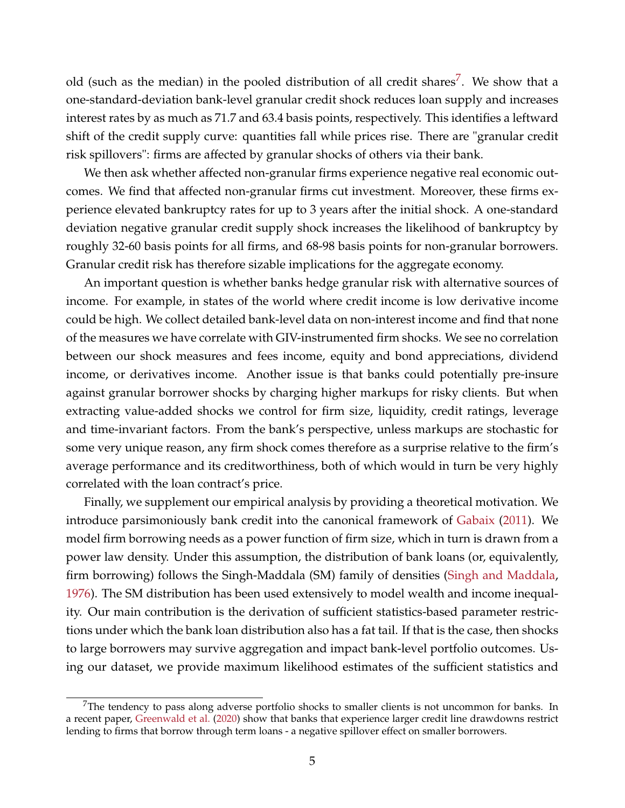old (such as the median) in the pooled distribution of all credit shares<sup>[7](#page--1-0)</sup>. We show that a one-standard-deviation bank-level granular credit shock reduces loan supply and increases interest rates by as much as 71.7 and 63.4 basis points, respectively. This identifies a leftward shift of the credit supply curve: quantities fall while prices rise. There are "granular credit risk spillovers": firms are affected by granular shocks of others via their bank.

We then ask whether affected non-granular firms experience negative real economic outcomes. We find that affected non-granular firms cut investment. Moreover, these firms experience elevated bankruptcy rates for up to 3 years after the initial shock. A one-standard deviation negative granular credit supply shock increases the likelihood of bankruptcy by roughly 32-60 basis points for all firms, and 68-98 basis points for non-granular borrowers. Granular credit risk has therefore sizable implications for the aggregate economy.

An important question is whether banks hedge granular risk with alternative sources of income. For example, in states of the world where credit income is low derivative income could be high. We collect detailed bank-level data on non-interest income and find that none of the measures we have correlate with GIV-instrumented firm shocks. We see no correlation between our shock measures and fees income, equity and bond appreciations, dividend income, or derivatives income. Another issue is that banks could potentially pre-insure against granular borrower shocks by charging higher markups for risky clients. But when extracting value-added shocks we control for firm size, liquidity, credit ratings, leverage and time-invariant factors. From the bank's perspective, unless markups are stochastic for some very unique reason, any firm shock comes therefore as a surprise relative to the firm's average performance and its creditworthiness, both of which would in turn be very highly correlated with the loan contract's price.

Finally, we supplement our empirical analysis by providing a theoretical motivation. We introduce parsimoniously bank credit into the canonical framework of [Gabaix](#page-47-1) [\(2011\)](#page-47-1). We model firm borrowing needs as a power function of firm size, which in turn is drawn from a power law density. Under this assumption, the distribution of bank loans (or, equivalently, firm borrowing) follows the Singh-Maddala (SM) family of densities [\(Singh and Maddala,](#page-48-0) [1976\)](#page-48-0). The SM distribution has been used extensively to model wealth and income inequality. Our main contribution is the derivation of sufficient statistics-based parameter restrictions under which the bank loan distribution also has a fat tail. If that is the case, then shocks to large borrowers may survive aggregation and impact bank-level portfolio outcomes. Using our dataset, we provide maximum likelihood estimates of the sufficient statistics and

 $7$ The tendency to pass along adverse portfolio shocks to smaller clients is not uncommon for banks. In a recent paper, [Greenwald et al.](#page-47-9) [\(2020\)](#page-47-9) show that banks that experience larger credit line drawdowns restrict lending to firms that borrow through term loans - a negative spillover effect on smaller borrowers.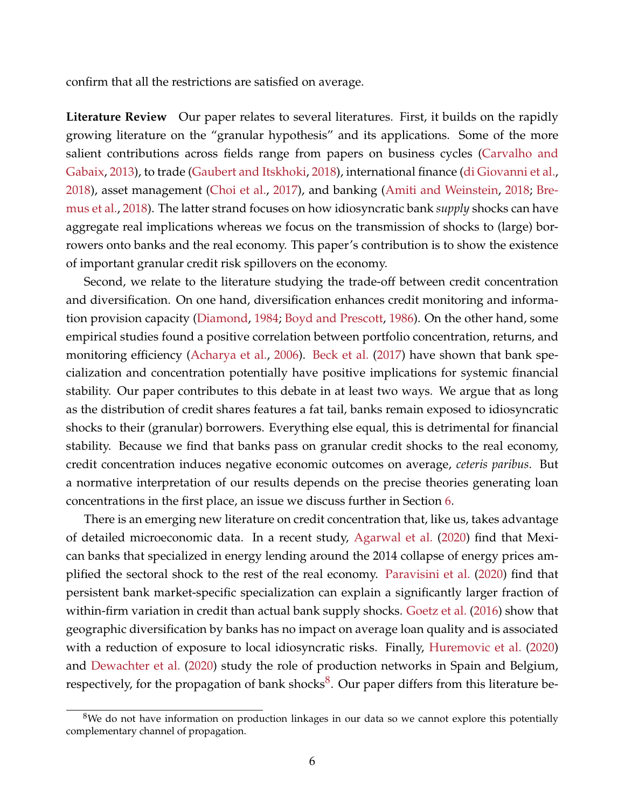confirm that all the restrictions are satisfied on average.

**Literature Review** Our paper relates to several literatures. First, it builds on the rapidly growing literature on the "granular hypothesis" and its applications. Some of the more salient contributions across fields range from papers on business cycles [\(Carvalho and](#page-46-1) [Gabaix,](#page-46-1) [2013\)](#page-46-1), to trade [\(Gaubert and Itskhoki,](#page-47-10) [2018\)](#page-47-10), international finance [\(di Giovanni et al.,](#page-47-11) [2018\)](#page-47-11), asset management [\(Choi et al.,](#page-46-2) [2017\)](#page-46-2), and banking [\(Amiti and Weinstein,](#page-46-3) [2018;](#page-46-3) [Bre](#page-46-4)[mus et al.,](#page-46-4) [2018\)](#page-46-4). The latter strand focuses on how idiosyncratic bank *supply* shocks can have aggregate real implications whereas we focus on the transmission of shocks to (large) borrowers onto banks and the real economy. This paper's contribution is to show the existence of important granular credit risk spillovers on the economy.

Second, we relate to the literature studying the trade-off between credit concentration and diversification. On one hand, diversification enhances credit monitoring and information provision capacity [\(Diamond,](#page-47-0) [1984;](#page-47-0) [Boyd and Prescott,](#page-46-5) [1986\)](#page-46-5). On the other hand, some empirical studies found a positive correlation between portfolio concentration, returns, and monitoring efficiency [\(Acharya et al.,](#page-46-6) [2006\)](#page-46-6). [Beck et al.](#page-46-7) [\(2017\)](#page-46-7) have shown that bank specialization and concentration potentially have positive implications for systemic financial stability. Our paper contributes to this debate in at least two ways. We argue that as long as the distribution of credit shares features a fat tail, banks remain exposed to idiosyncratic shocks to their (granular) borrowers. Everything else equal, this is detrimental for financial stability. Because we find that banks pass on granular credit shocks to the real economy, credit concentration induces negative economic outcomes on average, *ceteris paribus*. But a normative interpretation of our results depends on the precise theories generating loan concentrations in the first place, an issue we discuss further in Section [6.](#page-36-0)

There is an emerging new literature on credit concentration that, like us, takes advantage of detailed microeconomic data. In a recent study, [Agarwal et al.](#page-46-8) [\(2020\)](#page-46-8) find that Mexican banks that specialized in energy lending around the 2014 collapse of energy prices amplified the sectoral shock to the rest of the real economy. [Paravisini et al.](#page-48-1) [\(2020\)](#page-48-1) find that persistent bank market-specific specialization can explain a significantly larger fraction of within-firm variation in credit than actual bank supply shocks. [Goetz et al.](#page-47-12) [\(2016\)](#page-47-12) show that geographic diversification by banks has no impact on average loan quality and is associated with a reduction of exposure to local idiosyncratic risks. Finally, [Huremovic et al.](#page-47-13) [\(2020\)](#page-47-13) and [Dewachter et al.](#page-46-9) [\(2020\)](#page-46-9) study the role of production networks in Spain and Belgium, respectively, for the propagation of bank shocks<sup>[8](#page--1-0)</sup>. Our paper differs from this literature be-

 $8$ We do not have information on production linkages in our data so we cannot explore this potentially complementary channel of propagation.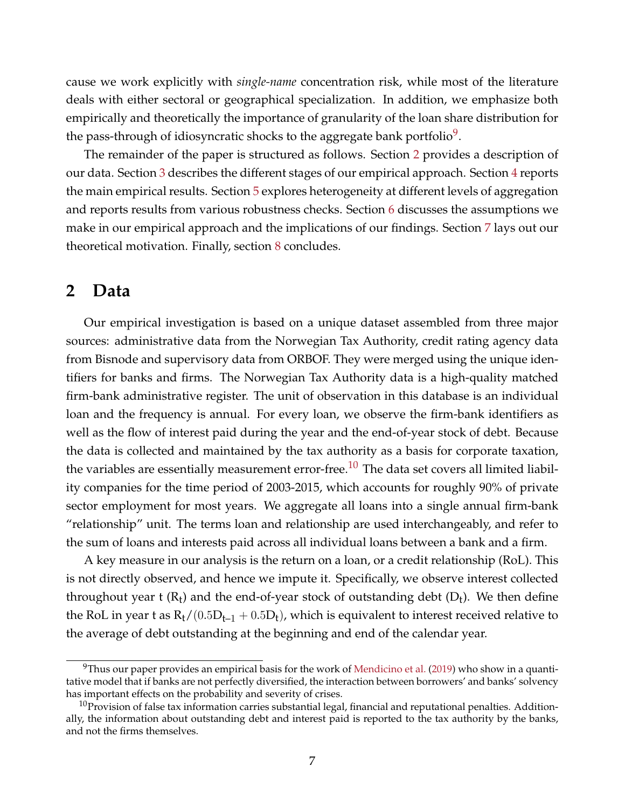cause we work explicitly with *single-name* concentration risk, while most of the literature deals with either sectoral or geographical specialization. In addition, we emphasize both empirically and theoretically the importance of granularity of the loan share distribution for the pass-through of idiosyncratic shocks to the aggregate bank portfolio $^9$  $^9$ .

The remainder of the paper is structured as follows. Section [2](#page-7-0) provides a description of our data. Section [3](#page-10-0) describes the different stages of our empirical approach. Section [4](#page-18-0) reports the main empirical results. Section [5](#page-31-0) explores heterogeneity at different levels of aggregation and reports results from various robustness checks. Section [6](#page-36-0) discusses the assumptions we make in our empirical approach and the implications of our findings. Section [7](#page-40-0) lays out our theoretical motivation. Finally, section [8](#page-44-0) concludes.

# <span id="page-7-0"></span>**2 Data**

Our empirical investigation is based on a unique dataset assembled from three major sources: administrative data from the Norwegian Tax Authority, credit rating agency data from Bisnode and supervisory data from ORBOF. They were merged using the unique identifiers for banks and firms. The Norwegian Tax Authority data is a high-quality matched firm-bank administrative register. The unit of observation in this database is an individual loan and the frequency is annual. For every loan, we observe the firm-bank identifiers as well as the flow of interest paid during the year and the end-of-year stock of debt. Because the data is collected and maintained by the tax authority as a basis for corporate taxation, the variables are essentially measurement error-free.<sup>[10](#page--1-0)</sup> The data set covers all limited liability companies for the time period of 2003-2015, which accounts for roughly 90% of private sector employment for most years. We aggregate all loans into a single annual firm-bank "relationship" unit. The terms loan and relationship are used interchangeably, and refer to the sum of loans and interests paid across all individual loans between a bank and a firm.

A key measure in our analysis is the return on a loan, or a credit relationship (RoL). This is not directly observed, and hence we impute it. Specifically, we observe interest collected throughout year t  $(R_t)$  and the end-of-year stock of outstanding debt  $(D_t)$ . We then define the RoL in year t as  $R_t/(0.5D_{t-1} + 0.5D_t)$ , which is equivalent to interest received relative to the average of debt outstanding at the beginning and end of the calendar year.

 $^{9}$ Thus our paper provides an empirical basis for the work of [Mendicino et al.](#page-48-2) [\(2019\)](#page-48-2) who show in a quantitative model that if banks are not perfectly diversified, the interaction between borrowers' and banks' solvency has important effects on the probability and severity of crises.

 $10$ Provision of false tax information carries substantial legal, financial and reputational penalties. Additionally, the information about outstanding debt and interest paid is reported to the tax authority by the banks, and not the firms themselves.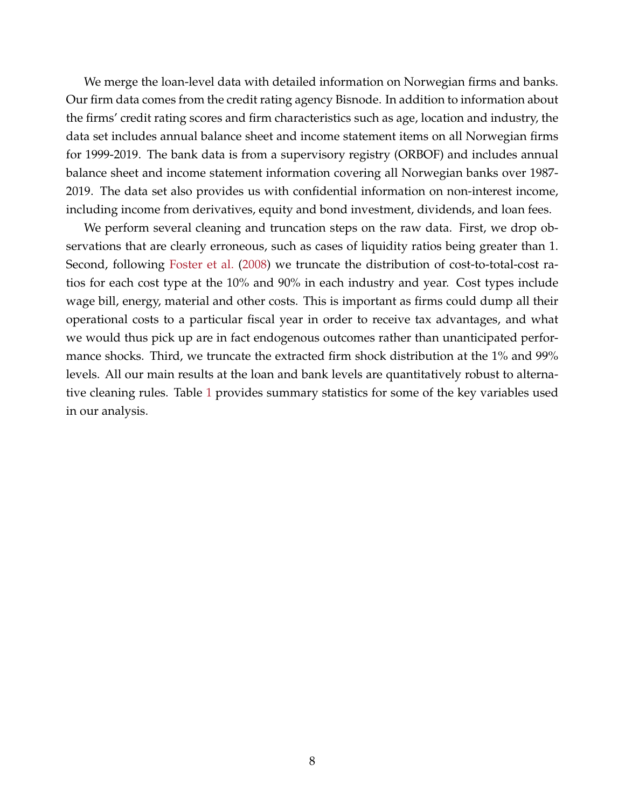We merge the loan-level data with detailed information on Norwegian firms and banks. Our firm data comes from the credit rating agency Bisnode. In addition to information about the firms' credit rating scores and firm characteristics such as age, location and industry, the data set includes annual balance sheet and income statement items on all Norwegian firms for 1999-2019. The bank data is from a supervisory registry (ORBOF) and includes annual balance sheet and income statement information covering all Norwegian banks over 1987- 2019. The data set also provides us with confidential information on non-interest income, including income from derivatives, equity and bond investment, dividends, and loan fees.

We perform several cleaning and truncation steps on the raw data. First, we drop observations that are clearly erroneous, such as cases of liquidity ratios being greater than 1. Second, following [Foster et al.](#page-47-14) [\(2008\)](#page-47-14) we truncate the distribution of cost-to-total-cost ratios for each cost type at the 10% and 90% in each industry and year. Cost types include wage bill, energy, material and other costs. This is important as firms could dump all their operational costs to a particular fiscal year in order to receive tax advantages, and what we would thus pick up are in fact endogenous outcomes rather than unanticipated performance shocks. Third, we truncate the extracted firm shock distribution at the 1% and 99% levels. All our main results at the loan and bank levels are quantitatively robust to alternative cleaning rules. Table [1](#page-9-0) provides summary statistics for some of the key variables used in our analysis.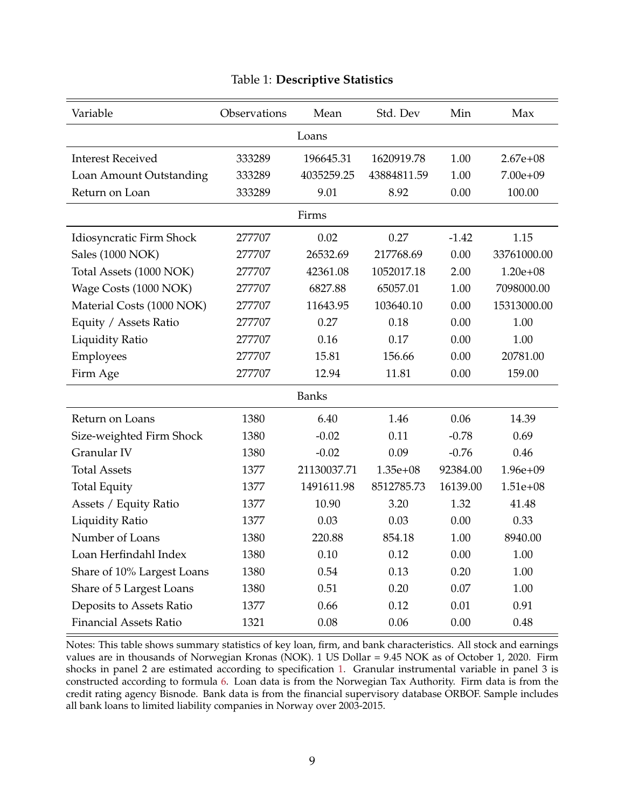<span id="page-9-0"></span>

| Variable                      | Observations | Mean         | Std. Dev    | Min      | Max          |  |  |  |  |
|-------------------------------|--------------|--------------|-------------|----------|--------------|--|--|--|--|
|                               |              | Loans        |             |          |              |  |  |  |  |
| <b>Interest Received</b>      | 333289       | 196645.31    | 1620919.78  | 1.00     | $2.67e + 08$ |  |  |  |  |
| Loan Amount Outstanding       | 333289       | 4035259.25   | 43884811.59 | 1.00     | $7.00e + 09$ |  |  |  |  |
| Return on Loan                | 333289       | 9.01         | 8.92        | 0.00     | 100.00       |  |  |  |  |
| Firms                         |              |              |             |          |              |  |  |  |  |
| Idiosyncratic Firm Shock      | 277707       | 0.02         | 0.27        | $-1.42$  | 1.15         |  |  |  |  |
| Sales (1000 NOK)              | 277707       | 26532.69     | 217768.69   | 0.00     | 33761000.00  |  |  |  |  |
| Total Assets (1000 NOK)       | 277707       | 42361.08     | 1052017.18  | 2.00     | $1.20e + 08$ |  |  |  |  |
| Wage Costs (1000 NOK)         | 277707       | 6827.88      | 65057.01    | 1.00     | 7098000.00   |  |  |  |  |
| Material Costs (1000 NOK)     | 277707       | 11643.95     | 103640.10   | 0.00     | 15313000.00  |  |  |  |  |
| Equity / Assets Ratio         | 277707       | 0.27         | 0.18        | 0.00     | 1.00         |  |  |  |  |
| <b>Liquidity Ratio</b>        | 277707       | 0.16         | 0.17        | 0.00     | 1.00         |  |  |  |  |
| Employees                     | 277707       | 15.81        | 156.66      | 0.00     | 20781.00     |  |  |  |  |
| Firm Age                      | 277707       | 12.94        | 11.81       | 0.00     | 159.00       |  |  |  |  |
|                               |              | <b>Banks</b> |             |          |              |  |  |  |  |
| Return on Loans               | 1380         | 6.40         | 1.46        | 0.06     | 14.39        |  |  |  |  |
| Size-weighted Firm Shock      | 1380         | $-0.02$      | 0.11        | $-0.78$  | 0.69         |  |  |  |  |
| Granular IV                   | 1380         | $-0.02$      | 0.09        | $-0.76$  | 0.46         |  |  |  |  |
| <b>Total Assets</b>           | 1377         | 21130037.71  | $1.35e+08$  | 92384.00 | $1.96e + 09$ |  |  |  |  |
| <b>Total Equity</b>           | 1377         | 1491611.98   | 8512785.73  | 16139.00 | $1.51e + 08$ |  |  |  |  |
| Assets / Equity Ratio         | 1377         | 10.90        | 3.20        | 1.32     | 41.48        |  |  |  |  |
| <b>Liquidity Ratio</b>        | 1377         | 0.03         | 0.03        | 0.00     | 0.33         |  |  |  |  |
| Number of Loans               | 1380         | 220.88       | 854.18      | 1.00     | 8940.00      |  |  |  |  |
| Loan Herfindahl Index         | 1380         | 0.10         | 0.12        | 0.00     | 1.00         |  |  |  |  |
| Share of 10% Largest Loans    | 1380         | 0.54         | 0.13        | 0.20     | 1.00         |  |  |  |  |
| Share of 5 Largest Loans      | 1380         | 0.51         | 0.20        | 0.07     | 1.00         |  |  |  |  |
| Deposits to Assets Ratio      | 1377         | 0.66         | 0.12        | 0.01     | 0.91         |  |  |  |  |
| <b>Financial Assets Ratio</b> | 1321         | 0.08         | 0.06        | 0.00     | 0.48         |  |  |  |  |

### Table 1: **Descriptive Statistics**

Notes: This table shows summary statistics of key loan, firm, and bank characteristics. All stock and earnings values are in thousands of Norwegian Kronas (NOK). 1 US Dollar = 9.45 NOK as of October 1, 2020. Firm shocks in panel 2 are estimated according to specification [1.](#page-12-0) Granular instrumental variable in panel 3 is constructed according to formula [6.](#page-15-0) Loan data is from the Norwegian Tax Authority. Firm data is from the credit rating agency Bisnode. Bank data is from the financial supervisory database ORBOF. Sample includes all bank loans to limited liability companies in Norway over 2003-2015.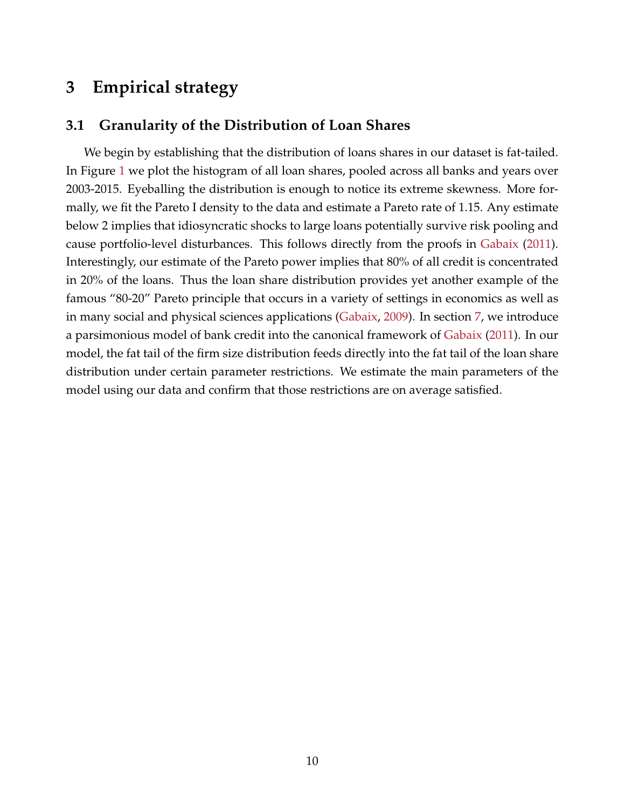# <span id="page-10-0"></span>**3 Empirical strategy**

# **3.1 Granularity of the Distribution of Loan Shares**

We begin by establishing that the distribution of loans shares in our dataset is fat-tailed. In Figure [1](#page-11-0) we plot the histogram of all loan shares, pooled across all banks and years over 2003-2015. Eyeballing the distribution is enough to notice its extreme skewness. More formally, we fit the Pareto I density to the data and estimate a Pareto rate of 1.15. Any estimate below 2 implies that idiosyncratic shocks to large loans potentially survive risk pooling and cause portfolio-level disturbances. This follows directly from the proofs in [Gabaix](#page-47-1) [\(2011\)](#page-47-1). Interestingly, our estimate of the Pareto power implies that 80% of all credit is concentrated in 20% of the loans. Thus the loan share distribution provides yet another example of the famous "80-20" Pareto principle that occurs in a variety of settings in economics as well as in many social and physical sciences applications [\(Gabaix,](#page-47-2) [2009\)](#page-47-2). In section [7,](#page-40-0) we introduce a parsimonious model of bank credit into the canonical framework of [Gabaix](#page-47-1) [\(2011\)](#page-47-1). In our model, the fat tail of the firm size distribution feeds directly into the fat tail of the loan share distribution under certain parameter restrictions. We estimate the main parameters of the model using our data and confirm that those restrictions are on average satisfied.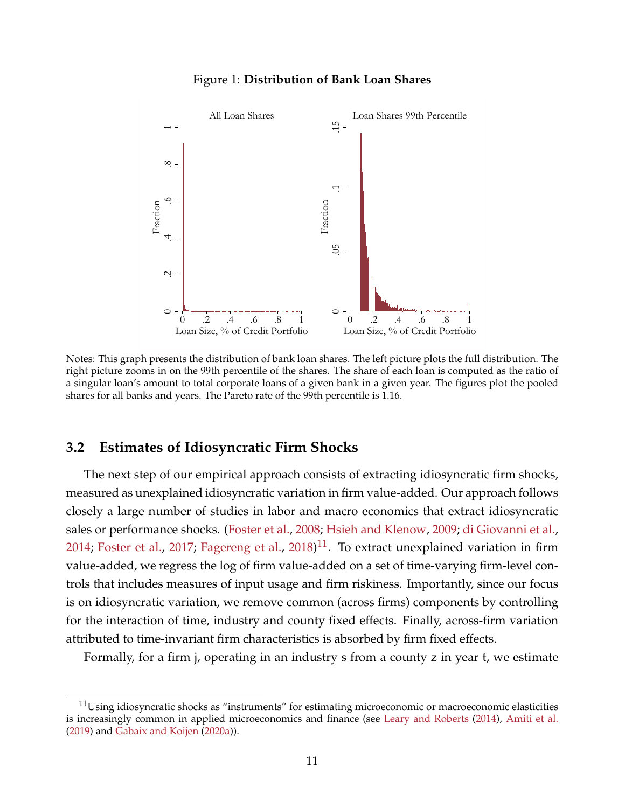<span id="page-11-0"></span>

## Figure 1: **Distribution of Bank Loan Shares**

Notes: This graph presents the distribution of bank loan shares. The left picture plots the full distribution. The right picture zooms in on the 99th percentile of the shares. The share of each loan is computed as the ratio of a singular loan's amount to total corporate loans of a given bank in a given year. The figures plot the pooled shares for all banks and years. The Pareto rate of the 99th percentile is 1.16.

# **3.2 Estimates of Idiosyncratic Firm Shocks**

The next step of our empirical approach consists of extracting idiosyncratic firm shocks, measured as unexplained idiosyncratic variation in firm value-added. Our approach follows closely a large number of studies in labor and macro economics that extract idiosyncratic sales or performance shocks. [\(Foster et al.,](#page-47-14) [2008;](#page-47-14) [Hsieh and Klenow,](#page-47-4) [2009;](#page-47-4) [di Giovanni et al.,](#page-46-10) [2014;](#page-46-10) [Foster et al.,](#page-47-15) [2017;](#page-47-15) [Fagereng et al.,](#page-47-5) [2018\)](#page-47-5)<sup>[11](#page--1-0)</sup>. To extract unexplained variation in firm value-added, we regress the log of firm value-added on a set of time-varying firm-level controls that includes measures of input usage and firm riskiness. Importantly, since our focus is on idiosyncratic variation, we remove common (across firms) components by controlling for the interaction of time, industry and county fixed effects. Finally, across-firm variation attributed to time-invariant firm characteristics is absorbed by firm fixed effects.

Formally, for a firm j, operating in an industry s from a county z in year t, we estimate

 $11$ Using idiosyncratic shocks as "instruments" for estimating microeconomic or macroeconomic elasticities is increasingly common in applied microeconomics and finance (see [Leary and Roberts](#page-47-16) [\(2014\)](#page-47-16), [Amiti et al.](#page-46-11) [\(2019\)](#page-46-11) and [Gabaix and Koijen](#page-47-7) [\(2020a\)](#page-47-7)).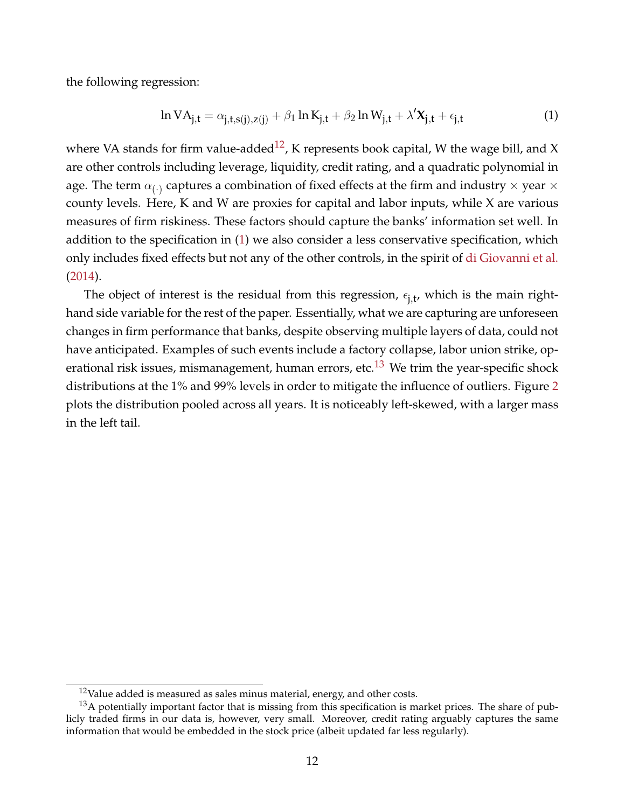the following regression:

<span id="page-12-0"></span>
$$
\ln VA_{j,t} = \alpha_{j,t,s(j),z(j)} + \beta_1 \ln K_{j,t} + \beta_2 \ln W_{j,t} + \lambda' \mathbf{X}_{j,t} + \epsilon_{j,t}
$$
(1)

where VA stands for firm value-added<sup>[12](#page--1-0)</sup>, K represents book capital, W the wage bill, and X are other controls including leverage, liquidity, credit rating, and a quadratic polynomial in age. The term  $\alpha_{(\cdot)}$  captures a combination of fixed effects at the firm and industry  $\times$  year  $\times$ county levels. Here, K and W are proxies for capital and labor inputs, while X are various measures of firm riskiness. These factors should capture the banks' information set well. In addition to the specification in [\(1\)](#page-12-0) we also consider a less conservative specification, which only includes fixed effects but not any of the other controls, in the spirit of [di Giovanni et al.](#page-46-10) [\(2014\)](#page-46-10).

The object of interest is the residual from this regression,  $\epsilon_{j,t}$ , which is the main righthand side variable for the rest of the paper. Essentially, what we are capturing are unforeseen changes in firm performance that banks, despite observing multiple layers of data, could not have anticipated. Examples of such events include a factory collapse, labor union strike, op-erational risk issues, mismanagement, human errors, etc.<sup>[13](#page--1-0)</sup> We trim the year-specific shock distributions at the 1% and 99% levels in order to mitigate the influence of outliers. Figure [2](#page-13-0) plots the distribution pooled across all years. It is noticeably left-skewed, with a larger mass in the left tail.

 $12$ Value added is measured as sales minus material, energy, and other costs.

<sup>&</sup>lt;sup>13</sup>A potentially important factor that is missing from this specification is market prices. The share of publicly traded firms in our data is, however, very small. Moreover, credit rating arguably captures the same information that would be embedded in the stock price (albeit updated far less regularly).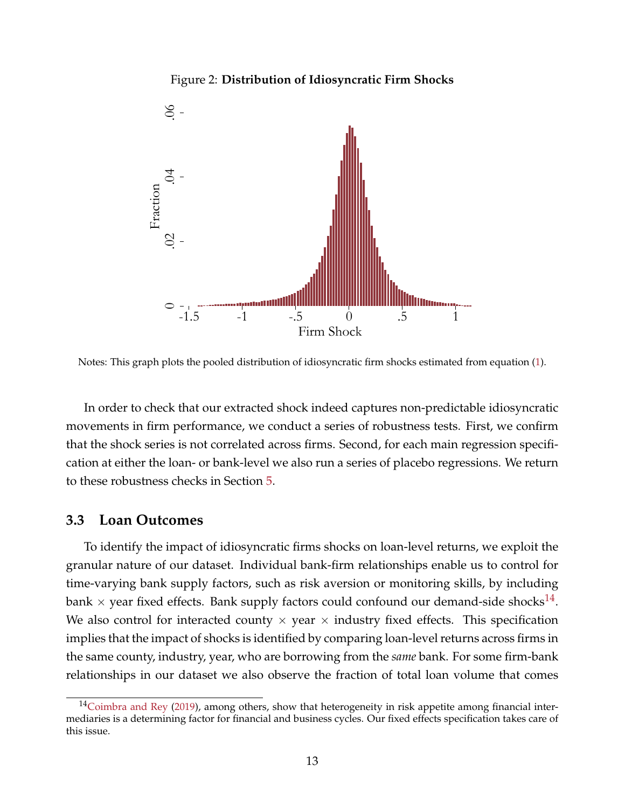### Figure 2: **Distribution of Idiosyncratic Firm Shocks**

<span id="page-13-0"></span>

Notes: This graph plots the pooled distribution of idiosyncratic firm shocks estimated from equation [\(1\)](#page-12-0).

In order to check that our extracted shock indeed captures non-predictable idiosyncratic movements in firm performance, we conduct a series of robustness tests. First, we confirm that the shock series is not correlated across firms. Second, for each main regression specification at either the loan- or bank-level we also run a series of placebo regressions. We return to these robustness checks in Section [5.](#page-31-0)

### **3.3 Loan Outcomes**

To identify the impact of idiosyncratic firms shocks on loan-level returns, we exploit the granular nature of our dataset. Individual bank-firm relationships enable us to control for time-varying bank supply factors, such as risk aversion or monitoring skills, by including bank  $\times$  year fixed effects. Bank supply factors could confound our demand-side shocks $^{14}.$  $^{14}.$  $^{14}.$ We also control for interacted county  $\times$  year  $\times$  industry fixed effects. This specification implies that the impact of shocks is identified by comparing loan-level returns across firms in the same county, industry, year, who are borrowing from the *same* bank. For some firm-bank relationships in our dataset we also observe the fraction of total loan volume that comes

 $14$ [Coimbra and Rey](#page-46-12) [\(2019\)](#page-46-12), among others, show that heterogeneity in risk appetite among financial intermediaries is a determining factor for financial and business cycles. Our fixed effects specification takes care of this issue.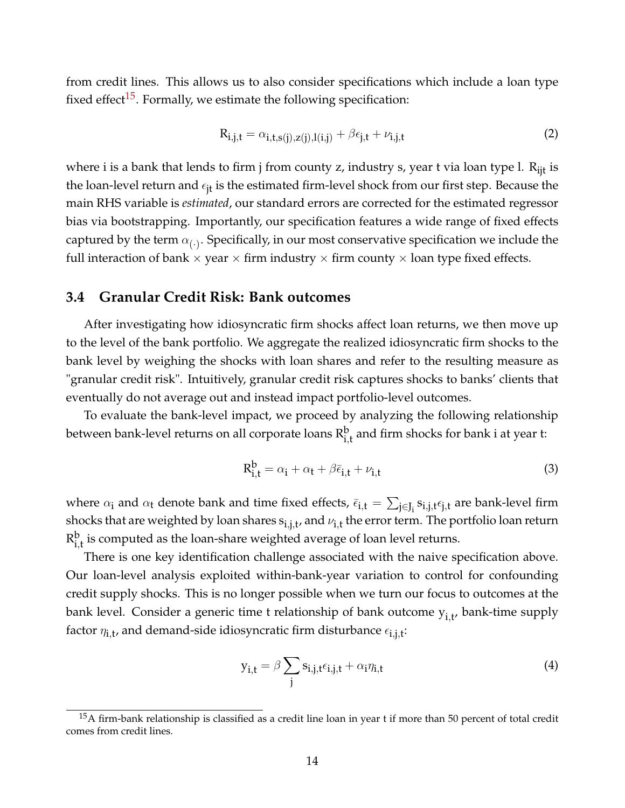from credit lines. This allows us to also consider specifications which include a loan type fixed effect<sup>[15](#page--1-0)</sup>. Formally, we estimate the following specification:

<span id="page-14-1"></span>
$$
R_{i,j,t} = \alpha_{i,t,s(j),z(j),l(i,j)} + \beta \epsilon_{j,t} + \nu_{i,j,t}
$$
\n<sup>(2)</sup>

where i is a bank that lends to firm j from county z, industry s, year t via loan type l.  $R_{\text{lit}}$  is the loan-level return and  $\epsilon_{it}$  is the estimated firm-level shock from our first step. Because the main RHS variable is *estimated*, our standard errors are corrected for the estimated regressor bias via bootstrapping. Importantly, our specification features a wide range of fixed effects captured by the term  $\alpha_{(\cdot)}$ . Specifically, in our most conservative specification we include the full interaction of bank  $\times$  year  $\times$  firm industry  $\times$  firm county  $\times$  loan type fixed effects.

# **3.4 Granular Credit Risk: Bank outcomes**

After investigating how idiosyncratic firm shocks affect loan returns, we then move up to the level of the bank portfolio. We aggregate the realized idiosyncratic firm shocks to the bank level by weighing the shocks with loan shares and refer to the resulting measure as "granular credit risk". Intuitively, granular credit risk captures shocks to banks' clients that eventually do not average out and instead impact portfolio-level outcomes.

To evaluate the bank-level impact, we proceed by analyzing the following relationship between bank-level returns on all corporate loans  $\mathrm{R}^\mathrm{b}_{\mathrm{i},\mathrm{t}}$  and firm shocks for bank i at year t:

<span id="page-14-0"></span>
$$
R_{i,t}^{b} = \alpha_i + \alpha_t + \beta \bar{\epsilon}_{i,t} + \nu_{i,t}
$$
\n(3)

where  $\alpha_i$  and  $\alpha_t$  denote bank and time fixed effects,  $\bar{\epsilon}_{i,t} = \sum_{j\in J_i} s_{i,j,t}\epsilon_{j,t}$  are bank-level firm shocks that are weighted by loan shares  $\rm{s}_{i,j,t}$ , and  $\nu_{i,t}$  the error term. The portfolio loan return R b  $_{\rm i,t}^{\rm p}$  is computed as the loan-share weighted average of loan level returns.

There is one key identification challenge associated with the naive specification above. Our loan-level analysis exploited within-bank-year variation to control for confounding credit supply shocks. This is no longer possible when we turn our focus to outcomes at the bank level. Consider a generic time t relationship of bank outcome  $\bm{{\mathsf{y}}}_{\text{i,t'}}$  bank-time supply factor  $\eta_{\mathbf{i},\mathbf{t}'}$  and demand-side idiosyncratic firm disturbance  $\epsilon_{\mathbf{i},\mathbf{j},\mathbf{t}}$ :

$$
y_{i,t} = \beta \sum_{j} s_{i,j,t} \epsilon_{i,j,t} + \alpha_i \eta_{i,t}
$$
 (4)

 $15A$  firm-bank relationship is classified as a credit line loan in year t if more than 50 percent of total credit comes from credit lines.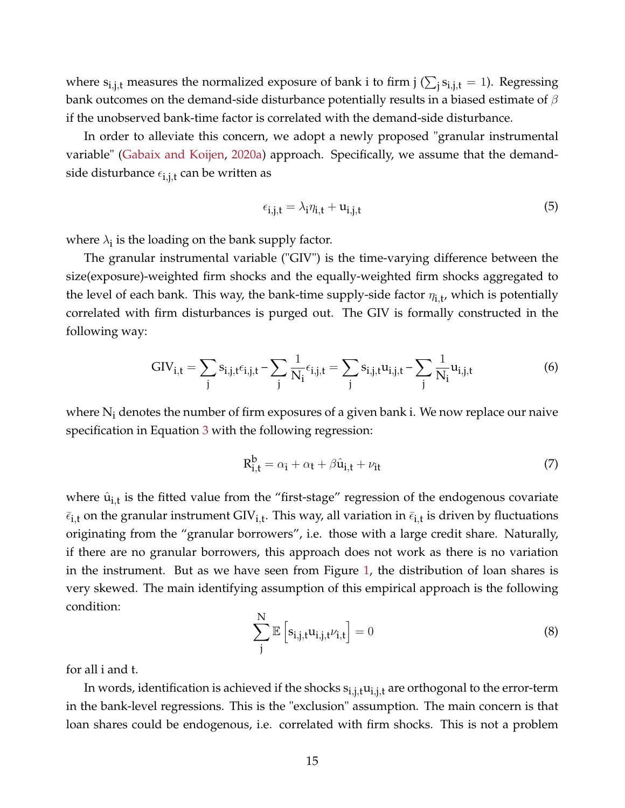where  $s_{i,j,t}$  measures the normalized exposure of bank i to firm j ( $\sum_j s_{i,j,t} = 1$ ). Regressing bank outcomes on the demand-side disturbance potentially results in a biased estimate of  $\beta$ if the unobserved bank-time factor is correlated with the demand-side disturbance.

In order to alleviate this concern, we adopt a newly proposed "granular instrumental variable" [\(Gabaix and Koijen,](#page-47-7) [2020a\)](#page-47-7) approach. Specifically, we assume that the demandside disturbance  $\epsilon_{\rm i,j,t}$  can be written as

$$
\epsilon_{i,j,t} = \lambda_i \eta_{i,t} + u_{i,j,t} \tag{5}
$$

where  $\lambda_i$  is the loading on the bank supply factor.

The granular instrumental variable ("GIV") is the time-varying difference between the size(exposure)-weighted firm shocks and the equally-weighted firm shocks aggregated to the level of each bank. This way, the bank-time supply-side factor  $\eta_{\mathbf{i},\mathbf{t}}$ , which is potentially correlated with firm disturbances is purged out. The GIV is formally constructed in the following way:

<span id="page-15-0"></span>
$$
GIV_{i,t} = \sum_{j} s_{i,j,t} \epsilon_{i,j,t} - \sum_{j} \frac{1}{N_i} \epsilon_{i,j,t} = \sum_{j} s_{i,j,t} u_{i,j,t} - \sum_{j} \frac{1}{N_i} u_{i,j,t}
$$
(6)

where  $N_i$  denotes the number of firm exposures of a given bank i. We now replace our naive specification in Equation [3](#page-14-0) with the following regression:

<span id="page-15-1"></span>
$$
R_{i,t}^{b} = \alpha_i + \alpha_t + \beta \hat{u}_{i,t} + \nu_{it}
$$
\n(7)

where  $\hat{u}_{i,t}$  is the fitted value from the "first-stage" regression of the endogenous covariate  $\bar{\epsilon}_{i,t}$  on the granular instrument GIV<sub>i,t</sub>. This way, all variation in  $\bar{\epsilon}_{i,t}$  is driven by fluctuations originating from the "granular borrowers", i.e. those with a large credit share. Naturally, if there are no granular borrowers, this approach does not work as there is no variation in the instrument. But as we have seen from Figure [1,](#page-11-0) the distribution of loan shares is very skewed. The main identifying assumption of this empirical approach is the following condition:

<span id="page-15-2"></span>
$$
\sum_{j}^{N} \mathbb{E}\left[s_{i,j,t} u_{i,j,t} \nu_{i,t}\right] = 0
$$
\n(8)

for all i and t.

In words, identification is achieved if the shocks  $s_{i,j,t}u_{i,j,t}$  are orthogonal to the error-term in the bank-level regressions. This is the "exclusion" assumption. The main concern is that loan shares could be endogenous, i.e. correlated with firm shocks. This is not a problem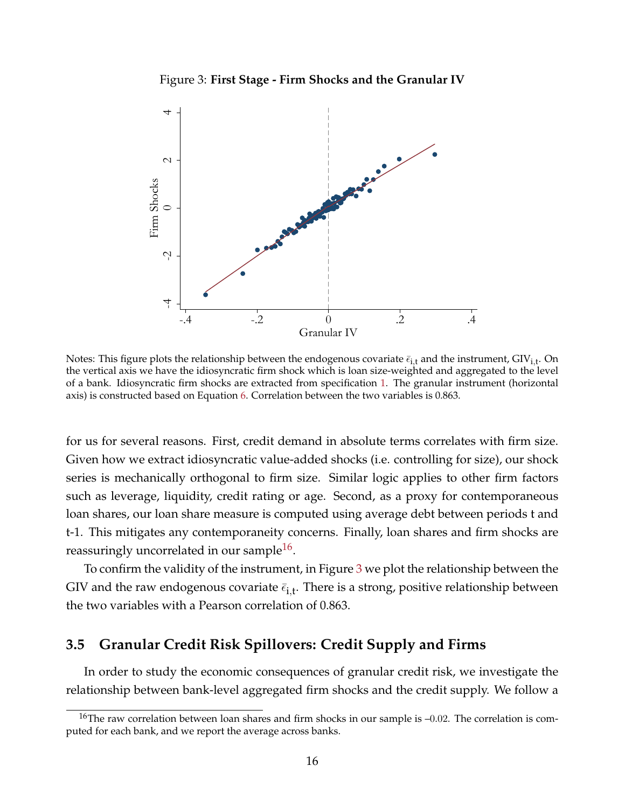Figure 3: **First Stage - Firm Shocks and the Granular IV**

<span id="page-16-0"></span>

Notes: This figure plots the relationship between the endogenous covariate  $\bar \epsilon_{\rm i,t}$  and the instrument, GIV<sub>i,t</sub>. On the vertical axis we have the idiosyncratic firm shock which is loan size-weighted and aggregated to the level of a bank. Idiosyncratic firm shocks are extracted from specification [1.](#page-12-0) The granular instrument (horizontal axis) is constructed based on Equation [6.](#page-15-0) Correlation between the two variables is 0.863.

for us for several reasons. First, credit demand in absolute terms correlates with firm size. Given how we extract idiosyncratic value-added shocks (i.e. controlling for size), our shock series is mechanically orthogonal to firm size. Similar logic applies to other firm factors such as leverage, liquidity, credit rating or age. Second, as a proxy for contemporaneous loan shares, our loan share measure is computed using average debt between periods t and t-1. This mitigates any contemporaneity concerns. Finally, loan shares and firm shocks are reassuringly uncorrelated in our sample $^{16}$  $^{16}$  $^{16}$ .

To confirm the validity of the instrument, in Figure [3](#page-16-0) we plot the relationship between the GIV and the raw endogenous covariate  $\bar{\epsilon}_{\text{i,t}}$ . There is a strong, positive relationship between the two variables with a Pearson correlation of 0.863.

# **3.5 Granular Credit Risk Spillovers: Credit Supply and Firms**

In order to study the economic consequences of granular credit risk, we investigate the relationship between bank-level aggregated firm shocks and the credit supply. We follow a

<sup>&</sup>lt;sup>16</sup>The raw correlation between loan shares and firm shocks in our sample is  $-0.02$ . The correlation is computed for each bank, and we report the average across banks.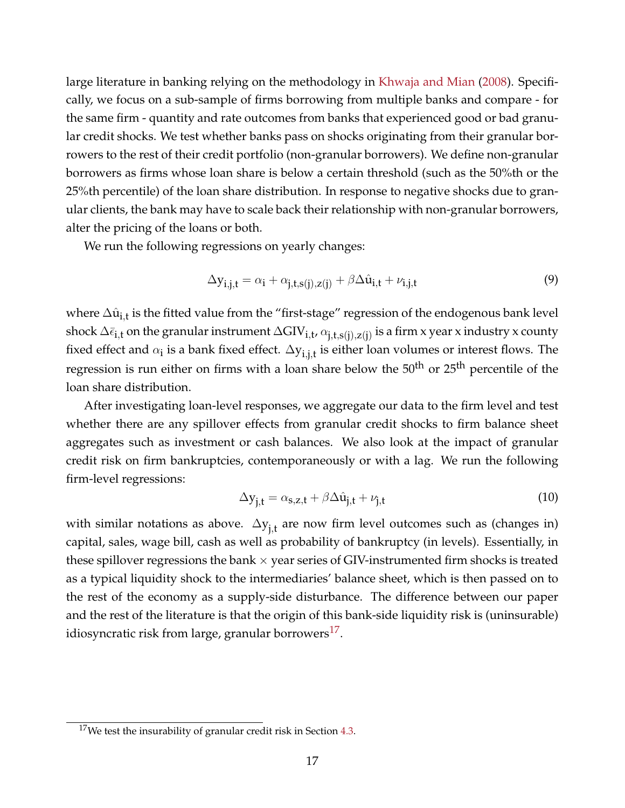large literature in banking relying on the methodology in [Khwaja and Mian](#page-47-6) [\(2008\)](#page-47-6). Specifically, we focus on a sub-sample of firms borrowing from multiple banks and compare - for the same firm - quantity and rate outcomes from banks that experienced good or bad granular credit shocks. We test whether banks pass on shocks originating from their granular borrowers to the rest of their credit portfolio (non-granular borrowers). We define non-granular borrowers as firms whose loan share is below a certain threshold (such as the 50%th or the 25%th percentile) of the loan share distribution. In response to negative shocks due to granular clients, the bank may have to scale back their relationship with non-granular borrowers, alter the pricing of the loans or both.

We run the following regressions on yearly changes:

<span id="page-17-0"></span>
$$
\Delta y_{i,j,t} = \alpha_i + \alpha_{j,t,s(j),z(j)} + \beta \Delta \hat{u}_{i,t} + \nu_{i,j,t}
$$
\n(9)

where  $\Delta \hat{\mathrm{u}}_{\mathrm{i,t}}$  is the fitted value from the "first-stage" regression of the endogenous bank level shock  $\Delta\bar\epsilon_{\bf i,t}$  on the granular instrument  $\Delta GIV_{{\bf i},t},\alpha_{{\bf j},t,{\bf s}({\bf j}),Z({\bf j})}$  is a firm x year x industry x county fixed effect and  $\alpha_i$  is a bank fixed effect.  $\Delta y_{i,j,t}$  is either loan volumes or interest flows. The regression is run either on firms with a loan share below the  $50<sup>th</sup>$  or  $25<sup>th</sup>$  percentile of the loan share distribution.

After investigating loan-level responses, we aggregate our data to the firm level and test whether there are any spillover effects from granular credit shocks to firm balance sheet aggregates such as investment or cash balances. We also look at the impact of granular credit risk on firm bankruptcies, contemporaneously or with a lag. We run the following firm-level regressions:

<span id="page-17-1"></span>
$$
\Delta y_{j,t} = \alpha_{s,z,t} + \beta \Delta \hat{u}_{j,t} + \nu_{j,t}
$$
\n(10)

with similar notations as above.  $\Delta y_{j,t}$  are now firm level outcomes such as (changes in) capital, sales, wage bill, cash as well as probability of bankruptcy (in levels). Essentially, in these spillover regressions the bank  $\times$  year series of GIV-instrumented firm shocks is treated as a typical liquidity shock to the intermediaries' balance sheet, which is then passed on to the rest of the economy as a supply-side disturbance. The difference between our paper and the rest of the literature is that the origin of this bank-side liquidity risk is (uninsurable) idiosyncratic risk from large, granular borrowers $^{17}$  $^{17}$  $^{17}$ .

 $17$ We test the insurability of granular credit risk in Section [4.3.](#page-25-0)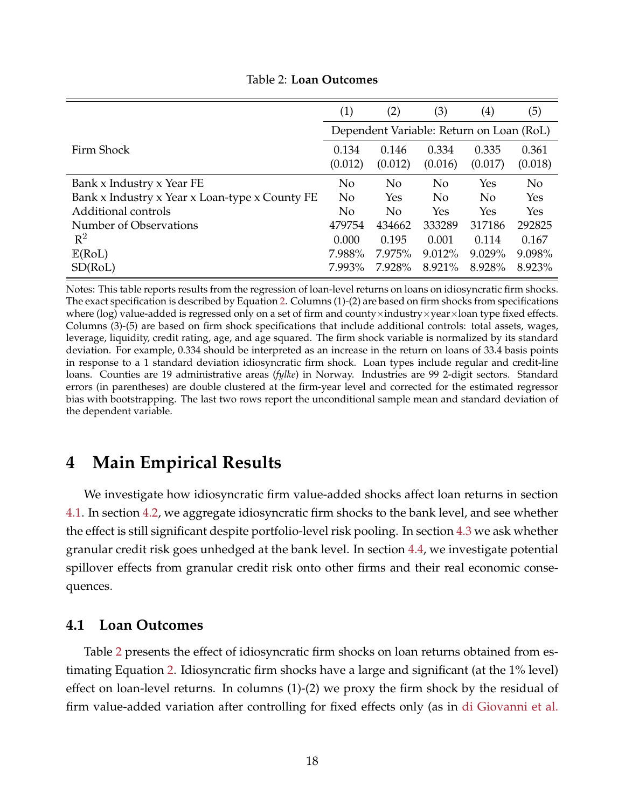<span id="page-18-2"></span>

|                                                | (1)              | (2)              | (3)                                      | $\left( 4\right)$ | (5)              |
|------------------------------------------------|------------------|------------------|------------------------------------------|-------------------|------------------|
|                                                |                  |                  | Dependent Variable: Return on Loan (RoL) |                   |                  |
| Firm Shock                                     | 0.134<br>(0.012) | 0.146<br>(0.012) | 0.334<br>(0.016)                         | 0.335<br>(0.017)  | 0.361<br>(0.018) |
| Bank x Industry x Year FE                      | N <sub>o</sub>   | N <sub>0</sub>   | N <sub>0</sub>                           | Yes               | N <sub>o</sub>   |
| Bank x Industry x Year x Loan-type x County FE | N <sub>o</sub>   | Yes              | N <sub>o</sub>                           | N <sub>o</sub>    | Yes              |
| Additional controls                            | N <sub>o</sub>   | N <sub>o</sub>   | Yes                                      | Yes               | Yes              |
| Number of Observations                         | 479754           | 434662           | 333289                                   | 317186            | 292825           |
| $R^2$                                          | 0.000            | 0.195            | 0.001                                    | 0.114             | 0.167            |
| $\mathbb{E}(\text{RoL})$                       | 7.988%           | 7.975%           | 9.012%                                   | 9.029%            | 9.098%           |
| SD(RoL)                                        | 7.993%           | 7.928%           | 8.921%                                   | 8.928%            | 8.923%           |

Table 2: **Loan Outcomes**

Notes: This table reports results from the regression of loan-level returns on loans on idiosyncratic firm shocks. The exact specification is described by Equation [2.](#page-14-1) Columns (1)-(2) are based on firm shocks from specifications where (log) value-added is regressed only on a set of firm and county×industry×year×loan type fixed effects. Columns (3)-(5) are based on firm shock specifications that include additional controls: total assets, wages, leverage, liquidity, credit rating, age, and age squared. The firm shock variable is normalized by its standard deviation. For example, 0.334 should be interpreted as an increase in the return on loans of 33.4 basis points in response to a 1 standard deviation idiosyncratic firm shock. Loan types include regular and credit-line loans. Counties are 19 administrative areas (*fylke*) in Norway. Industries are 99 2-digit sectors. Standard errors (in parentheses) are double clustered at the firm-year level and corrected for the estimated regressor bias with bootstrapping. The last two rows report the unconditional sample mean and standard deviation of the dependent variable.

# <span id="page-18-0"></span>**4 Main Empirical Results**

We investigate how idiosyncratic firm value-added shocks affect loan returns in section [4.1.](#page-18-1) In section [4.2,](#page-20-0) we aggregate idiosyncratic firm shocks to the bank level, and see whether the effect is still significant despite portfolio-level risk pooling. In section [4.3](#page-25-0) we ask whether granular credit risk goes unhedged at the bank level. In section [4.4,](#page-26-0) we investigate potential spillover effects from granular credit risk onto other firms and their real economic consequences.

# <span id="page-18-1"></span>**4.1 Loan Outcomes**

Table [2](#page-18-2) presents the effect of idiosyncratic firm shocks on loan returns obtained from estimating Equation [2.](#page-14-1) Idiosyncratic firm shocks have a large and significant (at the 1% level) effect on loan-level returns. In columns (1)-(2) we proxy the firm shock by the residual of firm value-added variation after controlling for fixed effects only (as in [di Giovanni et al.](#page-46-10)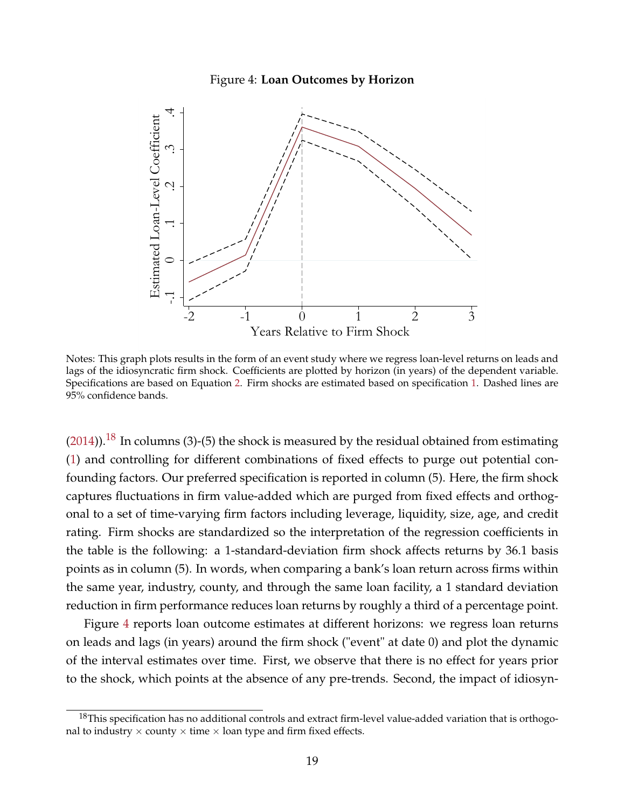#### Figure 4: **Loan Outcomes by Horizon**

<span id="page-19-0"></span>

Notes: This graph plots results in the form of an event study where we regress loan-level returns on leads and lags of the idiosyncratic firm shock. Coefficients are plotted by horizon (in years) of the dependent variable. Specifications are based on Equation [2.](#page-14-1) Firm shocks are estimated based on specification [1.](#page-12-0) Dashed lines are 95% confidence bands.

 $(2014)$ ).<sup>[18](#page--1-0)</sup> In columns (3)-(5) the shock is measured by the residual obtained from estimating [\(1\)](#page-12-0) and controlling for different combinations of fixed effects to purge out potential confounding factors. Our preferred specification is reported in column (5). Here, the firm shock captures fluctuations in firm value-added which are purged from fixed effects and orthogonal to a set of time-varying firm factors including leverage, liquidity, size, age, and credit rating. Firm shocks are standardized so the interpretation of the regression coefficients in the table is the following: a 1-standard-deviation firm shock affects returns by 36.1 basis points as in column (5). In words, when comparing a bank's loan return across firms within the same year, industry, county, and through the same loan facility, a 1 standard deviation reduction in firm performance reduces loan returns by roughly a third of a percentage point.

Figure [4](#page-19-0) reports loan outcome estimates at different horizons: we regress loan returns on leads and lags (in years) around the firm shock ("event" at date 0) and plot the dynamic of the interval estimates over time. First, we observe that there is no effect for years prior to the shock, which points at the absence of any pre-trends. Second, the impact of idiosyn-

 $18$ This specification has no additional controls and extract firm-level value-added variation that is orthogonal to industry  $\times$  county  $\times$  time  $\times$  loan type and firm fixed effects.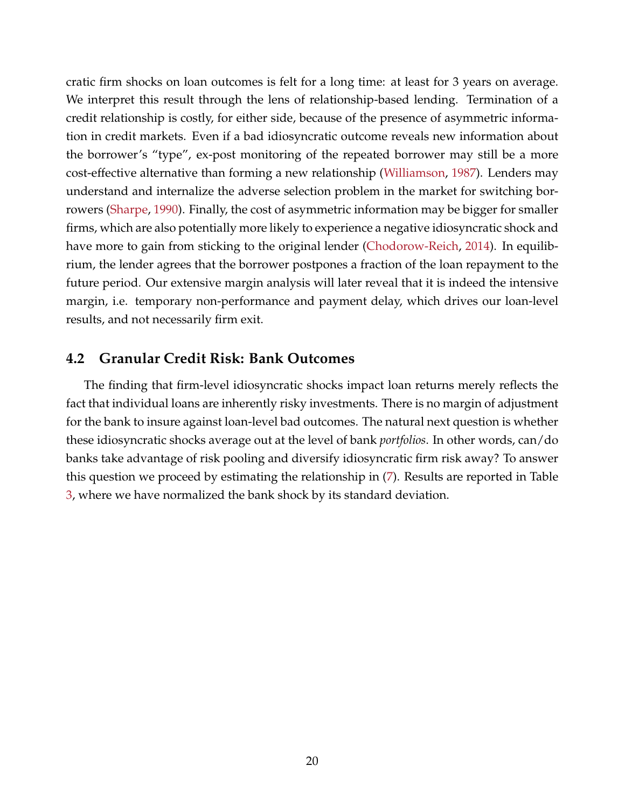cratic firm shocks on loan outcomes is felt for a long time: at least for 3 years on average. We interpret this result through the lens of relationship-based lending. Termination of a credit relationship is costly, for either side, because of the presence of asymmetric information in credit markets. Even if a bad idiosyncratic outcome reveals new information about the borrower's "type", ex-post monitoring of the repeated borrower may still be a more cost-effective alternative than forming a new relationship [\(Williamson,](#page-48-3) [1987\)](#page-48-3). Lenders may understand and internalize the adverse selection problem in the market for switching borrowers [\(Sharpe,](#page-48-4) [1990\)](#page-48-4). Finally, the cost of asymmetric information may be bigger for smaller firms, which are also potentially more likely to experience a negative idiosyncratic shock and have more to gain from sticking to the original lender [\(Chodorow-Reich,](#page-46-13) [2014\)](#page-46-13). In equilibrium, the lender agrees that the borrower postpones a fraction of the loan repayment to the future period. Our extensive margin analysis will later reveal that it is indeed the intensive margin, i.e. temporary non-performance and payment delay, which drives our loan-level results, and not necessarily firm exit.

# <span id="page-20-0"></span>**4.2 Granular Credit Risk: Bank Outcomes**

The finding that firm-level idiosyncratic shocks impact loan returns merely reflects the fact that individual loans are inherently risky investments. There is no margin of adjustment for the bank to insure against loan-level bad outcomes. The natural next question is whether these idiosyncratic shocks average out at the level of bank *portfolios*. In other words, can/do banks take advantage of risk pooling and diversify idiosyncratic firm risk away? To answer this question we proceed by estimating the relationship in [\(7\)](#page-15-1). Results are reported in Table [3,](#page-21-0) where we have normalized the bank shock by its standard deviation.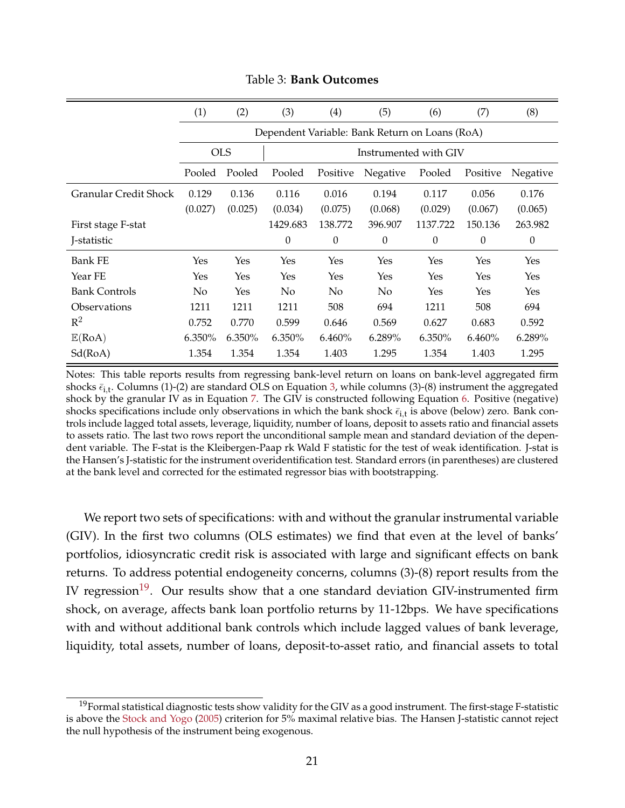<span id="page-21-0"></span>

|                              | (1)        | (2)     | (3)      | (4)                   | (5)                                            | (6)      | (7)      | (8)              |
|------------------------------|------------|---------|----------|-----------------------|------------------------------------------------|----------|----------|------------------|
|                              |            |         |          |                       | Dependent Variable: Bank Return on Loans (RoA) |          |          |                  |
|                              | <b>OLS</b> |         |          | Instrumented with GIV |                                                |          |          |                  |
|                              | Pooled     | Pooled  | Pooled   | Positive              | Negative                                       | Pooled   | Positive | Negative         |
| <b>Granular Credit Shock</b> | 0.129      | 0.136   | 0.116    | 0.016                 | 0.194                                          | 0.117    | 0.056    | 0.176            |
|                              | (0.027)    | (0.025) | (0.034)  | (0.075)               | (0.068)                                        | (0.029)  | (0.067)  | (0.065)          |
| First stage F-stat           |            |         | 1429.683 | 138.772               | 396.907                                        | 1137.722 | 150.136  | 263.982          |
| J-statistic                  |            |         | $\theta$ | $\theta$              | $\boldsymbol{0}$                               | $\theta$ | 0        | $\boldsymbol{0}$ |
| <b>Bank FE</b>               | Yes        | Yes     | Yes      | Yes                   | Yes                                            | Yes      | Yes      | Yes              |
| Year FE                      | Yes        | Yes     | Yes      | Yes                   | Yes                                            | Yes      | Yes      | Yes              |
| <b>Bank Controls</b>         | No         | Yes     | No       | No                    | No                                             | Yes      | Yes      | Yes              |
| Observations                 | 1211       | 1211    | 1211     | 508                   | 694                                            | 1211     | 508      | 694              |
| $\mathbb{R}^2$               | 0.752      | 0.770   | 0.599    | 0.646                 | 0.569                                          | 0.627    | 0.683    | 0.592            |
| E(RoA)                       | 6.350%     | 6.350%  | 6.350%   | 6.460%                | 6.289%                                         | 6.350%   | 6.460%   | 6.289%           |
| Sd(RoA)                      | 1.354      | 1.354   | 1.354    | 1.403                 | 1.295                                          | 1.354    | 1.403    | 1.295            |

### Table 3: **Bank Outcomes**

Notes: This table reports results from regressing bank-level return on loans on bank-level aggregated firm shocks  $\bar{\epsilon}_{i,t}$ . Columns (1)-(2) are standard OLS on Equation [3,](#page-14-0) while columns (3)-(8) instrument the aggregated shock by the granular IV as in Equation [7.](#page-15-1) The GIV is constructed following Equation [6.](#page-15-0) Positive (negative) shocks specifications include only observations in which the bank shock  $\bar{\epsilon}_{i,t}$  is above (below) zero. Bank controls include lagged total assets, leverage, liquidity, number of loans, deposit to assets ratio and financial assets to assets ratio. The last two rows report the unconditional sample mean and standard deviation of the dependent variable. The F-stat is the Kleibergen-Paap rk Wald F statistic for the test of weak identification. J-stat is the Hansen's J-statistic for the instrument overidentification test. Standard errors (in parentheses) are clustered at the bank level and corrected for the estimated regressor bias with bootstrapping.

We report two sets of specifications: with and without the granular instrumental variable (GIV). In the first two columns (OLS estimates) we find that even at the level of banks' portfolios, idiosyncratic credit risk is associated with large and significant effects on bank returns. To address potential endogeneity concerns, columns (3)-(8) report results from the IV regression<sup>[19](#page--1-0)</sup>. Our results show that a one standard deviation GIV-instrumented firm shock, on average, affects bank loan portfolio returns by 11-12bps. We have specifications with and without additional bank controls which include lagged values of bank leverage, liquidity, total assets, number of loans, deposit-to-asset ratio, and financial assets to total

 $19$ Formal statistical diagnostic tests show validity for the GIV as a good instrument. The first-stage F-statistic is above the [Stock and Yogo](#page-48-5) [\(2005\)](#page-48-5) criterion for 5% maximal relative bias. The Hansen J-statistic cannot reject the null hypothesis of the instrument being exogenous.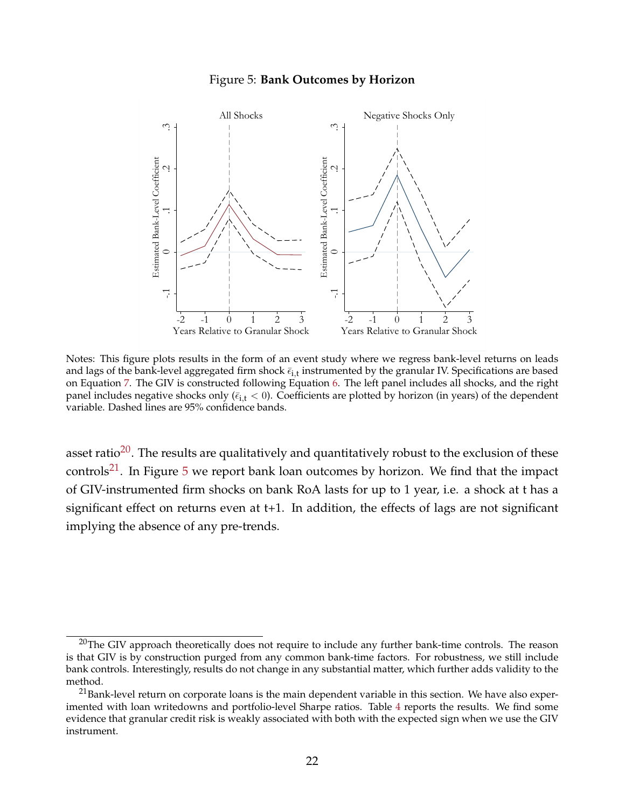#### Figure 5: **Bank Outcomes by Horizon**

<span id="page-22-0"></span>

Notes: This figure plots results in the form of an event study where we regress bank-level returns on leads and lags of the bank-level aggregated firm shock  $\bar \epsilon_{\rm i,t}$  instrumented by the granular IV. Specifications are based on Equation [7.](#page-15-1) The GIV is constructed following Equation [6.](#page-15-0) The left panel includes all shocks, and the right panel includes negative shocks only ( $\bar{\epsilon}_{i,t} < 0$ ). Coefficients are plotted by horizon (in years) of the dependent variable. Dashed lines are 95% confidence bands.

asset ratio<sup>[20](#page--1-0)</sup>. The results are qualitatively and quantitatively robust to the exclusion of these controls<sup>[21](#page--1-0)</sup>. In Figure [5](#page-22-0) we report bank loan outcomes by horizon. We find that the impact of GIV-instrumented firm shocks on bank RoA lasts for up to 1 year, i.e. a shock at t has a significant effect on returns even at t+1. In addition, the effects of lags are not significant implying the absence of any pre-trends.

 $20$ The GIV approach theoretically does not require to include any further bank-time controls. The reason is that GIV is by construction purged from any common bank-time factors. For robustness, we still include bank controls. Interestingly, results do not change in any substantial matter, which further adds validity to the method.

 $21$ Bank-level return on corporate loans is the main dependent variable in this section. We have also experimented with loan writedowns and portfolio-level Sharpe ratios. Table [4](#page-23-0) reports the results. We find some evidence that granular credit risk is weakly associated with both with the expected sign when we use the GIV instrument.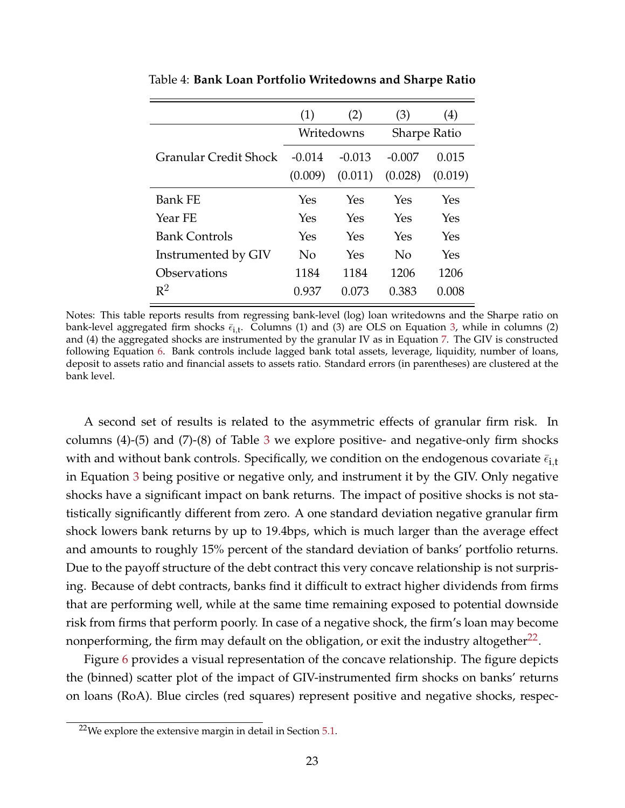|                       | (1)      | (2)        | (3)                 | $\left( 4\right)$ |  |
|-----------------------|----------|------------|---------------------|-------------------|--|
|                       |          | Writedowns | <b>Sharpe Ratio</b> |                   |  |
| Granular Credit Shock | $-0.014$ | $-0.013$   | -0.007              | 0.015             |  |
|                       | (0.009)  | (0.011)    | (0.028)             | (0.019)           |  |
| <b>Bank FE</b>        | Yes      | Yes        | Yes                 | Yes               |  |
| Year FE               | Yes      | Yes        | Yes                 | Yes               |  |
| <b>Bank Controls</b>  | Yes      | Yes        | Yes                 | Yes               |  |
| Instrumented by GIV   | No       | Yes        | $\rm No$            | Yes               |  |
| Observations          | 1184     | 1184       | 1206                | 1206              |  |
| $R^2$                 | 0.937    | 0.073      | 0.383               | 0.008             |  |

<span id="page-23-0"></span>Table 4: **Bank Loan Portfolio Writedowns and Sharpe Ratio**

Notes: This table reports results from regressing bank-level (log) loan writedowns and the Sharpe ratio on bank-level aggregated firm shocks  $\bar{\epsilon}_{i,t}$ . Columns (1) and (3) are OLS on Equation [3,](#page-14-0) while in columns (2) and (4) the aggregated shocks are instrumented by the granular IV as in Equation [7.](#page-15-1) The GIV is constructed following Equation [6.](#page-15-0) Bank controls include lagged bank total assets, leverage, liquidity, number of loans, deposit to assets ratio and financial assets to assets ratio. Standard errors (in parentheses) are clustered at the bank level.

A second set of results is related to the asymmetric effects of granular firm risk. In columns  $(4)-(5)$  and  $(7)-(8)$  of Table [3](#page-21-0) we explore positive- and negative-only firm shocks with and without bank controls. Specifically, we condition on the endogenous covariate  $\bar{\epsilon}_{i,t}$ in Equation [3](#page-14-0) being positive or negative only, and instrument it by the GIV. Only negative shocks have a significant impact on bank returns. The impact of positive shocks is not statistically significantly different from zero. A one standard deviation negative granular firm shock lowers bank returns by up to 19.4bps, which is much larger than the average effect and amounts to roughly 15% percent of the standard deviation of banks' portfolio returns. Due to the payoff structure of the debt contract this very concave relationship is not surprising. Because of debt contracts, banks find it difficult to extract higher dividends from firms that are performing well, while at the same time remaining exposed to potential downside risk from firms that perform poorly. In case of a negative shock, the firm's loan may become nonperforming, the firm may default on the obligation, or exit the industry altogether $^{22}.$  $^{22}.$  $^{22}.$ 

Figure [6](#page-24-0) provides a visual representation of the concave relationship. The figure depicts the (binned) scatter plot of the impact of GIV-instrumented firm shocks on banks' returns on loans (RoA). Blue circles (red squares) represent positive and negative shocks, respec-

 $22$ We explore the extensive margin in detail in Section  $5.1$ .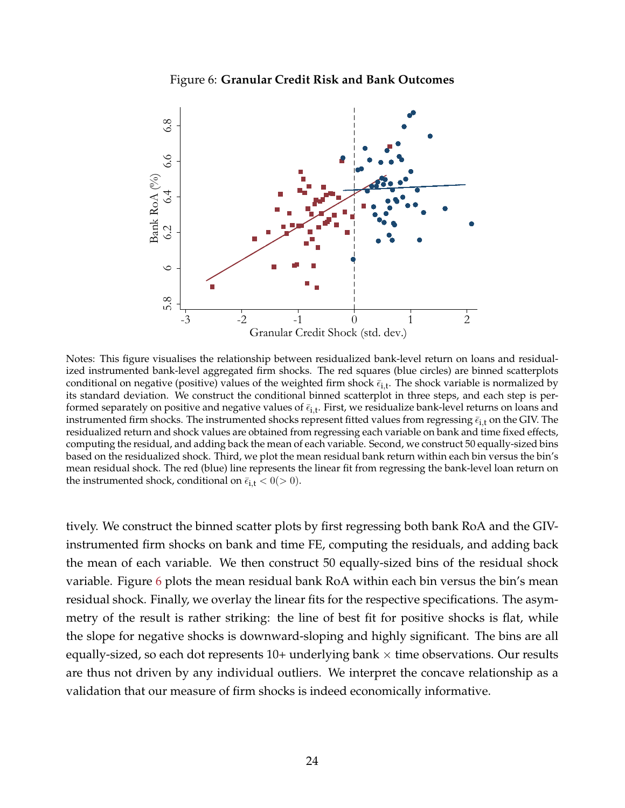### Figure 6: **Granular Credit Risk and Bank Outcomes**

<span id="page-24-0"></span>

Notes: This figure visualises the relationship between residualized bank-level return on loans and residualized instrumented bank-level aggregated firm shocks. The red squares (blue circles) are binned scatterplots conditional on negative (positive) values of the weighted firm shock  $\bar{\epsilon}_{\rm i,t}$ . The shock variable is normalized by its standard deviation. We construct the conditional binned scatterplot in three steps, and each step is performed separately on positive and negative values of  $\bar \epsilon_{\rm i,t}$ . First, we residualize bank-level returns on loans and instrumented firm shocks. The instrumented shocks represent fitted values from regressing  $\bar{\epsilon}_{i,t}$  on the GIV. The residualized return and shock values are obtained from regressing each variable on bank and time fixed effects, computing the residual, and adding back the mean of each variable. Second, we construct 50 equally-sized bins based on the residualized shock. Third, we plot the mean residual bank return within each bin versus the bin's mean residual shock. The red (blue) line represents the linear fit from regressing the bank-level loan return on the instrumented shock, conditional on  $\bar{\epsilon}_{i,t} < 0 (> 0)$ .

tively. We construct the binned scatter plots by first regressing both bank RoA and the GIVinstrumented firm shocks on bank and time FE, computing the residuals, and adding back the mean of each variable. We then construct 50 equally-sized bins of the residual shock variable. Figure [6](#page-24-0) plots the mean residual bank RoA within each bin versus the bin's mean residual shock. Finally, we overlay the linear fits for the respective specifications. The asymmetry of the result is rather striking: the line of best fit for positive shocks is flat, while the slope for negative shocks is downward-sloping and highly significant. The bins are all equally-sized, so each dot represents  $10+$  underlying bank  $\times$  time observations. Our results are thus not driven by any individual outliers. We interpret the concave relationship as a validation that our measure of firm shocks is indeed economically informative.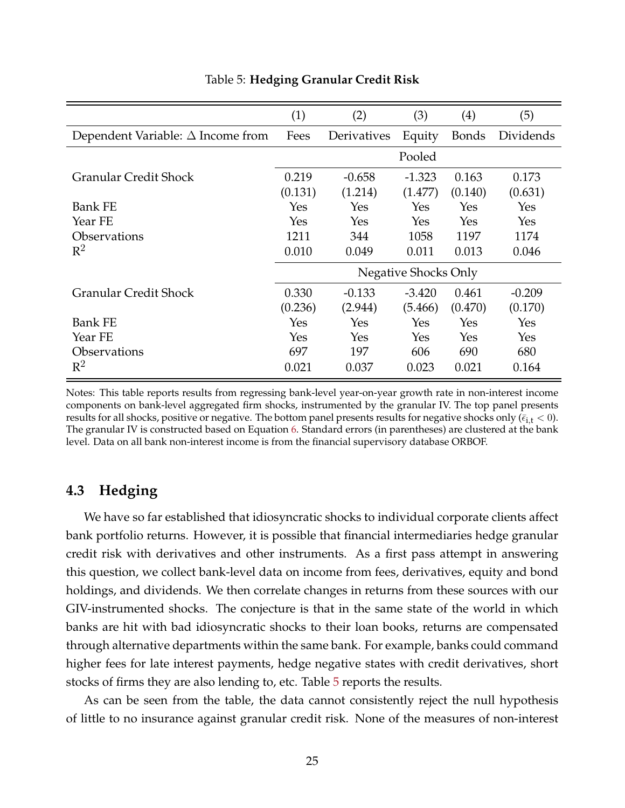<span id="page-25-1"></span>

|                                          | (1)     | (2)         | (3)                  | (4)     | (5)       |
|------------------------------------------|---------|-------------|----------------------|---------|-----------|
| Dependent Variable: $\Delta$ Income from | Fees    | Derivatives | Equity               | Bonds   | Dividends |
|                                          |         |             | Pooled               |         |           |
| <b>Granular Credit Shock</b>             | 0.219   | $-0.658$    | $-1.323$             | 0.163   | 0.173     |
|                                          | (0.131) | (1.214)     | (1.477)              | (0.140) | (0.631)   |
| <b>Bank FE</b>                           | Yes     | Yes         | Yes                  | Yes     | Yes       |
| Year FE                                  | Yes     | Yes         | Yes                  | Yes     | Yes       |
| <i><b>Observations</b></i>               | 1211    | 344         | 1058                 | 1197    | 1174      |
| $\mathbb{R}^2$                           | 0.010   | 0.049       | 0.011                | 0.013   | 0.046     |
|                                          |         |             | Negative Shocks Only |         |           |
| <b>Granular Credit Shock</b>             | 0.330   | $-0.133$    | $-3.420$             | 0.461   | $-0.209$  |
|                                          | (0.236) | (2.944)     | (5.466)              | (0.470) | (0.170)   |
| <b>Bank FE</b>                           | Yes     | Yes         | Yes                  | Yes     | Yes       |
| Year FE                                  | Yes     | Yes         | Yes                  | Yes     | Yes       |
| <i><b>Observations</b></i>               | 697     | 197         | 606                  | 690     | 680       |
| $\mathbb{R}^2$                           | 0.021   | 0.037       | 0.023                | 0.021   | 0.164     |

### Table 5: **Hedging Granular Credit Risk**

Notes: This table reports results from regressing bank-level year-on-year growth rate in non-interest income components on bank-level aggregated firm shocks, instrumented by the granular IV. The top panel presents results for all shocks, positive or negative. The bottom panel presents results for negative shocks only ( $\bar{\epsilon}_{i,t}$  < 0). The granular IV is constructed based on Equation [6.](#page-15-0) Standard errors (in parentheses) are clustered at the bank level. Data on all bank non-interest income is from the financial supervisory database ORBOF.

# <span id="page-25-0"></span>**4.3 Hedging**

We have so far established that idiosyncratic shocks to individual corporate clients affect bank portfolio returns. However, it is possible that financial intermediaries hedge granular credit risk with derivatives and other instruments. As a first pass attempt in answering this question, we collect bank-level data on income from fees, derivatives, equity and bond holdings, and dividends. We then correlate changes in returns from these sources with our GIV-instrumented shocks. The conjecture is that in the same state of the world in which banks are hit with bad idiosyncratic shocks to their loan books, returns are compensated through alternative departments within the same bank. For example, banks could command higher fees for late interest payments, hedge negative states with credit derivatives, short stocks of firms they are also lending to, etc. Table [5](#page-25-1) reports the results.

As can be seen from the table, the data cannot consistently reject the null hypothesis of little to no insurance against granular credit risk. None of the measures of non-interest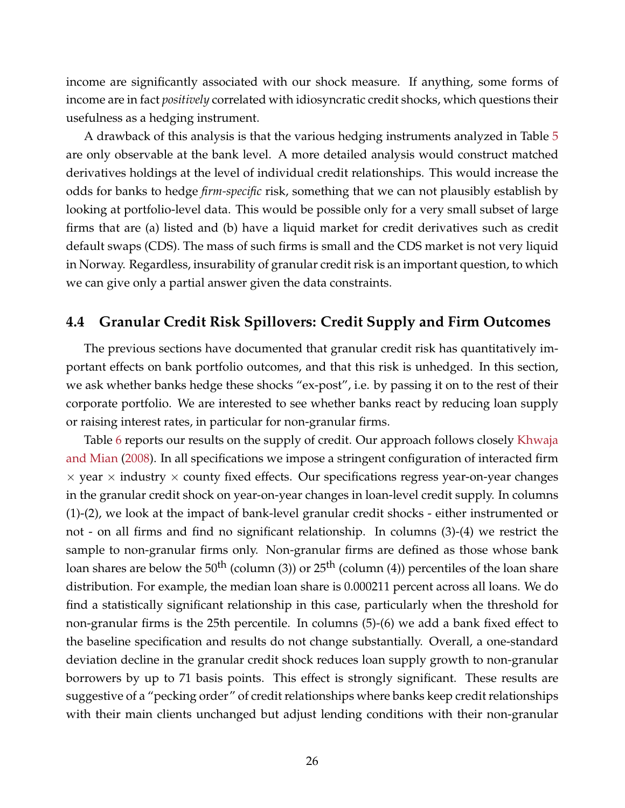income are significantly associated with our shock measure. If anything, some forms of income are in fact *positively* correlated with idiosyncratic credit shocks, which questions their usefulness as a hedging instrument.

A drawback of this analysis is that the various hedging instruments analyzed in Table [5](#page-25-1) are only observable at the bank level. A more detailed analysis would construct matched derivatives holdings at the level of individual credit relationships. This would increase the odds for banks to hedge *firm-specific* risk, something that we can not plausibly establish by looking at portfolio-level data. This would be possible only for a very small subset of large firms that are (a) listed and (b) have a liquid market for credit derivatives such as credit default swaps (CDS). The mass of such firms is small and the CDS market is not very liquid in Norway. Regardless, insurability of granular credit risk is an important question, to which we can give only a partial answer given the data constraints.

# <span id="page-26-0"></span>**4.4 Granular Credit Risk Spillovers: Credit Supply and Firm Outcomes**

The previous sections have documented that granular credit risk has quantitatively important effects on bank portfolio outcomes, and that this risk is unhedged. In this section, we ask whether banks hedge these shocks "ex-post", i.e. by passing it on to the rest of their corporate portfolio. We are interested to see whether banks react by reducing loan supply or raising interest rates, in particular for non-granular firms.

Table [6](#page-27-0) reports our results on the supply of credit. Our approach follows closely [Khwaja](#page-47-6) [and Mian](#page-47-6) [\(2008\)](#page-47-6). In all specifications we impose a stringent configuration of interacted firm  $\times$  year  $\times$  industry  $\times$  county fixed effects. Our specifications regress year-on-year changes in the granular credit shock on year-on-year changes in loan-level credit supply. In columns (1)-(2), we look at the impact of bank-level granular credit shocks - either instrumented or not - on all firms and find no significant relationship. In columns (3)-(4) we restrict the sample to non-granular firms only. Non-granular firms are defined as those whose bank loan shares are below the  $50^{th}$  (column (3)) or  $25^{th}$  (column (4)) percentiles of the loan share distribution. For example, the median loan share is 0.000211 percent across all loans. We do find a statistically significant relationship in this case, particularly when the threshold for non-granular firms is the 25th percentile. In columns (5)-(6) we add a bank fixed effect to the baseline specification and results do not change substantially. Overall, a one-standard deviation decline in the granular credit shock reduces loan supply growth to non-granular borrowers by up to 71 basis points. This effect is strongly significant. These results are suggestive of a "pecking order" of credit relationships where banks keep credit relationships with their main clients unchanged but adjust lending conditions with their non-granular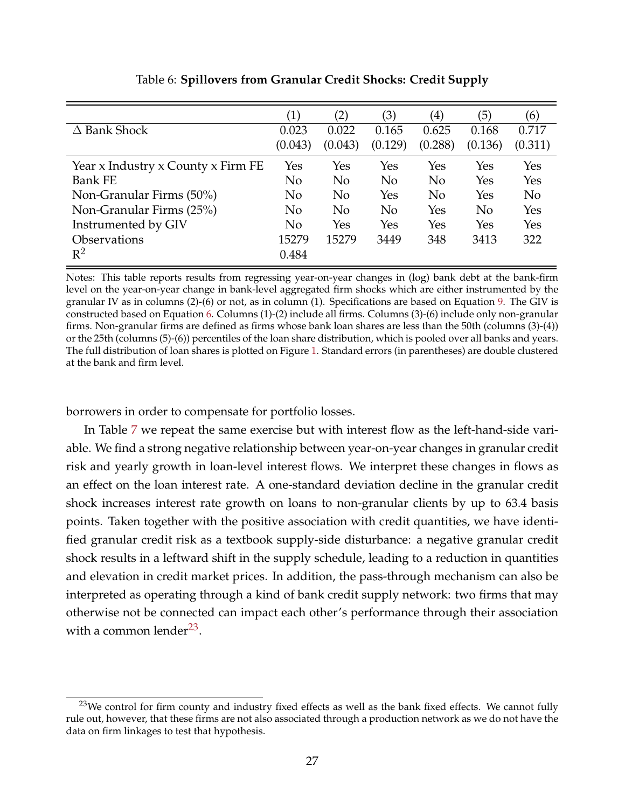<span id="page-27-0"></span>

|                                    | (1)     | $\left( 2\right)$ | (3)            | $\left( 4\right)$ | (5)     | (6)            |
|------------------------------------|---------|-------------------|----------------|-------------------|---------|----------------|
| $\Delta$ Bank Shock                | 0.023   | 0.022             | 0.165          | 0.625             | 0.168   | 0.717          |
|                                    | (0.043) | (0.043)           | (0.129)        | (0.288)           | (0.136) | (0.311)        |
| Year x Industry x County x Firm FE | Yes     | Yes               | Yes            | Yes               | Yes     | Yes            |
| <b>Bank FE</b>                     | No      | No                | N <sub>o</sub> | N <sub>o</sub>    | Yes     | Yes            |
| Non-Granular Firms (50%)           | No      | No                | Yes            | N <sub>o</sub>    | Yes     | N <sub>o</sub> |
| Non-Granular Firms (25%)           | No      | No                | No             | Yes               | No      | Yes            |
| Instrumented by GIV                | No      | Yes               | Yes            | Yes               | Yes     | Yes            |
| <b>Observations</b>                | 15279   | 15279             | 3449           | 348               | 3413    | 322            |
| $\mathbb{R}^2$                     | 0.484   |                   |                |                   |         |                |

Table 6: **Spillovers from Granular Credit Shocks: Credit Supply**

Notes: This table reports results from regressing year-on-year changes in (log) bank debt at the bank-firm level on the year-on-year change in bank-level aggregated firm shocks which are either instrumented by the granular IV as in columns (2)-(6) or not, as in column (1). Specifications are based on Equation [9.](#page-17-0) The GIV is constructed based on Equation [6.](#page-15-0) Columns (1)-(2) include all firms. Columns (3)-(6) include only non-granular firms. Non-granular firms are defined as firms whose bank loan shares are less than the 50th (columns (3)-(4)) or the 25th (columns (5)-(6)) percentiles of the loan share distribution, which is pooled over all banks and years. The full distribution of loan shares is plotted on Figure [1.](#page-11-0) Standard errors (in parentheses) are double clustered at the bank and firm level.

borrowers in order to compensate for portfolio losses.

In Table [7](#page-28-0) we repeat the same exercise but with interest flow as the left-hand-side variable. We find a strong negative relationship between year-on-year changes in granular credit risk and yearly growth in loan-level interest flows. We interpret these changes in flows as an effect on the loan interest rate. A one-standard deviation decline in the granular credit shock increases interest rate growth on loans to non-granular clients by up to 63.4 basis points. Taken together with the positive association with credit quantities, we have identified granular credit risk as a textbook supply-side disturbance: a negative granular credit shock results in a leftward shift in the supply schedule, leading to a reduction in quantities and elevation in credit market prices. In addition, the pass-through mechanism can also be interpreted as operating through a kind of bank credit supply network: two firms that may otherwise not be connected can impact each other's performance through their association with a common lender $^{23}$  $^{23}$  $^{23}$ .

<sup>&</sup>lt;sup>23</sup>We control for firm county and industry fixed effects as well as the bank fixed effects. We cannot fully rule out, however, that these firms are not also associated through a production network as we do not have the data on firm linkages to test that hypothesis.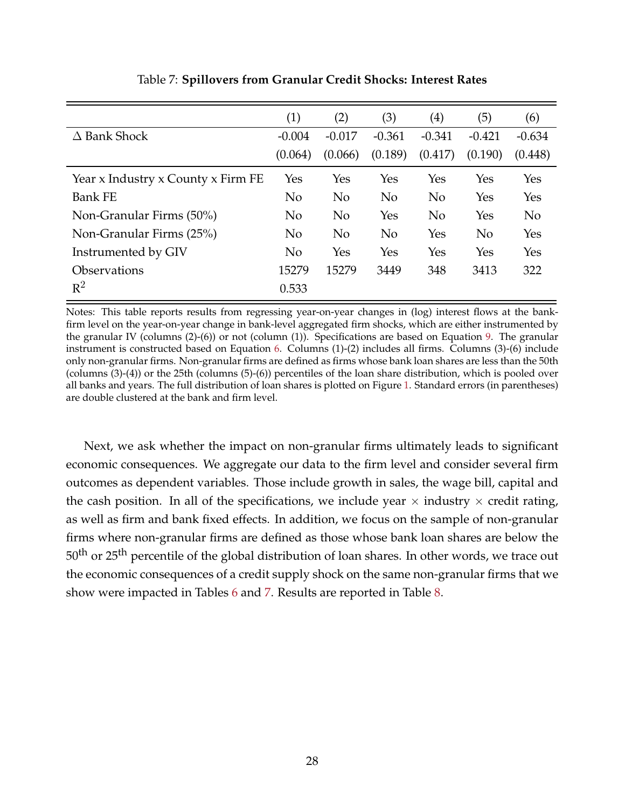<span id="page-28-0"></span>

|                                    | (1)            | (2)            | (3)      | $\left( 4\right)$ | (5)            | (6)      |
|------------------------------------|----------------|----------------|----------|-------------------|----------------|----------|
| $\Delta$ Bank Shock                | $-0.004$       | $-0.017$       | $-0.361$ | $-0.341$          | $-0.421$       | $-0.634$ |
|                                    | (0.064)        | (0.066)        | (0.189)  | (0.417)           | (0.190)        | (0.448)  |
| Year x Industry x County x Firm FE | Yes            | Yes            | Yes      | Yes               | Yes            | Yes      |
| <b>Bank FE</b>                     | N <sub>o</sub> | N <sub>o</sub> | No       | $\rm No$          | Yes            | Yes      |
| Non-Granular Firms (50%)           | N <sub>o</sub> | N <sub>o</sub> | Yes      | $\rm No$          | Yes            | $\rm No$ |
| Non-Granular Firms (25%)           | N <sub>0</sub> | N <sub>o</sub> | No       | Yes               | N <sub>o</sub> | Yes      |
| Instrumented by GIV                | N <sub>0</sub> | Yes            | Yes      | Yes               | Yes            | Yes      |
| Observations                       | 15279          | 15279          | 3449     | 348               | 3413           | 322      |
| $R^2$                              | 0.533          |                |          |                   |                |          |

Table 7: **Spillovers from Granular Credit Shocks: Interest Rates**

Notes: This table reports results from regressing year-on-year changes in (log) interest flows at the bankfirm level on the year-on-year change in bank-level aggregated firm shocks, which are either instrumented by the granular IV (columns (2)-(6)) or not (column (1)). Specifications are based on Equation [9.](#page-17-0) The granular instrument is constructed based on Equation [6.](#page-15-0) Columns (1)-(2) includes all firms. Columns (3)-(6) include only non-granular firms. Non-granular firms are defined as firms whose bank loan shares are less than the 50th (columns (3)-(4)) or the 25th (columns (5)-(6)) percentiles of the loan share distribution, which is pooled over all banks and years. The full distribution of loan shares is plotted on Figure [1.](#page-11-0) Standard errors (in parentheses) are double clustered at the bank and firm level.

Next, we ask whether the impact on non-granular firms ultimately leads to significant economic consequences. We aggregate our data to the firm level and consider several firm outcomes as dependent variables. Those include growth in sales, the wage bill, capital and the cash position. In all of the specifications, we include year  $\times$  industry  $\times$  credit rating, as well as firm and bank fixed effects. In addition, we focus on the sample of non-granular firms where non-granular firms are defined as those whose bank loan shares are below the 50<sup>th</sup> or 25<sup>th</sup> percentile of the global distribution of loan shares. In other words, we trace out the economic consequences of a credit supply shock on the same non-granular firms that we show were impacted in Tables [6](#page-27-0) and [7.](#page-28-0) Results are reported in Table [8.](#page-29-0)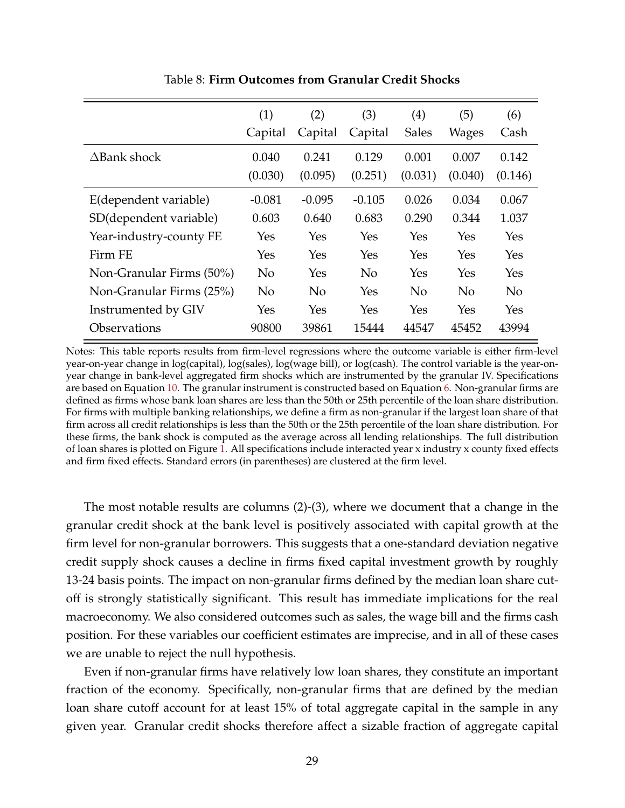<span id="page-29-0"></span>

|                            | (1)       | (2)            | (3)      | (4)          | (5)          | (6)            |
|----------------------------|-----------|----------------|----------|--------------|--------------|----------------|
|                            | Capital   | Capital        | Capital  | <b>Sales</b> | <b>Wages</b> | Cash           |
| $\Delta$ Bank shock        | 0.040     | 0.241          | 0.129    | 0.001        | 0.007        | 0.142          |
|                            | (0.030)   | (0.095)        | (0.251)  | (0.031)      | (0.040)      | (0.146)        |
| E(dependent variable)      | $-0.081$  | $-0.095$       | $-0.105$ | 0.026        | 0.034        | 0.067          |
| SD(dependent variable)     | 0.603     | 0.640          | 0.683    | 0.290        | 0.344        | 1.037          |
| Year-industry-county FE    | Yes       | Yes            | Yes      | Yes          | Yes          | Yes            |
| Firm FE                    | Yes       | Yes            | Yes      | Yes          | Yes          | Yes            |
| Non-Granular Firms (50%)   | <b>No</b> | Yes            | No       | Yes          | Yes          | Yes            |
| Non-Granular Firms (25%)   | $\rm No$  | N <sub>0</sub> | Yes      | $\rm No$     | $\rm No$     | N <sub>o</sub> |
| Instrumented by GIV        | Yes       | Yes            | Yes      | Yes          | Yes          | Yes            |
| <i><b>Observations</b></i> | 90800     | 39861          | 15444    | 44547        | 45452        | 43994          |

Table 8: **Firm Outcomes from Granular Credit Shocks**

Notes: This table reports results from firm-level regressions where the outcome variable is either firm-level year-on-year change in log(capital), log(sales), log(wage bill), or log(cash). The control variable is the year-onyear change in bank-level aggregated firm shocks which are instrumented by the granular IV. Specifications are based on Equation [10.](#page-17-1) The granular instrument is constructed based on Equation [6.](#page-15-0) Non-granular firms are defined as firms whose bank loan shares are less than the 50th or 25th percentile of the loan share distribution. For firms with multiple banking relationships, we define a firm as non-granular if the largest loan share of that firm across all credit relationships is less than the 50th or the 25th percentile of the loan share distribution. For these firms, the bank shock is computed as the average across all lending relationships. The full distribution of loan shares is plotted on Figure [1.](#page-11-0) All specifications include interacted year x industry x county fixed effects and firm fixed effects. Standard errors (in parentheses) are clustered at the firm level.

The most notable results are columns (2)-(3), where we document that a change in the granular credit shock at the bank level is positively associated with capital growth at the firm level for non-granular borrowers. This suggests that a one-standard deviation negative credit supply shock causes a decline in firms fixed capital investment growth by roughly 13-24 basis points. The impact on non-granular firms defined by the median loan share cutoff is strongly statistically significant. This result has immediate implications for the real macroeconomy. We also considered outcomes such as sales, the wage bill and the firms cash position. For these variables our coefficient estimates are imprecise, and in all of these cases we are unable to reject the null hypothesis.

Even if non-granular firms have relatively low loan shares, they constitute an important fraction of the economy. Specifically, non-granular firms that are defined by the median loan share cutoff account for at least 15% of total aggregate capital in the sample in any given year. Granular credit shocks therefore affect a sizable fraction of aggregate capital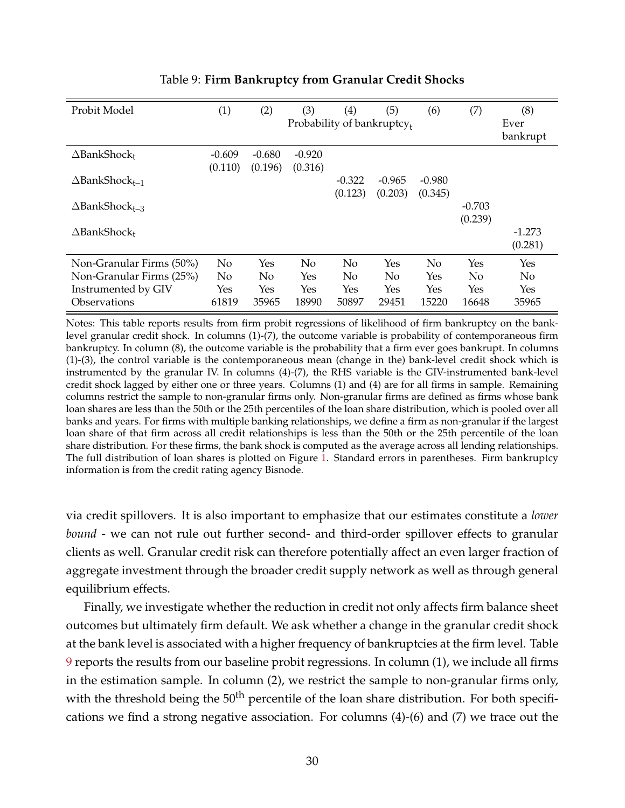<span id="page-30-0"></span>

| Probit Model                      | (1)                 | (2)                 | (3)<br>Probability of bankruptcy. | (4)                 | (5)                 | (6)                 | (7)                 | (8)<br>Ever<br>bankrupt |
|-----------------------------------|---------------------|---------------------|-----------------------------------|---------------------|---------------------|---------------------|---------------------|-------------------------|
| $\Delta$ BankShock+               | $-0.609$<br>(0.110) | $-0.680$<br>(0.196) | $-0.920$<br>(0.316)               |                     |                     |                     |                     |                         |
| $\Delta$ BankShock <sub>t-1</sub> |                     |                     |                                   | $-0.322$<br>(0.123) | $-0.965$<br>(0.203) | $-0.980$<br>(0.345) |                     |                         |
| $\Delta$ BankShock <sub>t-3</sub> |                     |                     |                                   |                     |                     |                     | $-0.703$<br>(0.239) |                         |
| $\Delta$ BankShock+               |                     |                     |                                   |                     |                     |                     |                     | $-1.273$<br>(0.281)     |
| Non-Granular Firms (50%)          | N <sub>o</sub>      | Yes                 | No                                | No                  | Yes                 | N <sub>0</sub>      | Yes                 | Yes                     |
| Non-Granular Firms (25%)          | No                  | No                  | Yes                               | N <sub>0</sub>      | N <sub>o</sub>      | Yes                 | No                  | No                      |
| Instrumented by GIV               | Yes                 | Yes                 | Yes                               | Yes                 | Yes                 | Yes                 | <b>Yes</b>          | Yes                     |
| Observations                      | 61819               | 35965               | 18990                             | 50897               | 29451               | 15220               | 16648               | 35965                   |

## Table 9: **Firm Bankruptcy from Granular Credit Shocks**

Notes: This table reports results from firm probit regressions of likelihood of firm bankruptcy on the banklevel granular credit shock. In columns (1)-(7), the outcome variable is probability of contemporaneous firm bankruptcy. In column (8), the outcome variable is the probability that a firm ever goes bankrupt. In columns (1)-(3), the control variable is the contemporaneous mean (change in the) bank-level credit shock which is instrumented by the granular IV. In columns (4)-(7), the RHS variable is the GIV-instrumented bank-level credit shock lagged by either one or three years. Columns (1) and (4) are for all firms in sample. Remaining columns restrict the sample to non-granular firms only. Non-granular firms are defined as firms whose bank loan shares are less than the 50th or the 25th percentiles of the loan share distribution, which is pooled over all banks and years. For firms with multiple banking relationships, we define a firm as non-granular if the largest loan share of that firm across all credit relationships is less than the 50th or the 25th percentile of the loan share distribution. For these firms, the bank shock is computed as the average across all lending relationships. The full distribution of loan shares is plotted on Figure [1.](#page-11-0) Standard errors in parentheses. Firm bankruptcy information is from the credit rating agency Bisnode.

via credit spillovers. It is also important to emphasize that our estimates constitute a *lower bound* - we can not rule out further second- and third-order spillover effects to granular clients as well. Granular credit risk can therefore potentially affect an even larger fraction of aggregate investment through the broader credit supply network as well as through general equilibrium effects.

Finally, we investigate whether the reduction in credit not only affects firm balance sheet outcomes but ultimately firm default. We ask whether a change in the granular credit shock at the bank level is associated with a higher frequency of bankruptcies at the firm level. Table [9](#page-30-0) reports the results from our baseline probit regressions. In column (1), we include all firms in the estimation sample. In column (2), we restrict the sample to non-granular firms only, with the threshold being the 50<sup>th</sup> percentile of the loan share distribution. For both specifications we find a strong negative association. For columns (4)-(6) and (7) we trace out the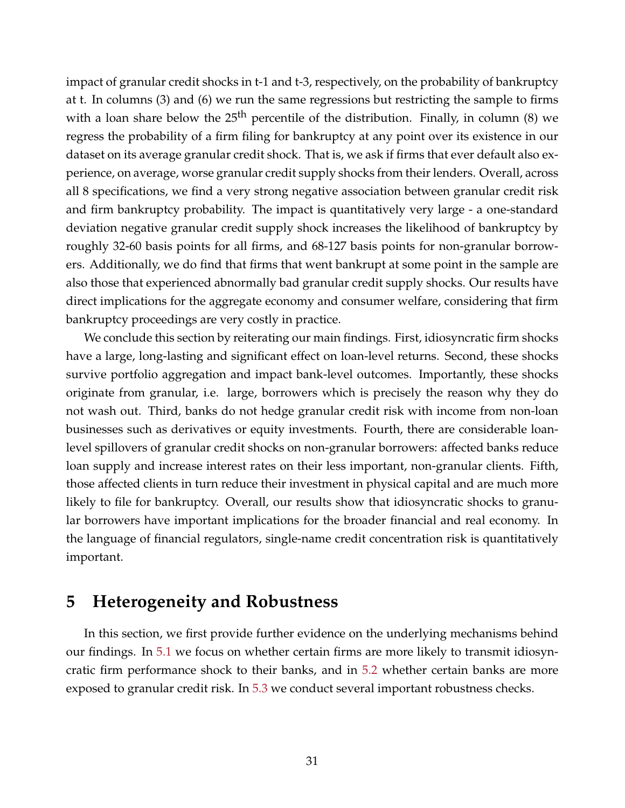impact of granular credit shocks in t-1 and t-3, respectively, on the probability of bankruptcy at t. In columns (3) and (6) we run the same regressions but restricting the sample to firms with a loan share below the  $25<sup>th</sup>$  percentile of the distribution. Finally, in column (8) we regress the probability of a firm filing for bankruptcy at any point over its existence in our dataset on its average granular credit shock. That is, we ask if firms that ever default also experience, on average, worse granular credit supply shocks from their lenders. Overall, across all 8 specifications, we find a very strong negative association between granular credit risk and firm bankruptcy probability. The impact is quantitatively very large - a one-standard deviation negative granular credit supply shock increases the likelihood of bankruptcy by roughly 32-60 basis points for all firms, and 68-127 basis points for non-granular borrowers. Additionally, we do find that firms that went bankrupt at some point in the sample are also those that experienced abnormally bad granular credit supply shocks. Our results have direct implications for the aggregate economy and consumer welfare, considering that firm bankruptcy proceedings are very costly in practice.

We conclude this section by reiterating our main findings. First, idiosyncratic firm shocks have a large, long-lasting and significant effect on loan-level returns. Second, these shocks survive portfolio aggregation and impact bank-level outcomes. Importantly, these shocks originate from granular, i.e. large, borrowers which is precisely the reason why they do not wash out. Third, banks do not hedge granular credit risk with income from non-loan businesses such as derivatives or equity investments. Fourth, there are considerable loanlevel spillovers of granular credit shocks on non-granular borrowers: affected banks reduce loan supply and increase interest rates on their less important, non-granular clients. Fifth, those affected clients in turn reduce their investment in physical capital and are much more likely to file for bankruptcy. Overall, our results show that idiosyncratic shocks to granular borrowers have important implications for the broader financial and real economy. In the language of financial regulators, single-name credit concentration risk is quantitatively important.

# <span id="page-31-0"></span>**5 Heterogeneity and Robustness**

In this section, we first provide further evidence on the underlying mechanisms behind our findings. In [5.1](#page-32-0) we focus on whether certain firms are more likely to transmit idiosyncratic firm performance shock to their banks, and in [5.2](#page-33-0) whether certain banks are more exposed to granular credit risk. In [5.3](#page-34-0) we conduct several important robustness checks.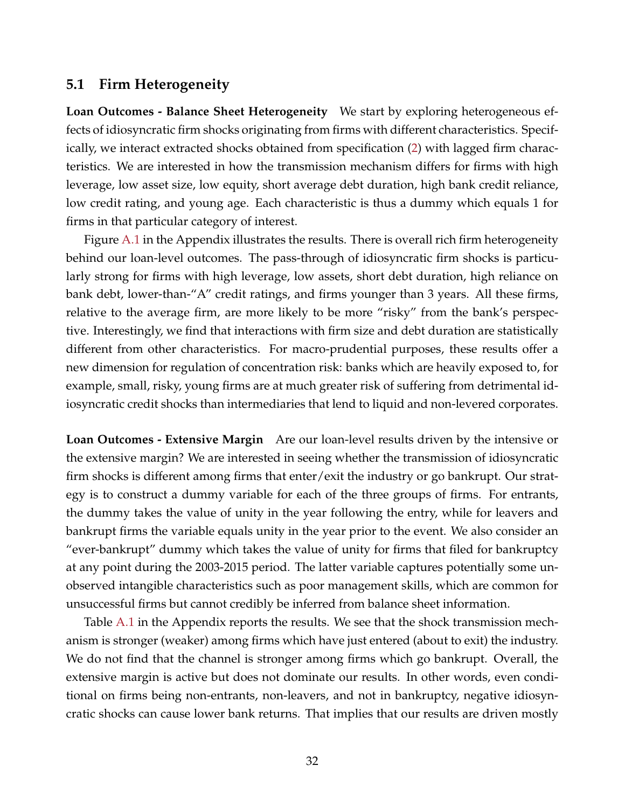# <span id="page-32-0"></span>**5.1 Firm Heterogeneity**

**Loan Outcomes - Balance Sheet Heterogeneity** We start by exploring heterogeneous effects of idiosyncratic firm shocks originating from firms with different characteristics. Specifically, we interact extracted shocks obtained from specification [\(2\)](#page-14-1) with lagged firm characteristics. We are interested in how the transmission mechanism differs for firms with high leverage, low asset size, low equity, short average debt duration, high bank credit reliance, low credit rating, and young age. Each characteristic is thus a dummy which equals 1 for firms in that particular category of interest.

Figure [A.1](#page-49-0) in the Appendix illustrates the results. There is overall rich firm heterogeneity behind our loan-level outcomes. The pass-through of idiosyncratic firm shocks is particularly strong for firms with high leverage, low assets, short debt duration, high reliance on bank debt, lower-than-"A" credit ratings, and firms younger than 3 years. All these firms, relative to the average firm, are more likely to be more "risky" from the bank's perspective. Interestingly, we find that interactions with firm size and debt duration are statistically different from other characteristics. For macro-prudential purposes, these results offer a new dimension for regulation of concentration risk: banks which are heavily exposed to, for example, small, risky, young firms are at much greater risk of suffering from detrimental idiosyncratic credit shocks than intermediaries that lend to liquid and non-levered corporates.

**Loan Outcomes - Extensive Margin** Are our loan-level results driven by the intensive or the extensive margin? We are interested in seeing whether the transmission of idiosyncratic firm shocks is different among firms that enter/exit the industry or go bankrupt. Our strategy is to construct a dummy variable for each of the three groups of firms. For entrants, the dummy takes the value of unity in the year following the entry, while for leavers and bankrupt firms the variable equals unity in the year prior to the event. We also consider an "ever-bankrupt" dummy which takes the value of unity for firms that filed for bankruptcy at any point during the 2003-2015 period. The latter variable captures potentially some unobserved intangible characteristics such as poor management skills, which are common for unsuccessful firms but cannot credibly be inferred from balance sheet information.

Table [A.1](#page-53-0) in the Appendix reports the results. We see that the shock transmission mechanism is stronger (weaker) among firms which have just entered (about to exit) the industry. We do not find that the channel is stronger among firms which go bankrupt. Overall, the extensive margin is active but does not dominate our results. In other words, even conditional on firms being non-entrants, non-leavers, and not in bankruptcy, negative idiosyncratic shocks can cause lower bank returns. That implies that our results are driven mostly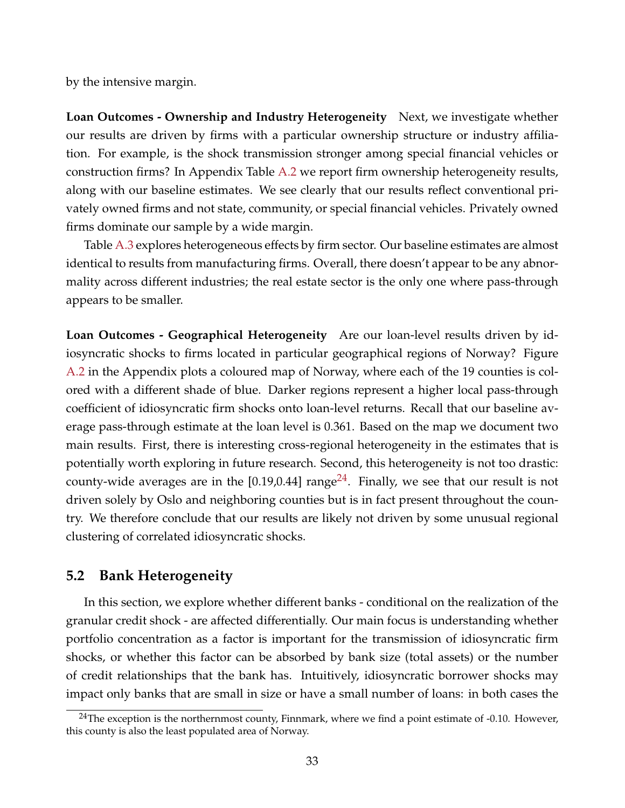by the intensive margin.

**Loan Outcomes - Ownership and Industry Heterogeneity** Next, we investigate whether our results are driven by firms with a particular ownership structure or industry affiliation. For example, is the shock transmission stronger among special financial vehicles or construction firms? In Appendix Table [A.2](#page-54-0) we report firm ownership heterogeneity results, along with our baseline estimates. We see clearly that our results reflect conventional privately owned firms and not state, community, or special financial vehicles. Privately owned firms dominate our sample by a wide margin.

Table [A.3](#page-55-0) explores heterogeneous effects by firm sector. Our baseline estimates are almost identical to results from manufacturing firms. Overall, there doesn't appear to be any abnormality across different industries; the real estate sector is the only one where pass-through appears to be smaller.

**Loan Outcomes - Geographical Heterogeneity** Are our loan-level results driven by idiosyncratic shocks to firms located in particular geographical regions of Norway? Figure [A.2](#page-50-0) in the Appendix plots a coloured map of Norway, where each of the 19 counties is colored with a different shade of blue. Darker regions represent a higher local pass-through coefficient of idiosyncratic firm shocks onto loan-level returns. Recall that our baseline average pass-through estimate at the loan level is 0.361. Based on the map we document two main results. First, there is interesting cross-regional heterogeneity in the estimates that is potentially worth exploring in future research. Second, this heterogeneity is not too drastic: county-wide averages are in the [0.19,0.44] range<sup>[24](#page--1-0)</sup>. Finally, we see that our result is not driven solely by Oslo and neighboring counties but is in fact present throughout the country. We therefore conclude that our results are likely not driven by some unusual regional clustering of correlated idiosyncratic shocks.

# <span id="page-33-0"></span>**5.2 Bank Heterogeneity**

In this section, we explore whether different banks - conditional on the realization of the granular credit shock - are affected differentially. Our main focus is understanding whether portfolio concentration as a factor is important for the transmission of idiosyncratic firm shocks, or whether this factor can be absorbed by bank size (total assets) or the number of credit relationships that the bank has. Intuitively, idiosyncratic borrower shocks may impact only banks that are small in size or have a small number of loans: in both cases the

<sup>&</sup>lt;sup>24</sup>The exception is the northernmost county, Finnmark, where we find a point estimate of  $-0.10$ . However, this county is also the least populated area of Norway.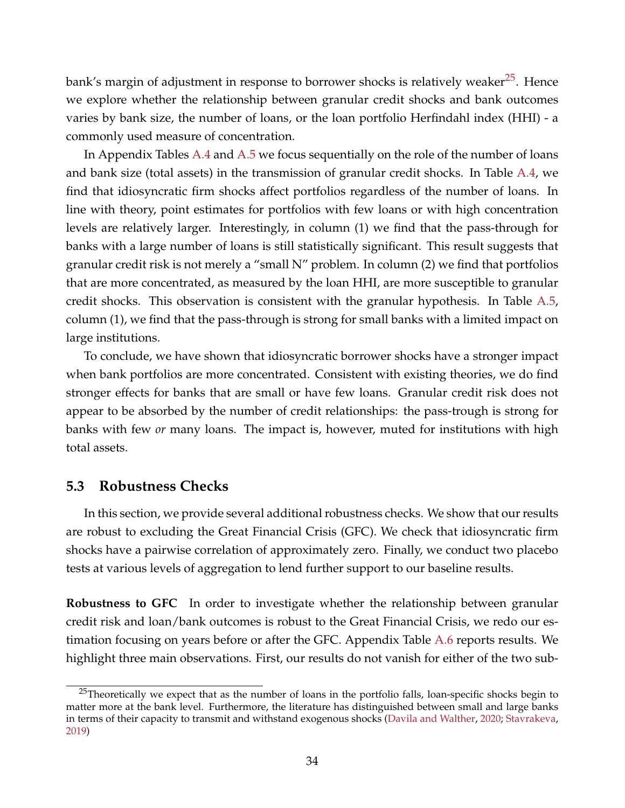bank's margin of adjustment in response to borrower shocks is relatively weaker<sup>[25](#page--1-0)</sup>. Hence we explore whether the relationship between granular credit shocks and bank outcomes varies by bank size, the number of loans, or the loan portfolio Herfindahl index (HHI) - a commonly used measure of concentration.

In Appendix Tables  $A.4$  and  $A.5$  we focus sequentially on the role of the number of loans and bank size (total assets) in the transmission of granular credit shocks. In Table [A.4,](#page-56-0) we find that idiosyncratic firm shocks affect portfolios regardless of the number of loans. In line with theory, point estimates for portfolios with few loans or with high concentration levels are relatively larger. Interestingly, in column (1) we find that the pass-through for banks with a large number of loans is still statistically significant. This result suggests that granular credit risk is not merely a "small N" problem. In column (2) we find that portfolios that are more concentrated, as measured by the loan HHI, are more susceptible to granular credit shocks. This observation is consistent with the granular hypothesis. In Table [A.5,](#page-57-0) column (1), we find that the pass-through is strong for small banks with a limited impact on large institutions.

To conclude, we have shown that idiosyncratic borrower shocks have a stronger impact when bank portfolios are more concentrated. Consistent with existing theories, we do find stronger effects for banks that are small or have few loans. Granular credit risk does not appear to be absorbed by the number of credit relationships: the pass-trough is strong for banks with few *or* many loans. The impact is, however, muted for institutions with high total assets.

### <span id="page-34-0"></span>**5.3 Robustness Checks**

In this section, we provide several additional robustness checks. We show that our results are robust to excluding the Great Financial Crisis (GFC). We check that idiosyncratic firm shocks have a pairwise correlation of approximately zero. Finally, we conduct two placebo tests at various levels of aggregation to lend further support to our baseline results.

**Robustness to GFC** In order to investigate whether the relationship between granular credit risk and loan/bank outcomes is robust to the Great Financial Crisis, we redo our es-timation focusing on years before or after the GFC. Appendix Table [A.6](#page-58-0) reports results. We highlight three main observations. First, our results do not vanish for either of the two sub-

<sup>&</sup>lt;sup>25</sup>Theoretically we expect that as the number of loans in the portfolio falls, loan-specific shocks begin to matter more at the bank level. Furthermore, the literature has distinguished between small and large banks in terms of their capacity to transmit and withstand exogenous shocks [\(Davila and Walther,](#page-46-14) [2020;](#page-46-14) [Stavrakeva,](#page-48-6) [2019\)](#page-48-6)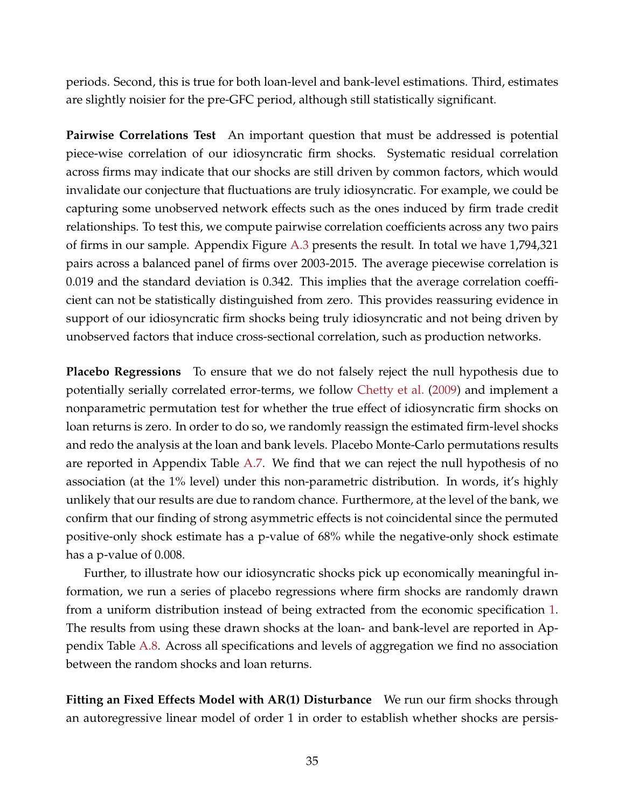periods. Second, this is true for both loan-level and bank-level estimations. Third, estimates are slightly noisier for the pre-GFC period, although still statistically significant.

**Pairwise Correlations Test** An important question that must be addressed is potential piece-wise correlation of our idiosyncratic firm shocks. Systematic residual correlation across firms may indicate that our shocks are still driven by common factors, which would invalidate our conjecture that fluctuations are truly idiosyncratic. For example, we could be capturing some unobserved network effects such as the ones induced by firm trade credit relationships. To test this, we compute pairwise correlation coefficients across any two pairs of firms in our sample. Appendix Figure [A.3](#page-51-0) presents the result. In total we have 1,794,321 pairs across a balanced panel of firms over 2003-2015. The average piecewise correlation is 0.019 and the standard deviation is 0.342. This implies that the average correlation coefficient can not be statistically distinguished from zero. This provides reassuring evidence in support of our idiosyncratic firm shocks being truly idiosyncratic and not being driven by unobserved factors that induce cross-sectional correlation, such as production networks.

**Placebo Regressions** To ensure that we do not falsely reject the null hypothesis due to potentially serially correlated error-terms, we follow [Chetty et al.](#page-46-15) [\(2009\)](#page-46-15) and implement a nonparametric permutation test for whether the true effect of idiosyncratic firm shocks on loan returns is zero. In order to do so, we randomly reassign the estimated firm-level shocks and redo the analysis at the loan and bank levels. Placebo Monte-Carlo permutations results are reported in Appendix Table [A.7.](#page-59-0) We find that we can reject the null hypothesis of no association (at the 1% level) under this non-parametric distribution. In words, it's highly unlikely that our results are due to random chance. Furthermore, at the level of the bank, we confirm that our finding of strong asymmetric effects is not coincidental since the permuted positive-only shock estimate has a p-value of 68% while the negative-only shock estimate has a p-value of 0.008.

Further, to illustrate how our idiosyncratic shocks pick up economically meaningful information, we run a series of placebo regressions where firm shocks are randomly drawn from a uniform distribution instead of being extracted from the economic specification [1.](#page-12-0) The results from using these drawn shocks at the loan- and bank-level are reported in Appendix Table [A.8.](#page-60-0) Across all specifications and levels of aggregation we find no association between the random shocks and loan returns.

**Fitting an Fixed Effects Model with AR(1) Disturbance** We run our firm shocks through an autoregressive linear model of order 1 in order to establish whether shocks are persis-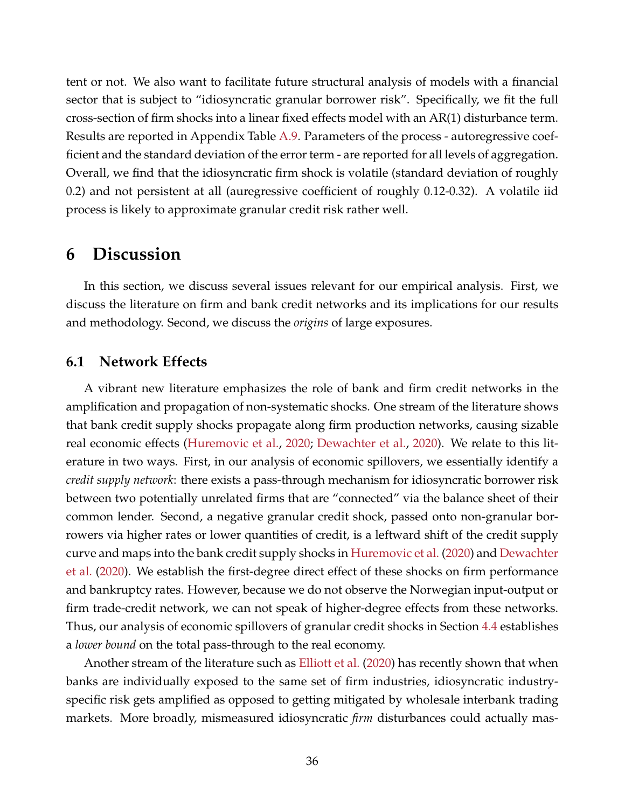tent or not. We also want to facilitate future structural analysis of models with a financial sector that is subject to "idiosyncratic granular borrower risk". Specifically, we fit the full cross-section of firm shocks into a linear fixed effects model with an AR(1) disturbance term. Results are reported in Appendix Table [A.9.](#page-61-0) Parameters of the process - autoregressive coefficient and the standard deviation of the error term - are reported for all levels of aggregation. Overall, we find that the idiosyncratic firm shock is volatile (standard deviation of roughly 0.2) and not persistent at all (auregressive coefficient of roughly 0.12-0.32). A volatile iid process is likely to approximate granular credit risk rather well.

# <span id="page-36-0"></span>**6 Discussion**

In this section, we discuss several issues relevant for our empirical analysis. First, we discuss the literature on firm and bank credit networks and its implications for our results and methodology. Second, we discuss the *origins* of large exposures.

## **6.1 Network Effects**

A vibrant new literature emphasizes the role of bank and firm credit networks in the amplification and propagation of non-systematic shocks. One stream of the literature shows that bank credit supply shocks propagate along firm production networks, causing sizable real economic effects [\(Huremovic et al.,](#page-47-13) [2020;](#page-47-13) [Dewachter et al.,](#page-46-9) [2020\)](#page-46-9). We relate to this literature in two ways. First, in our analysis of economic spillovers, we essentially identify a *credit supply network*: there exists a pass-through mechanism for idiosyncratic borrower risk between two potentially unrelated firms that are "connected" via the balance sheet of their common lender. Second, a negative granular credit shock, passed onto non-granular borrowers via higher rates or lower quantities of credit, is a leftward shift of the credit supply curve and maps into the bank credit supply shocks in [Huremovic et al.](#page-47-13) [\(2020\)](#page-47-13) and [Dewachter](#page-46-9) [et al.](#page-46-9) [\(2020\)](#page-46-9). We establish the first-degree direct effect of these shocks on firm performance and bankruptcy rates. However, because we do not observe the Norwegian input-output or firm trade-credit network, we can not speak of higher-degree effects from these networks. Thus, our analysis of economic spillovers of granular credit shocks in Section [4.4](#page-26-0) establishes a *lower bound* on the total pass-through to the real economy.

Another stream of the literature such as [Elliott et al.](#page-47-17) [\(2020\)](#page-47-17) has recently shown that when banks are individually exposed to the same set of firm industries, idiosyncratic industryspecific risk gets amplified as opposed to getting mitigated by wholesale interbank trading markets. More broadly, mismeasured idiosyncratic *firm* disturbances could actually mas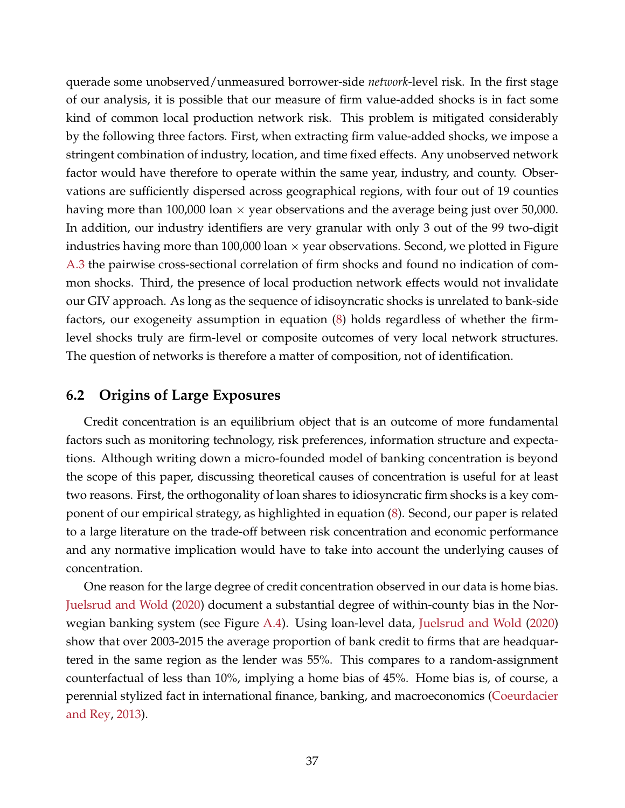querade some unobserved/unmeasured borrower-side *network*-level risk. In the first stage of our analysis, it is possible that our measure of firm value-added shocks is in fact some kind of common local production network risk. This problem is mitigated considerably by the following three factors. First, when extracting firm value-added shocks, we impose a stringent combination of industry, location, and time fixed effects. Any unobserved network factor would have therefore to operate within the same year, industry, and county. Observations are sufficiently dispersed across geographical regions, with four out of 19 counties having more than 100,000 loan  $\times$  year observations and the average being just over 50,000. In addition, our industry identifiers are very granular with only 3 out of the 99 two-digit industries having more than 100,000 loan  $\times$  year observations. Second, we plotted in Figure [A.3](#page-51-0) the pairwise cross-sectional correlation of firm shocks and found no indication of common shocks. Third, the presence of local production network effects would not invalidate our GIV approach. As long as the sequence of idisoyncratic shocks is unrelated to bank-side factors, our exogeneity assumption in equation [\(8\)](#page-15-2) holds regardless of whether the firmlevel shocks truly are firm-level or composite outcomes of very local network structures. The question of networks is therefore a matter of composition, not of identification.

# <span id="page-37-0"></span>**6.2 Origins of Large Exposures**

Credit concentration is an equilibrium object that is an outcome of more fundamental factors such as monitoring technology, risk preferences, information structure and expectations. Although writing down a micro-founded model of banking concentration is beyond the scope of this paper, discussing theoretical causes of concentration is useful for at least two reasons. First, the orthogonality of loan shares to idiosyncratic firm shocks is a key component of our empirical strategy, as highlighted in equation [\(8\)](#page-15-2). Second, our paper is related to a large literature on the trade-off between risk concentration and economic performance and any normative implication would have to take into account the underlying causes of concentration.

One reason for the large degree of credit concentration observed in our data is home bias. [Juelsrud and Wold](#page-47-18) [\(2020\)](#page-47-18) document a substantial degree of within-county bias in the Norwegian banking system (see Figure [A.4\)](#page-52-0). Using loan-level data, [Juelsrud and Wold](#page-47-18) [\(2020\)](#page-47-18) show that over 2003-2015 the average proportion of bank credit to firms that are headquartered in the same region as the lender was 55%. This compares to a random-assignment counterfactual of less than 10%, implying a home bias of 45%. Home bias is, of course, a perennial stylized fact in international finance, banking, and macroeconomics [\(Coeurdacier](#page-46-16) [and Rey,](#page-46-16) [2013\)](#page-46-16).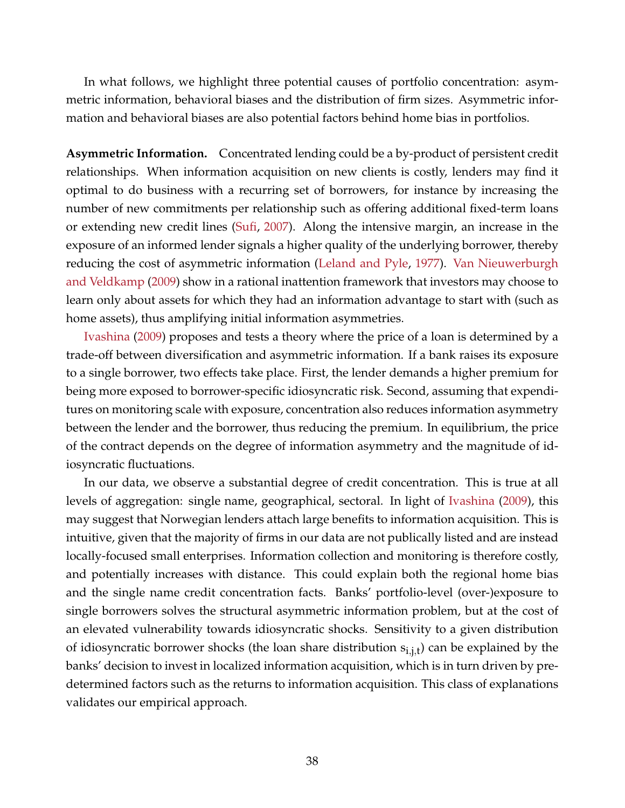In what follows, we highlight three potential causes of portfolio concentration: asymmetric information, behavioral biases and the distribution of firm sizes. Asymmetric information and behavioral biases are also potential factors behind home bias in portfolios.

**Asymmetric Information.** Concentrated lending could be a by-product of persistent credit relationships. When information acquisition on new clients is costly, lenders may find it optimal to do business with a recurring set of borrowers, for instance by increasing the number of new commitments per relationship such as offering additional fixed-term loans or extending new credit lines [\(Sufi,](#page-48-7) [2007\)](#page-48-7). Along the intensive margin, an increase in the exposure of an informed lender signals a higher quality of the underlying borrower, thereby reducing the cost of asymmetric information [\(Leland and Pyle,](#page-47-19) [1977\)](#page-47-19). [Van Nieuwerburgh](#page-48-8) [and Veldkamp](#page-48-8) [\(2009\)](#page-48-8) show in a rational inattention framework that investors may choose to learn only about assets for which they had an information advantage to start with (such as home assets), thus amplifying initial information asymmetries.

[Ivashina](#page-47-20) [\(2009\)](#page-47-20) proposes and tests a theory where the price of a loan is determined by a trade-off between diversification and asymmetric information. If a bank raises its exposure to a single borrower, two effects take place. First, the lender demands a higher premium for being more exposed to borrower-specific idiosyncratic risk. Second, assuming that expenditures on monitoring scale with exposure, concentration also reduces information asymmetry between the lender and the borrower, thus reducing the premium. In equilibrium, the price of the contract depends on the degree of information asymmetry and the magnitude of idiosyncratic fluctuations.

In our data, we observe a substantial degree of credit concentration. This is true at all levels of aggregation: single name, geographical, sectoral. In light of [Ivashina](#page-47-20) [\(2009\)](#page-47-20), this may suggest that Norwegian lenders attach large benefits to information acquisition. This is intuitive, given that the majority of firms in our data are not publically listed and are instead locally-focused small enterprises. Information collection and monitoring is therefore costly, and potentially increases with distance. This could explain both the regional home bias and the single name credit concentration facts. Banks' portfolio-level (over-)exposure to single borrowers solves the structural asymmetric information problem, but at the cost of an elevated vulnerability towards idiosyncratic shocks. Sensitivity to a given distribution of idiosyncratic borrower shocks (the loan share distribution  $s_{i,j,t}$ ) can be explained by the banks' decision to invest in localized information acquisition, which is in turn driven by predetermined factors such as the returns to information acquisition. This class of explanations validates our empirical approach.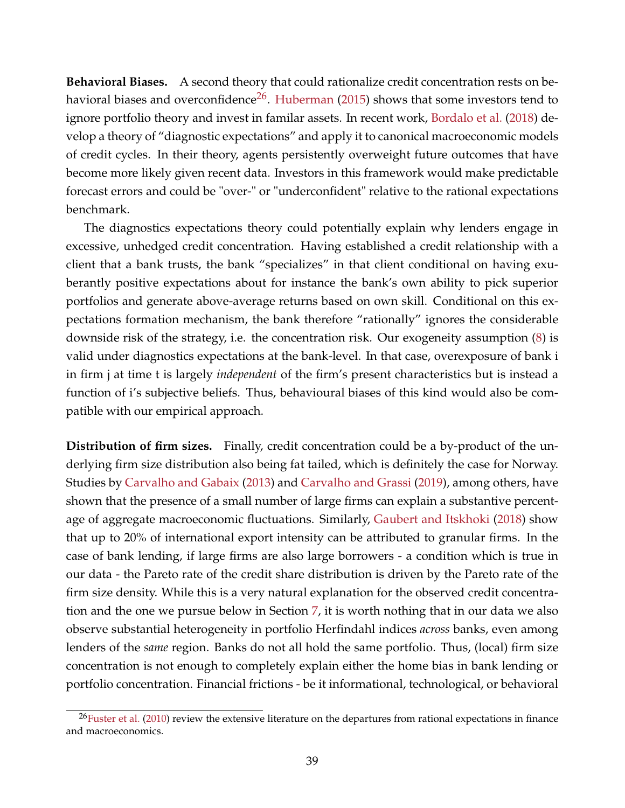**Behavioral Biases.** A second theory that could rationalize credit concentration rests on be-havioral biases and overconfidence<sup>[26](#page--1-0)</sup>. [Huberman](#page-47-21) [\(2015\)](#page-47-21) shows that some investors tend to ignore portfolio theory and invest in familar assets. In recent work, [Bordalo et al.](#page-46-17) [\(2018\)](#page-46-17) develop a theory of "diagnostic expectations" and apply it to canonical macroeconomic models of credit cycles. In their theory, agents persistently overweight future outcomes that have become more likely given recent data. Investors in this framework would make predictable forecast errors and could be "over-" or "underconfident" relative to the rational expectations benchmark.

The diagnostics expectations theory could potentially explain why lenders engage in excessive, unhedged credit concentration. Having established a credit relationship with a client that a bank trusts, the bank "specializes" in that client conditional on having exuberantly positive expectations about for instance the bank's own ability to pick superior portfolios and generate above-average returns based on own skill. Conditional on this expectations formation mechanism, the bank therefore "rationally" ignores the considerable downside risk of the strategy, i.e. the concentration risk. Our exogeneity assumption [\(8\)](#page-15-2) is valid under diagnostics expectations at the bank-level. In that case, overexposure of bank i in firm j at time t is largely *independent* of the firm's present characteristics but is instead a function of i's subjective beliefs. Thus, behavioural biases of this kind would also be compatible with our empirical approach.

**Distribution of firm sizes.** Finally, credit concentration could be a by-product of the underlying firm size distribution also being fat tailed, which is definitely the case for Norway. Studies by [Carvalho and Gabaix](#page-46-1) [\(2013\)](#page-46-1) and [Carvalho and Grassi](#page-46-18) [\(2019\)](#page-46-18), among others, have shown that the presence of a small number of large firms can explain a substantive percentage of aggregate macroeconomic fluctuations. Similarly, [Gaubert and Itskhoki](#page-47-10) [\(2018\)](#page-47-10) show that up to 20% of international export intensity can be attributed to granular firms. In the case of bank lending, if large firms are also large borrowers - a condition which is true in our data - the Pareto rate of the credit share distribution is driven by the Pareto rate of the firm size density. While this is a very natural explanation for the observed credit concentration and the one we pursue below in Section [7,](#page-40-0) it is worth nothing that in our data we also observe substantial heterogeneity in portfolio Herfindahl indices *across* banks, even among lenders of the *same* region. Banks do not all hold the same portfolio. Thus, (local) firm size concentration is not enough to completely explain either the home bias in bank lending or portfolio concentration. Financial frictions - be it informational, technological, or behavioral

 $^{26}$ [Fuster et al.](#page-47-22) [\(2010\)](#page-47-22) review the extensive literature on the departures from rational expectations in finance and macroeconomics.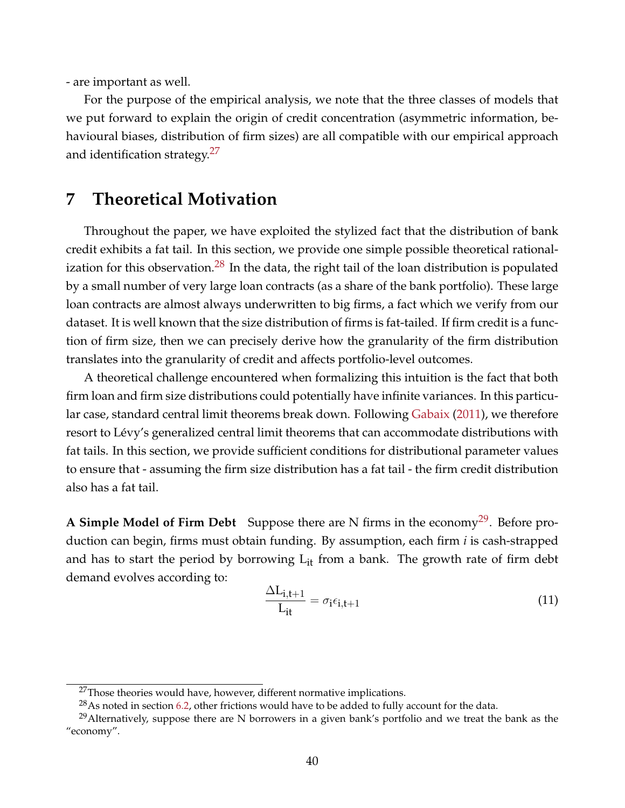- are important as well.

For the purpose of the empirical analysis, we note that the three classes of models that we put forward to explain the origin of credit concentration (asymmetric information, behavioural biases, distribution of firm sizes) are all compatible with our empirical approach and identification strategy.<sup>[27](#page--1-0)</sup>

# <span id="page-40-0"></span>**7 Theoretical Motivation**

Throughout the paper, we have exploited the stylized fact that the distribution of bank credit exhibits a fat tail. In this section, we provide one simple possible theoretical rational-ization for this observation.<sup>[28](#page--1-0)</sup> In the data, the right tail of the loan distribution is populated by a small number of very large loan contracts (as a share of the bank portfolio). These large loan contracts are almost always underwritten to big firms, a fact which we verify from our dataset. It is well known that the size distribution of firms is fat-tailed. If firm credit is a function of firm size, then we can precisely derive how the granularity of the firm distribution translates into the granularity of credit and affects portfolio-level outcomes.

A theoretical challenge encountered when formalizing this intuition is the fact that both firm loan and firm size distributions could potentially have infinite variances. In this particular case, standard central limit theorems break down. Following [Gabaix](#page-47-1) [\(2011\)](#page-47-1), we therefore resort to Lévy's generalized central limit theorems that can accommodate distributions with fat tails. In this section, we provide sufficient conditions for distributional parameter values to ensure that - assuming the firm size distribution has a fat tail - the firm credit distribution also has a fat tail.

**A Simple Model of Firm Debt** Suppose there are N firms in the economy<sup>[29](#page--1-0)</sup>. Before production can begin, firms must obtain funding. By assumption, each firm *i* is cash-strapped and has to start the period by borrowing  $L_{it}$  from a bank. The growth rate of firm debt demand evolves according to:

$$
\frac{\Delta L_{i,t+1}}{L_{it}} = \sigma_i \epsilon_{i,t+1}
$$
\n(11)

 $27$ Those theories would have, however, different normative implications.

 $^{28}$ As noted in section [6.2,](#page-37-0) other frictions would have to be added to fully account for the data.

<sup>&</sup>lt;sup>29</sup>Alternatively, suppose there are N borrowers in a given bank's portfolio and we treat the bank as the "economy".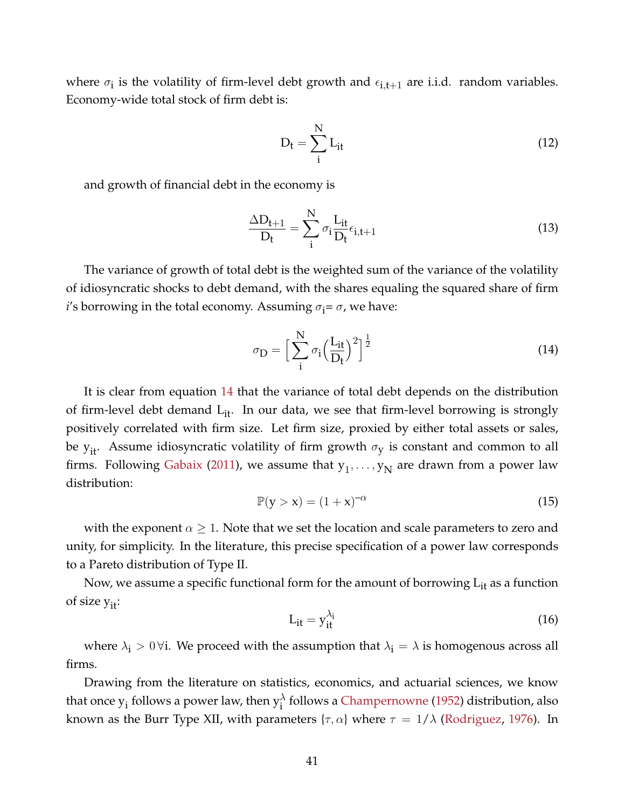where  $\sigma_i$  is the volatility of firm-level debt growth and  $\epsilon_{i,t+1}$  are i.i.d. random variables. Economy-wide total stock of firm debt is:

$$
D_t = \sum_{i}^{N} L_{it}
$$
 (12)

and growth of financial debt in the economy is

$$
\frac{\Delta D_{t+1}}{D_t} = \sum_{i}^{N} \sigma_i \frac{L_{it}}{D_t} \epsilon_{i,t+1}
$$
\n(13)

The variance of growth of total debt is the weighted sum of the variance of the volatility of idiosyncratic shocks to debt demand, with the shares equaling the squared share of firm *i*'s borrowing in the total economy. Assuming  $\sigma_i = \sigma$ , we have:

<span id="page-41-0"></span>
$$
\sigma_{\mathbf{D}} = \Big[\sum_{i}^{N} \sigma_i \Big(\frac{L_{it}}{D_t}\Big)^2\Big]^{\frac{1}{2}}
$$
\n(14)

It is clear from equation [14](#page-41-0) that the variance of total debt depends on the distribution of firm-level debt demand  $L_{it}$ . In our data, we see that firm-level borrowing is strongly positively correlated with firm size. Let firm size, proxied by either total assets or sales, be  $y_{it}$ . Assume idiosyncratic volatility of firm growth  $\sigma_y$  is constant and common to all firms. Following [Gabaix](#page-47-1) [\(2011\)](#page-47-1), we assume that  $y_1, \ldots, y_N$  are drawn from a power law distribution:

$$
\mathbb{P}(\mathbf{y} > \mathbf{x}) = (1 + \mathbf{x})^{-\alpha} \tag{15}
$$

with the exponent  $\alpha \geq 1$ . Note that we set the location and scale parameters to zero and unity, for simplicity. In the literature, this precise specification of a power law corresponds to a Pareto distribution of Type II.

Now, we assume a specific functional form for the amount of borrowing  $L_{it}$  as a function of size  $y_{it}$ :

<span id="page-41-1"></span>
$$
L_{it} = y_{it}^{\lambda_i} \tag{16}
$$

where  $\lambda_i > 0$   $\forall i$ . We proceed with the assumption that  $\lambda_i = \lambda$  is homogenous across all firms.

Drawing from the literature on statistics, economics, and actuarial sciences, we know that once  $y_i$  follows a power law, then  $y_i^{\lambda}$  follows a [Champernowne](#page-46-19) [\(1952\)](#page-46-19) distribution, also known as the Burr Type XII, with parameters  $\{\tau, \alpha\}$  where  $\tau = 1/\lambda$  [\(Rodriguez,](#page-48-9) [1976\)](#page-48-9). In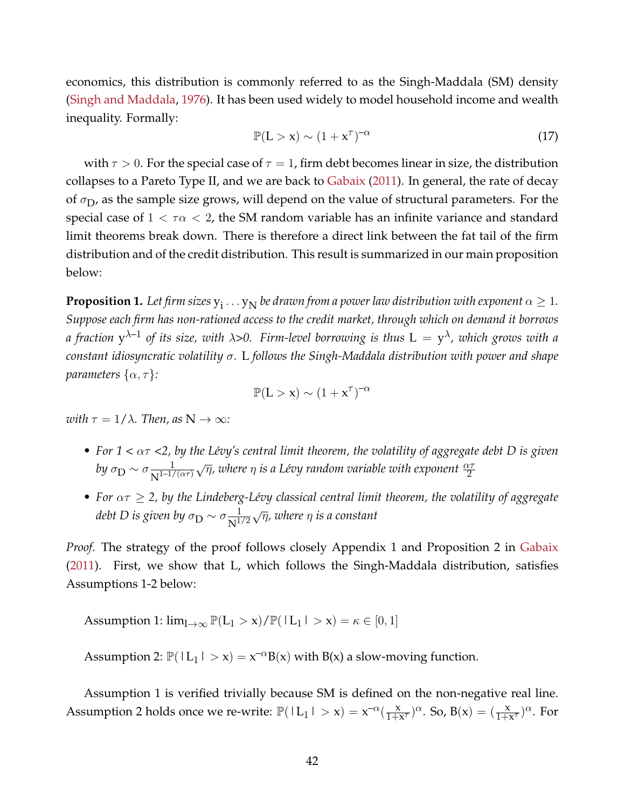economics, this distribution is commonly referred to as the Singh-Maddala (SM) density [\(Singh and Maddala,](#page-48-0) [1976\)](#page-48-0). It has been used widely to model household income and wealth inequality. Formally:

$$
\mathbb{P}(\mathcal{L} > \mathbf{x}) \sim (1 + \mathbf{x}^{\tau})^{-\alpha} \tag{17}
$$

with  $\tau > 0$ . For the special case of  $\tau = 1$ , firm debt becomes linear in size, the distribution collapses to a Pareto Type II, and we are back to [Gabaix](#page-47-1) [\(2011\)](#page-47-1). In general, the rate of decay of  $\sigma_{\text{D}}$ , as the sample size grows, will depend on the value of structural parameters. For the special case of  $1 < \tau \alpha < 2$ , the SM random variable has an infinite variance and standard limit theorems break down. There is therefore a direct link between the fat tail of the firm distribution and of the credit distribution. This result is summarized in our main proposition below:

**Proposition 1.** Let firm sizes  $y_i \dots y_N$  be drawn from a power law distribution with exponent  $\alpha \geq 1.$ *Suppose each firm has non-rationed access to the credit market, through which on demand it borrows a fraction* y λ–1 *of its size, with* λ*>0. Firm-level borrowing is thus* L = y <sup>λ</sup>*, which grows with a constant idiosyncratic volatility* σ*.* L *follows the Singh-Maddala distribution with power and shape parameters*  $\{\alpha, \tau\}$ *:* 

$$
\mathbb{P}(L > x) \sim (1 + x^{\tau})^{-\alpha}
$$

*with*  $\tau = 1/\lambda$ *. Then, as*  $N \to \infty$ *:* 

- *For 1 <* ατ *<2, by the Lévy's central limit theorem, the volatility of aggregate debt D is given* by  $\sigma_{\rm D} \sim \sigma \frac{1}{\rm N^{1-1/3}}$  $\frac{1}{N^{1-1/(\alpha\tau)}}\sqrt{\eta}$ , where  $\eta$  is a Lévy random variable with exponent  $\frac{\alpha\tau}{2}$
- For  $\alpha \tau \geq 2$ , by the Lindeberg-Lévy classical central limit theorem, the volatility of aggregate debt D is given by  $\sigma_{\small \textrm{D}} \sim \sigma \frac{1}{\mathrm{N}^{1.}}$  $\frac{1}{N^{1/2}}\sqrt{\eta}$ , where  $\eta$  is a constant

*Proof.* The strategy of the proof follows closely Appendix 1 and Proposition 2 in [Gabaix](#page-47-1) [\(2011\)](#page-47-1). First, we show that L, which follows the Singh-Maddala distribution, satisfies Assumptions 1-2 below:

Assumption 1:  $\lim_{l\to\infty} \mathbb{P}(L_1 > x)/\mathbb{P}(|L_1| > x) = \kappa \in [0, 1]$ 

Assumption 2:  $\mathbb{P}(|L_1| > x) = x^{-\alpha}B(x)$  with  $B(x)$  a slow-moving function.

Assumption 1 is verified trivially because SM is defined on the non-negative real line. Assumption 2 holds once we re-write:  $\mathbb{P}(|L_1| > x) = x^{-\alpha}(\frac{x}{1+x})$  $\frac{x}{1+x^{\tau}}$ )<sup> $\alpha$ </sup>. So, B(x) =  $(\frac{x}{1+x^{\tau}})^{\alpha}$ . For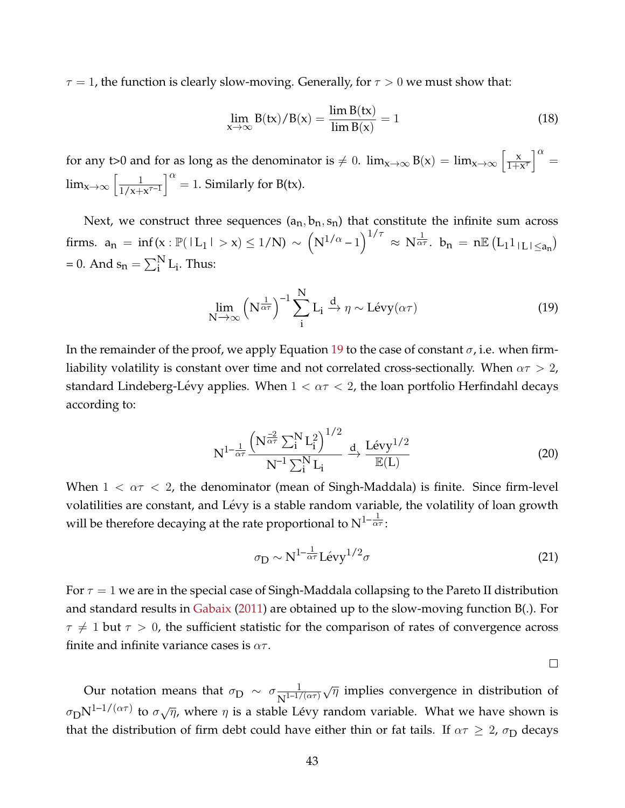$\tau = 1$ , the function is clearly slow-moving. Generally, for  $\tau > 0$  we must show that:

$$
\lim_{x \to \infty} B(tx)/B(x) = \frac{\lim B(tx)}{\lim B(x)} = 1
$$
\n(18)

for any t>0 and for as long as the denominator is  $\neq 0$ .  $\lim_{x\to\infty} B(x) = \lim_{x\to\infty} \left[ \frac{x}{1+x} \right]$  $\left[\frac{x}{1+x^{\tau}}\right]^{\alpha} =$  $\lim_{x\to\infty}$   $\left\lceil \frac{1}{1/x+1} \right\rceil$  $\frac{1}{1/x+x^{\tau-1}}\bigg]^{\alpha} = 1.$  Similarly for B(tx).

Next, we construct three sequences  $(a_n, b_n, s_n)$  that constitute the infinite sum across firms.  $a_n = inf(x : \mathbb{P}( |L_1| > x) ≤ 1/N ) \sim (N^{1/\alpha} - 1)^{1/\tau} \approx N^{\frac{1}{\alpha \tau}}$ .  $b_n = n \mathbb{E}(L_1 1_{|L| \le a_n})$ = 0. And  $s_n = \sum_i^N L_i$ . Thus:

<span id="page-43-0"></span>
$$
\lim_{N \to \infty} \left( N^{\frac{1}{\alpha \tau}} \right)^{-1} \sum_{i}^{N} L_i \xrightarrow{d} \eta \sim Lévy(\alpha \tau)
$$
 (19)

In the remainder of the proof, we apply Equation [19](#page-43-0) to the case of constant  $\sigma$ , i.e. when firmliability volatility is constant over time and not correlated cross-sectionally. When  $\alpha \tau > 2$ , standard Lindeberg-Lévy applies. When  $1 < \alpha \tau < 2$ , the loan portfolio Herfindahl decays according to:

$$
N^{1-\frac{1}{\alpha\tau}}\frac{\left(N^{\frac{-2}{\alpha\tau}}\sum_{i}^{N}L_{i}^{2}\right)^{1/2}}{N^{-1}\sum_{i}^{N}L_{i}} \xrightarrow{d} \frac{Lévy^{1/2}}{E(L)}
$$
(20)

When  $1 < \alpha \tau < 2$ , the denominator (mean of Singh-Maddala) is finite. Since firm-level volatilities are constant, and Lévy is a stable random variable, the volatility of loan growth will be therefore decaying at the rate proportional to  $N^{1-\frac{1}{\alpha_{\tau}}}$ :

$$
\sigma_{\rm D} \sim N^{1-\frac{1}{\alpha\tau}} L \acute{\rm e} {\rm v} {\rm y}^{1/2} \sigma \tag{21}
$$

For  $\tau = 1$  we are in the special case of Singh-Maddala collapsing to the Pareto II distribution and standard results in [Gabaix](#page-47-1) [\(2011\)](#page-47-1) are obtained up to the slow-moving function B(.). For  $\tau \neq 1$  but  $\tau > 0$ , the sufficient statistic for the comparison of rates of convergence across finite and infinite variance cases is  $\alpha\tau$ .

 $\Box$ 

Our notation means that  $\sigma_{\text{D}} \sim \sigma \frac{1}{N^{1-1/2}}$  $\frac{1}{N^{1-1/(\alpha\tau)}}\sqrt{\eta}$  implies convergence in distribution of  $\sigma_{\rm D}N^{1-1/(\alpha\tau)}$  to  $\sigma\sqrt{\eta}$ , where  $\eta$  is a stable Lévy random variable. What we have shown is that the distribution of firm debt could have either thin or fat tails. If  $\alpha \tau \geq 2$ ,  $\sigma_D$  decays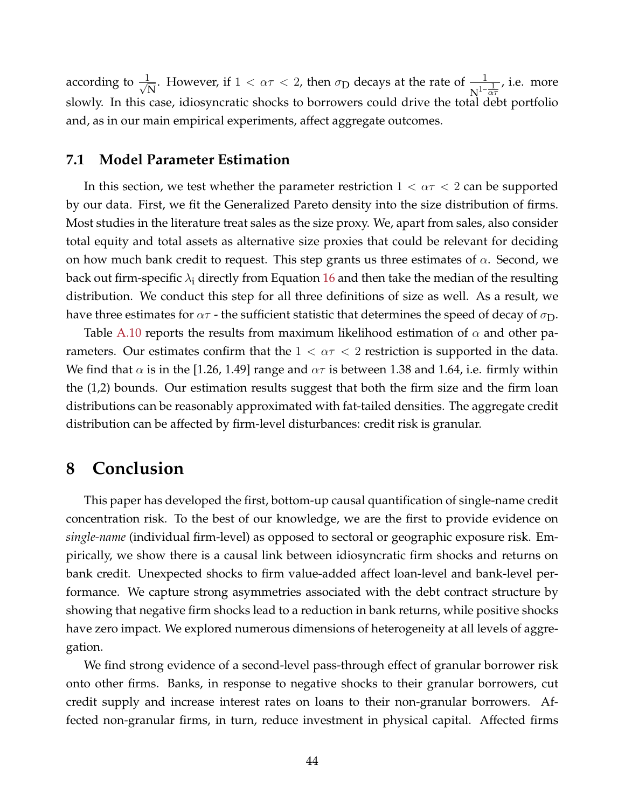according to  $\frac{1}{4}$ However, if  $1 < \alpha \tau < 2$ , then  $\sigma_{\text{D}}$  decays at the rate of  $\frac{1}{N^{1-\frac{1}{\alpha \tau}}}$ , i.e. more slowly. In this case, idiosyncratic shocks to borrowers could drive the total debt portfolio and, as in our main empirical experiments, affect aggregate outcomes.

### **7.1 Model Parameter Estimation**

In this section, we test whether the parameter restriction  $1 < \alpha \tau < 2$  can be supported by our data. First, we fit the Generalized Pareto density into the size distribution of firms. Most studies in the literature treat sales as the size proxy. We, apart from sales, also consider total equity and total assets as alternative size proxies that could be relevant for deciding on how much bank credit to request. This step grants us three estimates of  $\alpha$ . Second, we back out firm-specific  $\lambda_i$  directly from Equation [16](#page-41-1) and then take the median of the resulting distribution. We conduct this step for all three definitions of size as well. As a result, we have three estimates for  $\alpha\tau$  - the sufficient statistic that determines the speed of decay of  $\sigma_{\rm D}$ .

Table [A.10](#page-62-0) reports the results from maximum likelihood estimation of  $\alpha$  and other parameters. Our estimates confirm that the  $1 < \alpha \tau < 2$  restriction is supported in the data. We find that  $\alpha$  is in the [1.26, 1.49] range and  $\alpha\tau$  is between 1.38 and 1.64, i.e. firmly within the (1,2) bounds. Our estimation results suggest that both the firm size and the firm loan distributions can be reasonably approximated with fat-tailed densities. The aggregate credit distribution can be affected by firm-level disturbances: credit risk is granular.

# <span id="page-44-0"></span>**8 Conclusion**

This paper has developed the first, bottom-up causal quantification of single-name credit concentration risk. To the best of our knowledge, we are the first to provide evidence on *single-name* (individual firm-level) as opposed to sectoral or geographic exposure risk. Empirically, we show there is a causal link between idiosyncratic firm shocks and returns on bank credit. Unexpected shocks to firm value-added affect loan-level and bank-level performance. We capture strong asymmetries associated with the debt contract structure by showing that negative firm shocks lead to a reduction in bank returns, while positive shocks have zero impact. We explored numerous dimensions of heterogeneity at all levels of aggregation.

We find strong evidence of a second-level pass-through effect of granular borrower risk onto other firms. Banks, in response to negative shocks to their granular borrowers, cut credit supply and increase interest rates on loans to their non-granular borrowers. Affected non-granular firms, in turn, reduce investment in physical capital. Affected firms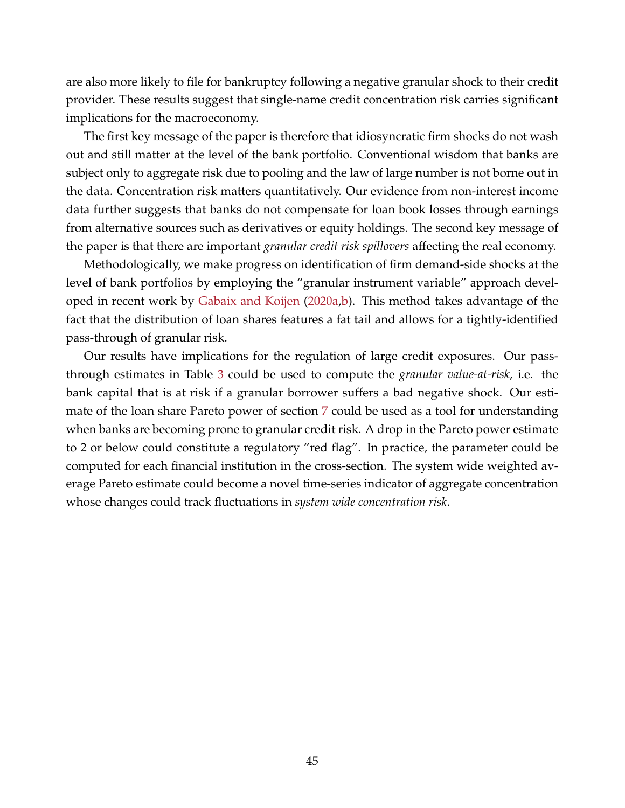are also more likely to file for bankruptcy following a negative granular shock to their credit provider. These results suggest that single-name credit concentration risk carries significant implications for the macroeconomy.

The first key message of the paper is therefore that idiosyncratic firm shocks do not wash out and still matter at the level of the bank portfolio. Conventional wisdom that banks are subject only to aggregate risk due to pooling and the law of large number is not borne out in the data. Concentration risk matters quantitatively. Our evidence from non-interest income data further suggests that banks do not compensate for loan book losses through earnings from alternative sources such as derivatives or equity holdings. The second key message of the paper is that there are important *granular credit risk spillovers* affecting the real economy.

Methodologically, we make progress on identification of firm demand-side shocks at the level of bank portfolios by employing the "granular instrument variable" approach developed in recent work by [Gabaix and Koijen](#page-47-7) [\(2020a,](#page-47-7)[b\)](#page-47-8). This method takes advantage of the fact that the distribution of loan shares features a fat tail and allows for a tightly-identified pass-through of granular risk.

Our results have implications for the regulation of large credit exposures. Our passthrough estimates in Table [3](#page-21-0) could be used to compute the *granular value-at-risk*, i.e. the bank capital that is at risk if a granular borrower suffers a bad negative shock. Our estimate of the loan share Pareto power of section [7](#page-40-0) could be used as a tool for understanding when banks are becoming prone to granular credit risk. A drop in the Pareto power estimate to 2 or below could constitute a regulatory "red flag". In practice, the parameter could be computed for each financial institution in the cross-section. The system wide weighted average Pareto estimate could become a novel time-series indicator of aggregate concentration whose changes could track fluctuations in *system wide concentration risk*.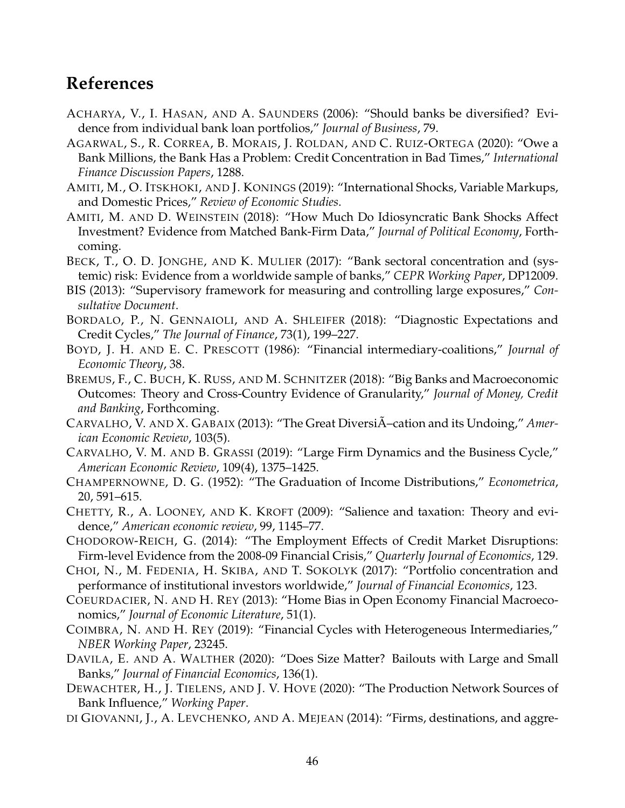# **References**

- <span id="page-46-6"></span>ACHARYA, V., I. HASAN, AND A. SAUNDERS (2006): "Should banks be diversified? Evidence from individual bank loan portfolios," *Journal of Business*, 79.
- <span id="page-46-8"></span>AGARWAL, S., R. CORREA, B. MORAIS, J. ROLDAN, AND C. RUIZ-ORTEGA (2020): "Owe a Bank Millions, the Bank Has a Problem: Credit Concentration in Bad Times," *International Finance Discussion Papers*, 1288.
- <span id="page-46-11"></span>AMITI, M., O. ITSKHOKI, AND J. KONINGS (2019): "International Shocks, Variable Markups, and Domestic Prices," *Review of Economic Studies*.
- <span id="page-46-3"></span>AMITI, M. AND D. WEINSTEIN (2018): "How Much Do Idiosyncratic Bank Shocks Affect Investment? Evidence from Matched Bank-Firm Data," *Journal of Political Economy*, Forthcoming.
- <span id="page-46-7"></span>BECK, T., O. D. JONGHE, AND K. MULIER (2017): "Bank sectoral concentration and (systemic) risk: Evidence from a worldwide sample of banks," *CEPR Working Paper*, DP12009.
- <span id="page-46-0"></span>BIS (2013): "Supervisory framework for measuring and controlling large exposures," *Consultative Document*.
- <span id="page-46-17"></span>BORDALO, P., N. GENNAIOLI, AND A. SHLEIFER (2018): "Diagnostic Expectations and Credit Cycles," *The Journal of Finance*, 73(1), 199–227.
- <span id="page-46-5"></span>BOYD, J. H. AND E. C. PRESCOTT (1986): "Financial intermediary-coalitions," *Journal of Economic Theory*, 38.
- <span id="page-46-4"></span>BREMUS, F., C. BUCH, K. RUSS, AND M. SCHNITZER (2018): "Big Banks and Macroeconomic Outcomes: Theory and Cross-Country Evidence of Granularity," *Journal of Money, Credit and Banking*, Forthcoming.
- <span id="page-46-1"></span>CARVALHO, V. AND X. GABAIX (2013): "The Great DiversiA-cation and its Undoing," Amer*ican Economic Review*, 103(5).
- <span id="page-46-18"></span>CARVALHO, V. M. AND B. GRASSI (2019): "Large Firm Dynamics and the Business Cycle," *American Economic Review*, 109(4), 1375–1425.
- <span id="page-46-19"></span>CHAMPERNOWNE, D. G. (1952): "The Graduation of Income Distributions," *Econometrica*, 20, 591–615.
- <span id="page-46-15"></span>CHETTY, R., A. LOONEY, AND K. KROFT (2009): "Salience and taxation: Theory and evidence," *American economic review*, 99, 1145–77.
- <span id="page-46-13"></span>CHODOROW-REICH, G. (2014): "The Employment Effects of Credit Market Disruptions: Firm-level Evidence from the 2008-09 Financial Crisis," *Quarterly Journal of Economics*, 129.
- <span id="page-46-2"></span>CHOI, N., M. FEDENIA, H. SKIBA, AND T. SOKOLYK (2017): "Portfolio concentration and performance of institutional investors worldwide," *Journal of Financial Economics*, 123.
- <span id="page-46-16"></span>COEURDACIER, N. AND H. REY (2013): "Home Bias in Open Economy Financial Macroeconomics," *Journal of Economic Literature*, 51(1).
- <span id="page-46-12"></span>COIMBRA, N. AND H. REY (2019): "Financial Cycles with Heterogeneous Intermediaries," *NBER Working Paper*, 23245.
- <span id="page-46-14"></span>DAVILA, E. AND A. WALTHER (2020): "Does Size Matter? Bailouts with Large and Small Banks," *Journal of Financial Economics*, 136(1).
- <span id="page-46-9"></span>DEWACHTER, H., J. TIELENS, AND J. V. HOVE (2020): "The Production Network Sources of Bank Influence," *Working Paper*.
- <span id="page-46-10"></span>DI GIOVANNI, J., A. LEVCHENKO, AND A. MEJEAN (2014): "Firms, destinations, and aggre-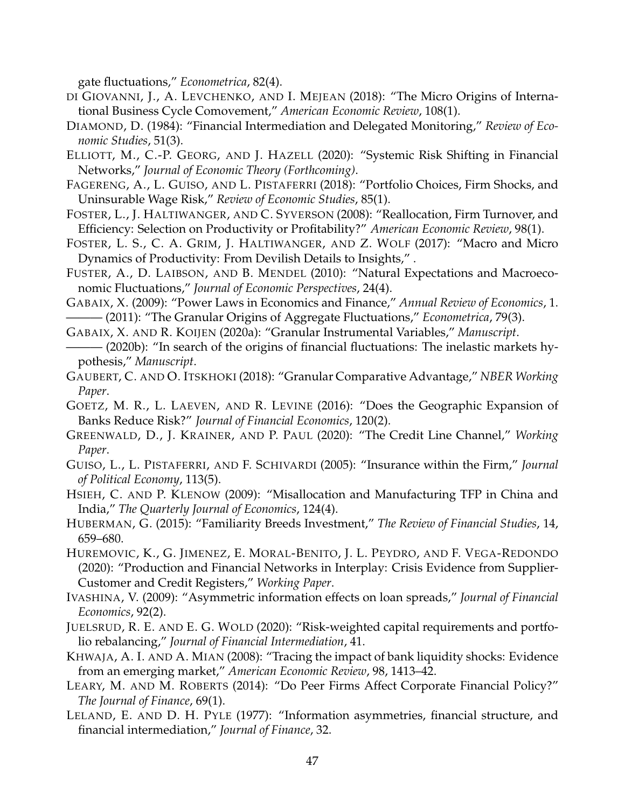gate fluctuations," *Econometrica*, 82(4).

- <span id="page-47-11"></span>DI GIOVANNI, J., A. LEVCHENKO, AND I. MEJEAN (2018): "The Micro Origins of International Business Cycle Comovement," *American Economic Review*, 108(1).
- <span id="page-47-0"></span>DIAMOND, D. (1984): "Financial Intermediation and Delegated Monitoring," *Review of Economic Studies*, 51(3).
- <span id="page-47-17"></span>ELLIOTT, M., C.-P. GEORG, AND J. HAZELL (2020): "Systemic Risk Shifting in Financial Networks," *Journal of Economic Theory (Forthcoming)*.
- <span id="page-47-5"></span>FAGERENG, A., L. GUISO, AND L. PISTAFERRI (2018): "Portfolio Choices, Firm Shocks, and Uninsurable Wage Risk," *Review of Economic Studies*, 85(1).
- <span id="page-47-14"></span>FOSTER, L., J. HALTIWANGER, AND C. SYVERSON (2008): "Reallocation, Firm Turnover, and Efficiency: Selection on Productivity or Profitability?" *American Economic Review*, 98(1).
- <span id="page-47-15"></span>FOSTER, L. S., C. A. GRIM, J. HALTIWANGER, AND Z. WOLF (2017): "Macro and Micro Dynamics of Productivity: From Devilish Details to Insights," .
- <span id="page-47-22"></span>FUSTER, A., D. LAIBSON, AND B. MENDEL (2010): "Natural Expectations and Macroeconomic Fluctuations," *Journal of Economic Perspectives*, 24(4).
- <span id="page-47-2"></span><span id="page-47-1"></span>GABAIX, X. (2009): "Power Laws in Economics and Finance," *Annual Review of Economics*, 1. ——— (2011): "The Granular Origins of Aggregate Fluctuations," *Econometrica*, 79(3).
- <span id="page-47-7"></span>GABAIX, X. AND R. KOIJEN (2020a): "Granular Instrumental Variables," *Manuscript*.
- <span id="page-47-8"></span>——— (2020b): "In search of the origins of financial fluctuations: The inelastic markets hypothesis," *Manuscript*.
- <span id="page-47-10"></span>GAUBERT, C. AND O. ITSKHOKI (2018): "Granular Comparative Advantage," *NBER Working Paper*.
- <span id="page-47-12"></span>GOETZ, M. R., L. LAEVEN, AND R. LEVINE (2016): "Does the Geographic Expansion of Banks Reduce Risk?" *Journal of Financial Economics*, 120(2).
- <span id="page-47-9"></span>GREENWALD, D., J. KRAINER, AND P. PAUL (2020): "The Credit Line Channel," *Working Paper*.
- <span id="page-47-3"></span>GUISO, L., L. PISTAFERRI, AND F. SCHIVARDI (2005): "Insurance within the Firm," *Journal of Political Economy*, 113(5).
- <span id="page-47-4"></span>HSIEH, C. AND P. KLENOW (2009): "Misallocation and Manufacturing TFP in China and India," *The Quarterly Journal of Economics*, 124(4).
- <span id="page-47-21"></span>HUBERMAN, G. (2015): "Familiarity Breeds Investment," *The Review of Financial Studies*, 14, 659–680.
- <span id="page-47-13"></span>HUREMOVIC, K., G. JIMENEZ, E. MORAL-BENITO, J. L. PEYDRO, AND F. VEGA-REDONDO (2020): "Production and Financial Networks in Interplay: Crisis Evidence from Supplier-Customer and Credit Registers," *Working Paper*.
- <span id="page-47-20"></span>IVASHINA, V. (2009): "Asymmetric information effects on loan spreads," *Journal of Financial Economics*, 92(2).
- <span id="page-47-18"></span>JUELSRUD, R. E. AND E. G. WOLD (2020): "Risk-weighted capital requirements and portfolio rebalancing," *Journal of Financial Intermediation*, 41.
- <span id="page-47-6"></span>KHWAJA, A. I. AND A. MIAN (2008): "Tracing the impact of bank liquidity shocks: Evidence from an emerging market," *American Economic Review*, 98, 1413–42.
- <span id="page-47-16"></span>LEARY, M. AND M. ROBERTS (2014): "Do Peer Firms Affect Corporate Financial Policy?" *The Journal of Finance*, 69(1).
- <span id="page-47-19"></span>LELAND, E. AND D. H. PYLE (1977): "Information asymmetries, financial structure, and financial intermediation," *Journal of Finance*, 32.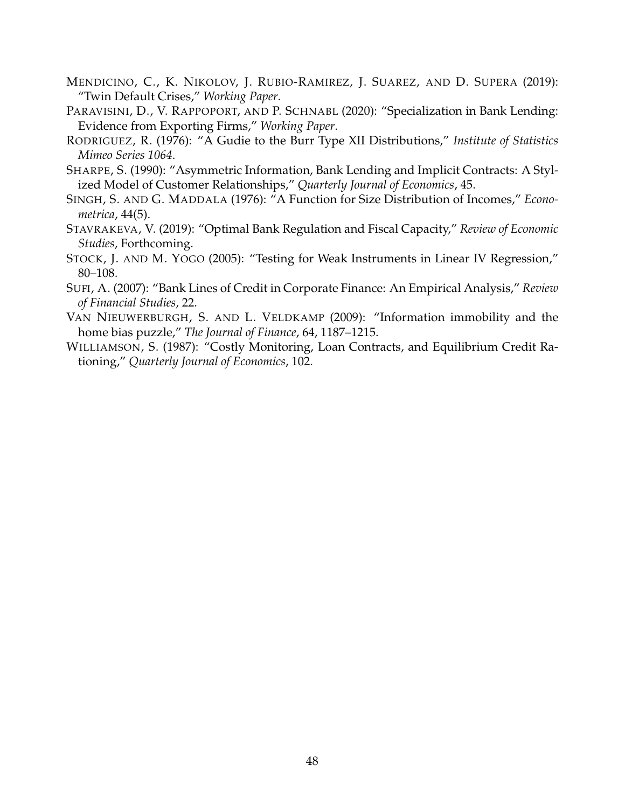- <span id="page-48-2"></span>MENDICINO, C., K. NIKOLOV, J. RUBIO-RAMIREZ, J. SUAREZ, AND D. SUPERA (2019): "Twin Default Crises," *Working Paper*.
- <span id="page-48-1"></span>PARAVISINI, D., V. RAPPOPORT, AND P. SCHNABL (2020): "Specialization in Bank Lending: Evidence from Exporting Firms," *Working Paper*.
- <span id="page-48-9"></span>RODRIGUEZ, R. (1976): "A Gudie to the Burr Type XII Distributions," *Institute of Statistics Mimeo Series 1064*.
- <span id="page-48-4"></span>SHARPE, S. (1990): "Asymmetric Information, Bank Lending and Implicit Contracts: A Stylized Model of Customer Relationships," *Quarterly Journal of Economics*, 45.
- <span id="page-48-0"></span>SINGH, S. AND G. MADDALA (1976): "A Function for Size Distribution of Incomes," *Econometrica*, 44(5).
- <span id="page-48-6"></span>STAVRAKEVA, V. (2019): "Optimal Bank Regulation and Fiscal Capacity," *Review of Economic Studies*, Forthcoming.
- <span id="page-48-5"></span>STOCK, J. AND M. YOGO (2005): "Testing for Weak Instruments in Linear IV Regression," 80–108.
- <span id="page-48-7"></span>SUFI, A. (2007): "Bank Lines of Credit in Corporate Finance: An Empirical Analysis," *Review of Financial Studies*, 22.
- <span id="page-48-8"></span>VAN NIEUWERBURGH, S. AND L. VELDKAMP (2009): "Information immobility and the home bias puzzle," *The Journal of Finance*, 64, 1187–1215.
- <span id="page-48-3"></span>WILLIAMSON, S. (1987): "Costly Monitoring, Loan Contracts, and Equilibrium Credit Rationing," *Quarterly Journal of Economics*, 102.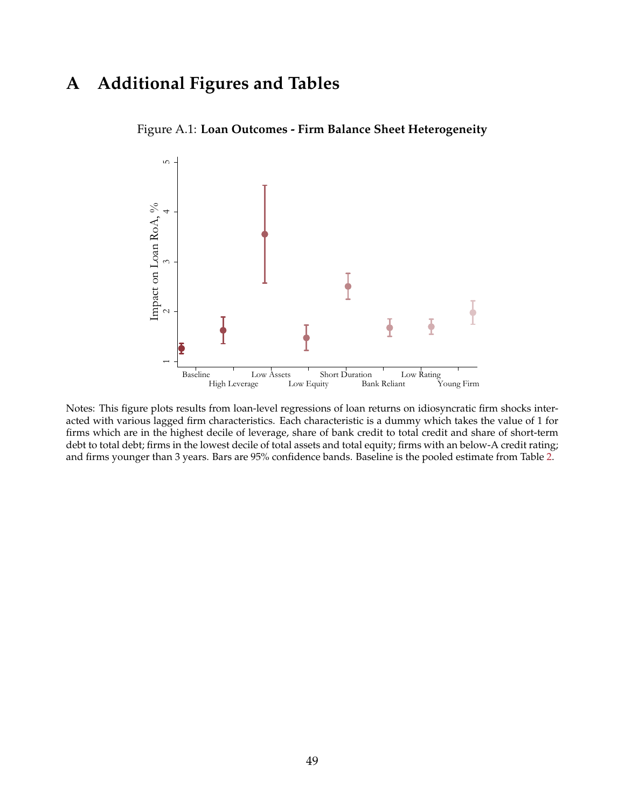# <span id="page-49-0"></span>**A Additional Figures and Tables**



Figure A.1: **Loan Outcomes - Firm Balance Sheet Heterogeneity**

Notes: This figure plots results from loan-level regressions of loan returns on idiosyncratic firm shocks interacted with various lagged firm characteristics. Each characteristic is a dummy which takes the value of 1 for firms which are in the highest decile of leverage, share of bank credit to total credit and share of short-term debt to total debt; firms in the lowest decile of total assets and total equity; firms with an below-A credit rating; and firms younger than 3 years. Bars are 95% confidence bands. Baseline is the pooled estimate from Table [2.](#page-18-2)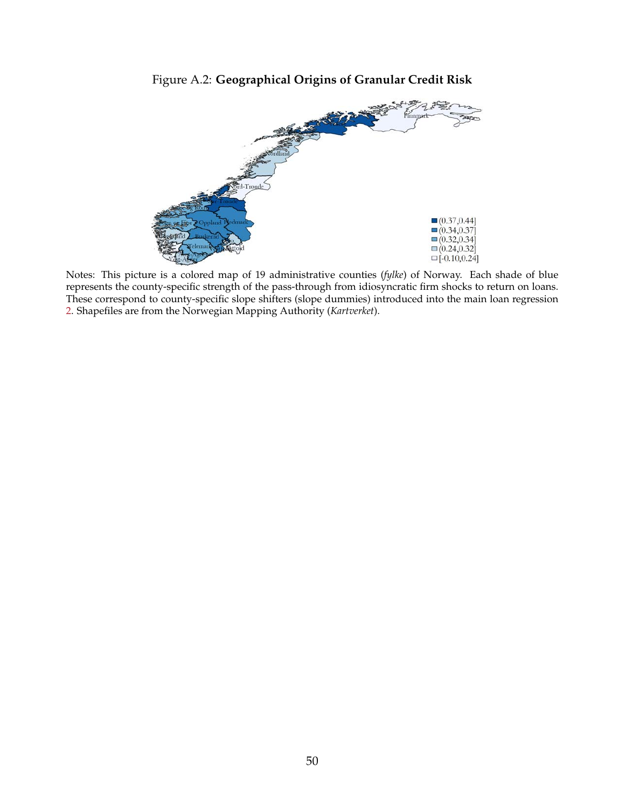## Figure A.2: **Geographical Origins of Granular Credit Risk**

<span id="page-50-0"></span>

Notes: This picture is a colored map of 19 administrative counties (*fylke*) of Norway. Each shade of blue represents the county-specific strength of the pass-through from idiosyncratic firm shocks to return on loans. These correspond to county-specific slope shifters (slope dummies) introduced into the main loan regression [2.](#page-14-1) Shapefiles are from the Norwegian Mapping Authority (*Kartverket*).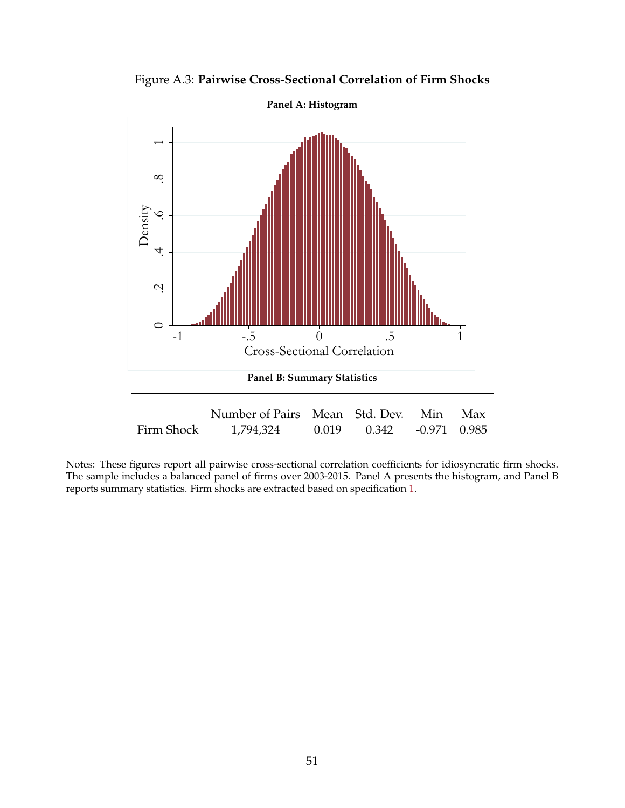<span id="page-51-0"></span>

Figure A.3: **Pairwise Cross-Sectional Correlation of Firm Shocks**

Notes: These figures report all pairwise cross-sectional correlation coefficients for idiosyncratic firm shocks. The sample includes a balanced panel of firms over 2003-2015. Panel A presents the histogram, and Panel B reports summary statistics. Firm shocks are extracted based on specification [1.](#page-12-0)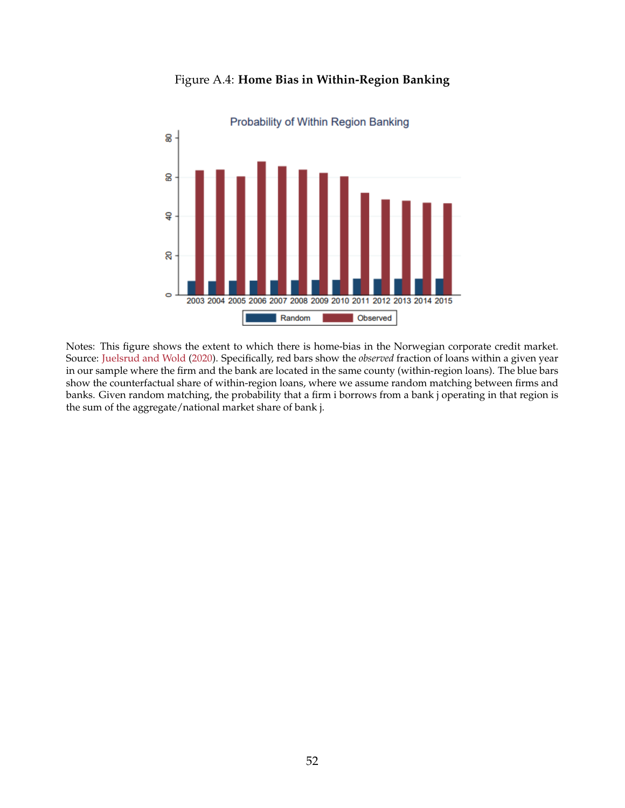<span id="page-52-0"></span>

Figure A.4: **Home Bias in Within-Region Banking**

Notes: This figure shows the extent to which there is home-bias in the Norwegian corporate credit market. Source: [Juelsrud and Wold](#page-47-18) [\(2020\)](#page-47-18). Specifically, red bars show the *observed* fraction of loans within a given year in our sample where the firm and the bank are located in the same county (within-region loans). The blue bars show the counterfactual share of within-region loans, where we assume random matching between firms and banks. Given random matching, the probability that a firm i borrows from a bank j operating in that region is the sum of the aggregate/national market share of bank j.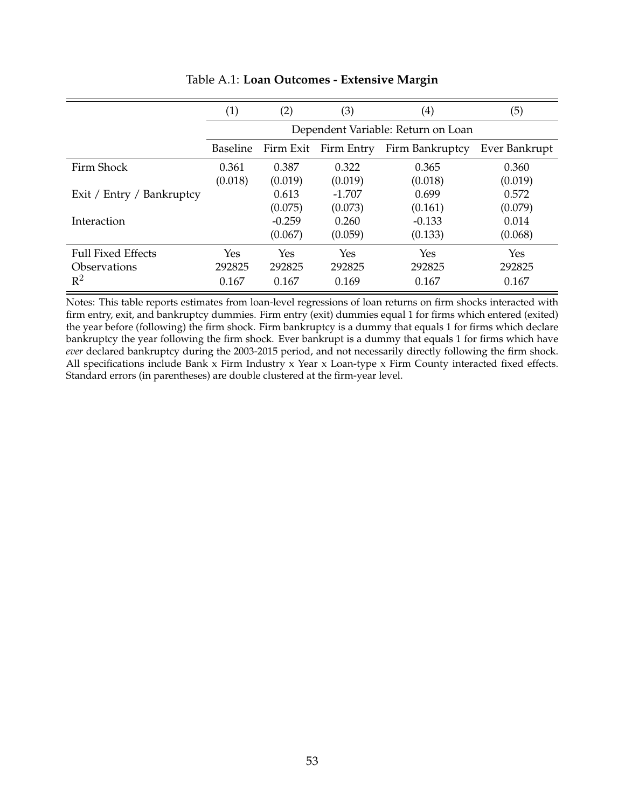<span id="page-53-0"></span>

|                           | $\left( 1\right)$ | (2)       | (3)        | $\left( 4\right)$                  | (5)           |
|---------------------------|-------------------|-----------|------------|------------------------------------|---------------|
|                           |                   |           |            | Dependent Variable: Return on Loan |               |
|                           | <b>Baseline</b>   | Firm Exit | Firm Entry | Firm Bankruptcy                    | Ever Bankrupt |
| Firm Shock                | 0.361             | 0.387     | 0.322      | 0.365                              | 0.360         |
|                           | (0.018)           | (0.019)   | (0.019)    | (0.018)                            | (0.019)       |
| Exit / Entry / Bankruptcy |                   | 0.613     | $-1.707$   | 0.699                              | 0.572         |
|                           |                   | (0.075)   | (0.073)    | (0.161)                            | (0.079)       |
| Interaction               |                   | $-0.259$  | 0.260      | $-0.133$                           | 0.014         |
|                           |                   | (0.067)   | (0.059)    | (0.133)                            | (0.068)       |
| <b>Full Fixed Effects</b> | Yes               | Yes       | Yes        | Yes                                | Yes           |
| <b>Observations</b>       | 292825            | 292825    | 292825     | 292825                             | 292825        |
| $R^2$                     | 0.167             | 0.167     | 0.169      | 0.167                              | 0.167         |

### Table A.1: **Loan Outcomes - Extensive Margin**

Notes: This table reports estimates from loan-level regressions of loan returns on firm shocks interacted with firm entry, exit, and bankruptcy dummies. Firm entry (exit) dummies equal 1 for firms which entered (exited) the year before (following) the firm shock. Firm bankruptcy is a dummy that equals 1 for firms which declare bankruptcy the year following the firm shock. Ever bankrupt is a dummy that equals 1 for firms which have *ever* declared bankruptcy during the 2003-2015 period, and not necessarily directly following the firm shock. All specifications include Bank x Firm Industry x Year x Loan-type x Firm County interacted fixed effects. Standard errors (in parentheses) are double clustered at the firm-year level.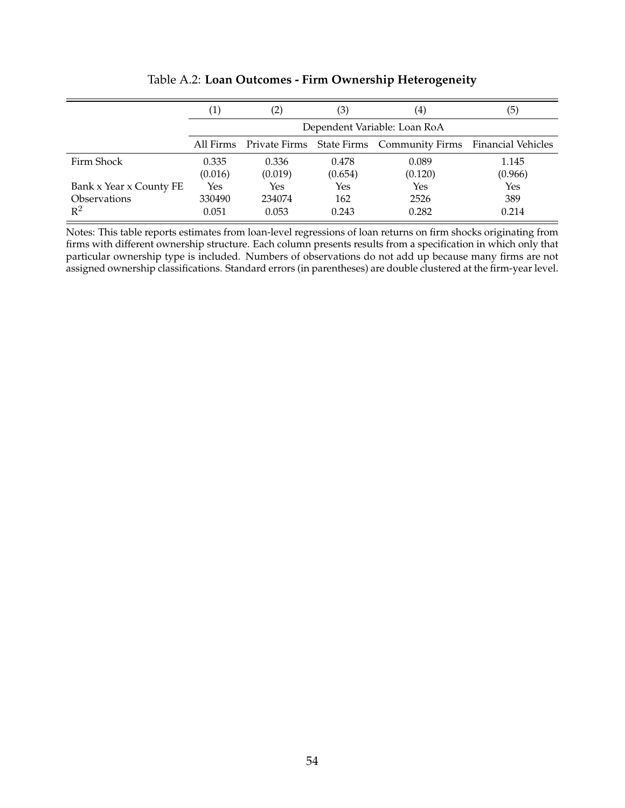<span id="page-54-0"></span>

|                         | $\left( 1\right)$ | $\left( 2\right)$ | (3)     | $\scriptstyle{(4)}$                                                    | (5)     |
|-------------------------|-------------------|-------------------|---------|------------------------------------------------------------------------|---------|
|                         |                   |                   |         | Dependent Variable: Loan RoA                                           |         |
|                         |                   |                   |         | All Firms Private Firms State Firms Community Firms Financial Vehicles |         |
| Firm Shock              | 0.335             | 0.336             | 0.478   | 0.089                                                                  | 1.145   |
|                         | (0.016)           | (0.019)           | (0.654) | (0.120)                                                                | (0.966) |
| Bank x Year x County FE | Yes               | Yes               | Yes     | Yes                                                                    | Yes     |
| <b>Observations</b>     | 330490            | 234074            | 162     | 2526                                                                   | 389     |
| $\mathbb{R}^2$          | 0.051             | 0.053             | 0.243   | 0.282                                                                  | 0.214   |

Table A.2: **Loan Outcomes - Firm Ownership Heterogeneity**

Notes: This table reports estimates from loan-level regressions of loan returns on firm shocks originating from firms with different ownership structure. Each column presents results from a specification in which only that particular ownership type is included. Numbers of observations do not add up because many firms are not assigned ownership classifications. Standard errors (in parentheses) are double clustered at the firm-year level.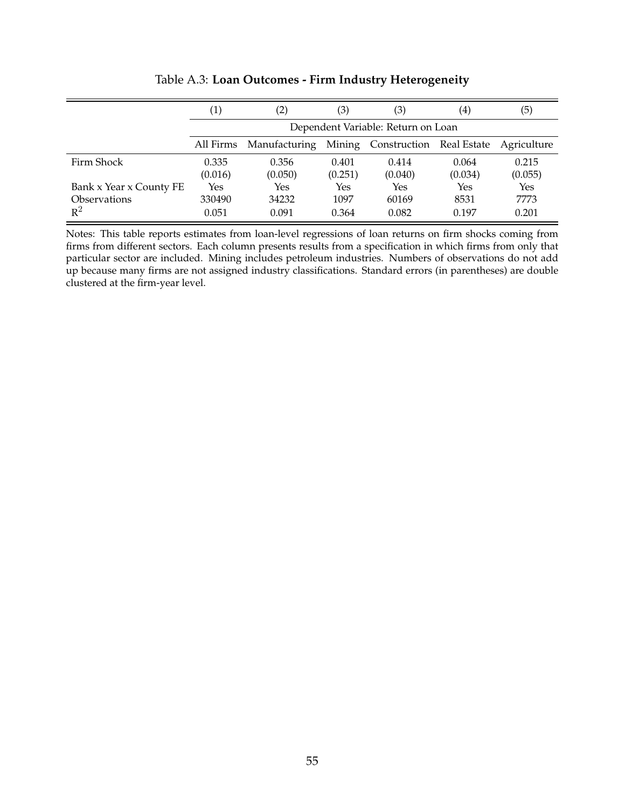<span id="page-55-0"></span>

|                         | (1)       |               | (3)     | (3)                                | $\scriptstyle{(4)}$ | (5)         |
|-------------------------|-----------|---------------|---------|------------------------------------|---------------------|-------------|
|                         |           |               |         | Dependent Variable: Return on Loan |                     |             |
|                         | All Firms | Manufacturing |         | Mining Construction Real Estate    |                     | Agriculture |
| Firm Shock              | 0.335     | 0.356         | 0.401   | 0.414                              | 0.064               | 0.215       |
|                         | (0.016)   | (0.050)       | (0.251) | (0.040)                            | (0.034)             | (0.055)     |
| Bank x Year x County FE | Yes       | Yes           | Yes     | Yes                                | Yes                 | Yes         |
| <b>Observations</b>     | 330490    | 34232         | 1097    | 60169                              | 8531                | 7773        |
| $\mathbb{R}^2$          | 0.051     | 0.091         | 0.364   | 0.082                              | 0.197               | 0.201       |

Table A.3: **Loan Outcomes - Firm Industry Heterogeneity**

Notes: This table reports estimates from loan-level regressions of loan returns on firm shocks coming from firms from different sectors. Each column presents results from a specification in which firms from only that particular sector are included. Mining includes petroleum industries. Numbers of observations do not add up because many firms are not assigned industry classifications. Standard errors (in parentheses) are double clustered at the firm-year level.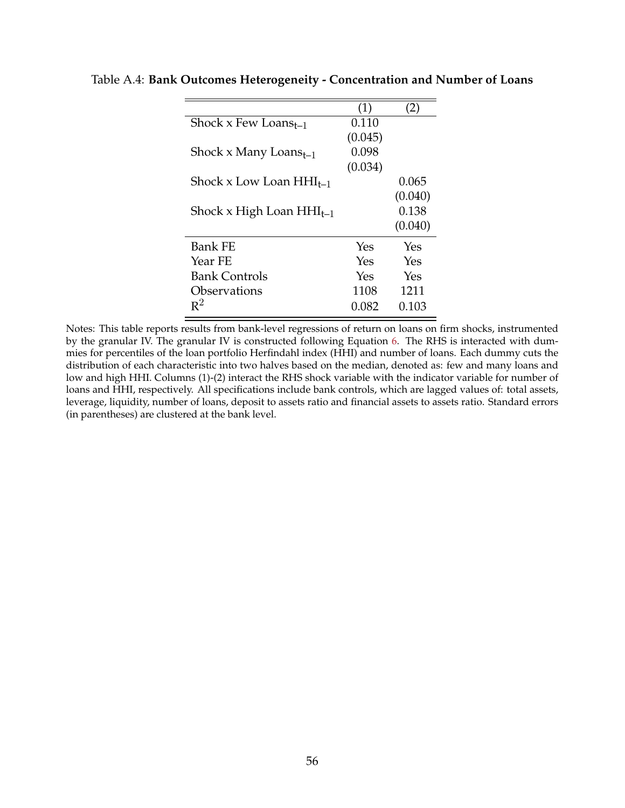|                               | (1)     | $\sum$  |
|-------------------------------|---------|---------|
| Shock x Few Loans $_{t-1}$    | 0.110   |         |
|                               | (0.045) |         |
| Shock x Many Loans $_{t-1}$   | 0.098   |         |
|                               | (0.034) |         |
| Shock x Low Loan $HHI_{t-1}$  |         | 0.065   |
|                               |         | (0.040) |
| Shock x High Loan $HHI_{t-1}$ |         | 0.138   |
|                               |         | (0.040) |
| <b>Bank FE</b>                | Yes     | Yes     |
| Year FE                       | Yes     | Yes     |
| <b>Bank Controls</b>          | Yes     | Yes     |
| Observations                  | 1108    | 1211    |
| $R^2$                         | 0.082   | 0.103   |
|                               |         |         |

<span id="page-56-0"></span>Table A.4: **Bank Outcomes Heterogeneity - Concentration and Number of Loans**

Notes: This table reports results from bank-level regressions of return on loans on firm shocks, instrumented by the granular IV. The granular IV is constructed following Equation [6.](#page-15-0) The RHS is interacted with dummies for percentiles of the loan portfolio Herfindahl index (HHI) and number of loans. Each dummy cuts the distribution of each characteristic into two halves based on the median, denoted as: few and many loans and low and high HHI. Columns (1)-(2) interact the RHS shock variable with the indicator variable for number of loans and HHI, respectively. All specifications include bank controls, which are lagged values of: total assets, leverage, liquidity, number of loans, deposit to assets ratio and financial assets to assets ratio. Standard errors (in parentheses) are clustered at the bank level.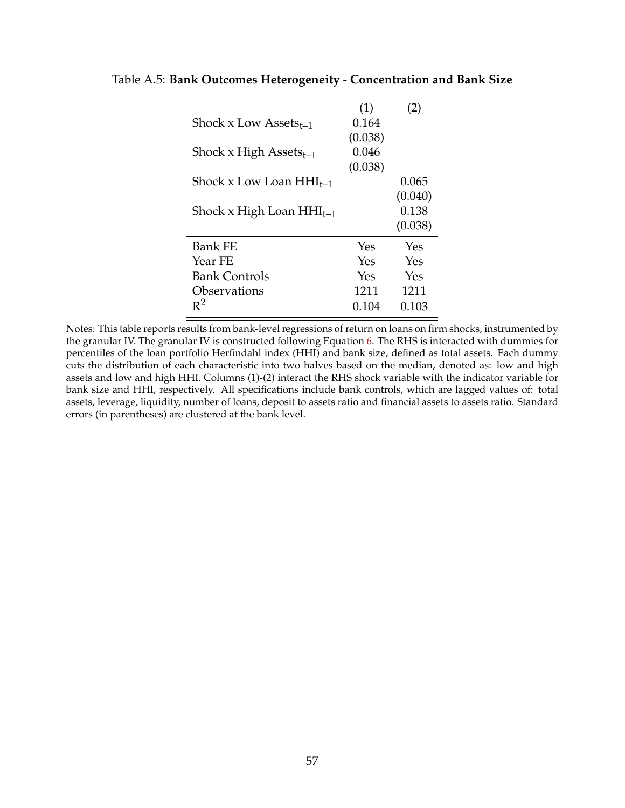|                               | (1)     | $\sum$  |
|-------------------------------|---------|---------|
| Shock x Low Assets $_{t-1}$   | 0.164   |         |
|                               | (0.038) |         |
| Shock x High Assets $_{t-1}$  | 0.046   |         |
|                               | (0.038) |         |
| Shock x Low Loan $HHI_{t-1}$  |         | 0.065   |
|                               |         | (0.040) |
| Shock x High Loan $HHI_{t-1}$ |         | 0.138   |
|                               |         | (0.038) |
| Bank FE                       | Yes     | Yes     |
| Year FE                       | Yes     | Yes     |
| <b>Bank Controls</b>          | Yes     | Yes     |
| Observations                  | 1211    | 1211    |
| $R^2$                         | 0.104   | 0.103   |

<span id="page-57-0"></span>Table A.5: **Bank Outcomes Heterogeneity - Concentration and Bank Size**

Notes: This table reports results from bank-level regressions of return on loans on firm shocks, instrumented by the granular IV. The granular IV is constructed following Equation [6.](#page-15-0) The RHS is interacted with dummies for percentiles of the loan portfolio Herfindahl index (HHI) and bank size, defined as total assets. Each dummy cuts the distribution of each characteristic into two halves based on the median, denoted as: low and high assets and low and high HHI. Columns (1)-(2) interact the RHS shock variable with the indicator variable for bank size and HHI, respectively. All specifications include bank controls, which are lagged values of: total assets, leverage, liquidity, number of loans, deposit to assets ratio and financial assets to assets ratio. Standard errors (in parentheses) are clustered at the bank level.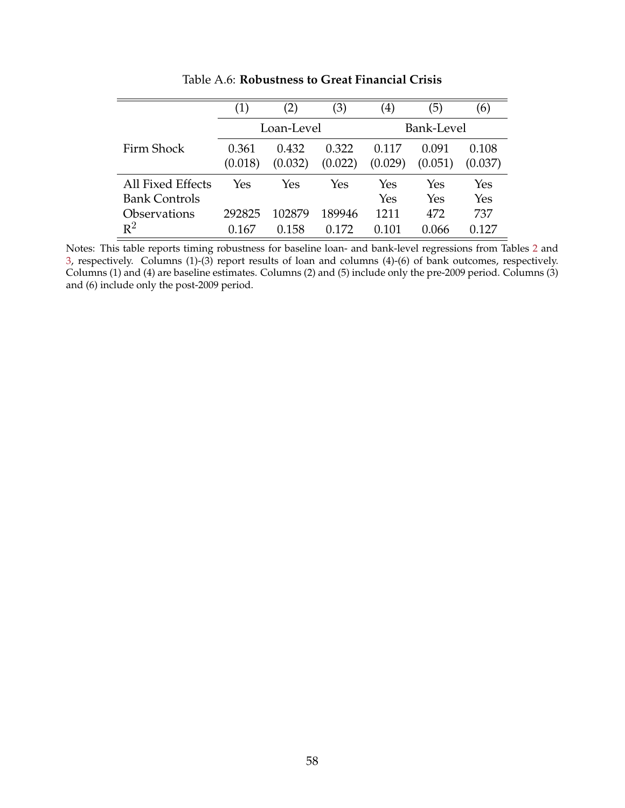<span id="page-58-0"></span>

|                      | $\left( 1\right)$ |            | (3)     | $\left( 4\right)$ | 5)      | (6)     |  |
|----------------------|-------------------|------------|---------|-------------------|---------|---------|--|
|                      |                   | Loan-Level |         | Bank-Level        |         |         |  |
| Firm Shock           | 0.361             | 0.432      | 0.322   | 0.117             | 0.091   | 0.108   |  |
|                      | (0.018)           | (0.032)    | (0.022) | (0.029)           | (0.051) | (0.037) |  |
| All Fixed Effects    | Yes               | Yes        | Yes     | Yes               | Yes     | Yes     |  |
| <b>Bank Controls</b> |                   |            |         | Yes               | Yes     | Yes     |  |
| Observations         | 292825            | 102879     | 189946  | 1211              | 472     | 737     |  |
| $R^2$                | .167              | 0.158      | 172     | 101               | 0.066   | 127     |  |

Table A.6: **Robustness to Great Financial Crisis**

Notes: This table reports timing robustness for baseline loan- and bank-level regressions from Tables [2](#page-18-2) and [3,](#page-21-0) respectively. Columns (1)-(3) report results of loan and columns (4)-(6) of bank outcomes, respectively. Columns (1) and (4) are baseline estimates. Columns (2) and (5) include only the pre-2009 period. Columns (3) and (6) include only the post-2009 period.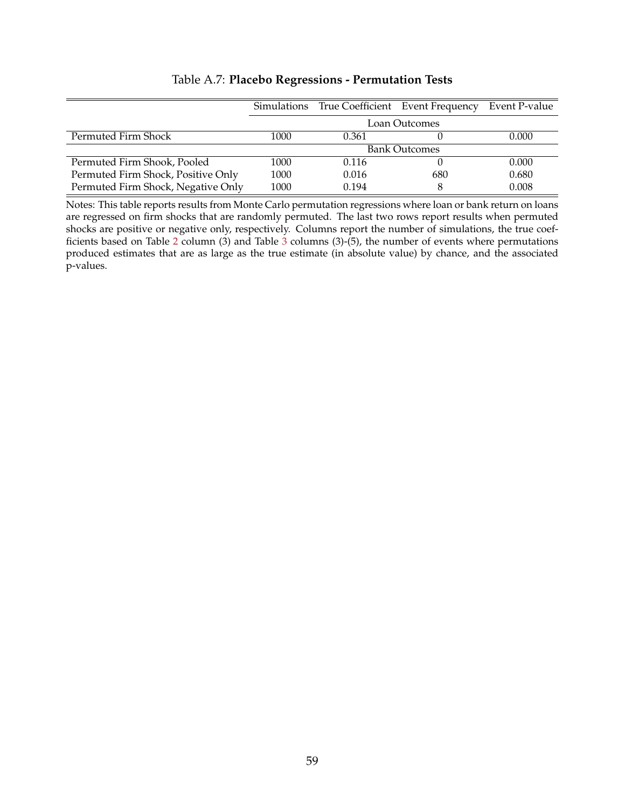<span id="page-59-0"></span>

|                                    | Simulations |       | True Coefficient Event Frequency | Event P-value |
|------------------------------------|-------------|-------|----------------------------------|---------------|
|                                    |             |       | Loan Outcomes                    |               |
| Permuted Firm Shock                | 1000        | 0.361 |                                  | 0.000         |
|                                    |             |       | <b>Bank Outcomes</b>             |               |
| Permuted Firm Shook, Pooled        | 1000        | 0.116 |                                  | 0.000         |
| Permuted Firm Shock, Positive Only | 1000        | 0.016 | 680                              | 0.680         |
| Permuted Firm Shock, Negative Only | 1000        | 0.194 | 8                                | 0.008         |

## Table A.7: **Placebo Regressions - Permutation Tests**

Notes: This table reports results from Monte Carlo permutation regressions where loan or bank return on loans are regressed on firm shocks that are randomly permuted. The last two rows report results when permuted shocks are positive or negative only, respectively. Columns report the number of simulations, the true coef-ficients based on Table [2](#page-18-2) column ([3](#page-21-0)) and Table  $\overline{3}$  columns (3)-(5), the number of events where permutations produced estimates that are as large as the true estimate (in absolute value) by chance, and the associated p-values.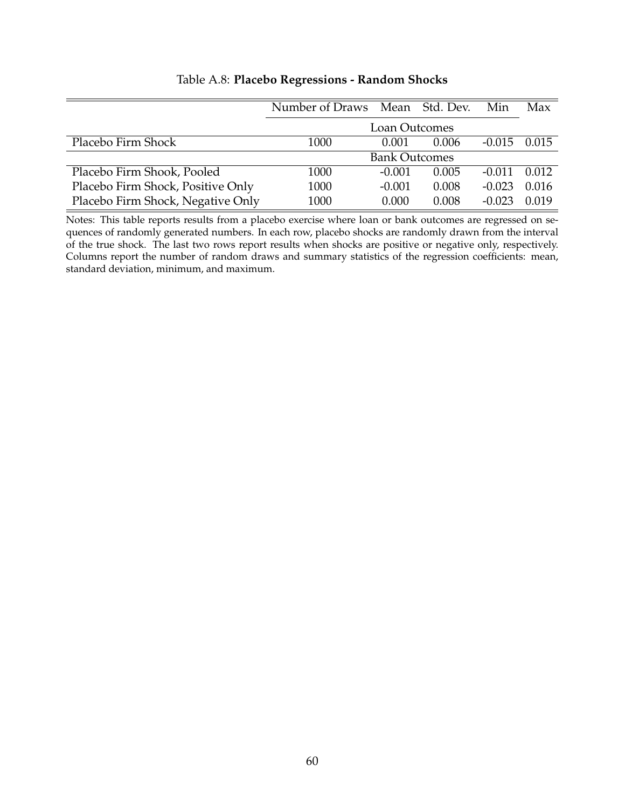<span id="page-60-0"></span>

|                                   | Number of Draws Mean Std. Dev. |          |       | Min      | Max   |  |
|-----------------------------------|--------------------------------|----------|-------|----------|-------|--|
|                                   | <b>Loan Outcomes</b>           |          |       |          |       |  |
| Placebo Firm Shock                | 1000                           | 0.001    | 0.006 | $-0.015$ | 0.015 |  |
|                                   | <b>Bank Outcomes</b>           |          |       |          |       |  |
| Placebo Firm Shook, Pooled        | 1000                           | $-0.001$ | 0.005 | $-0.011$ | 0.012 |  |
| Placebo Firm Shock, Positive Only | 1000                           | $-0.001$ | 0.008 | $-0.023$ | 0.016 |  |
| Placebo Firm Shock, Negative Only | 1000                           | 0.000    | 0.008 | $-0.023$ | 0.019 |  |

## Table A.8: **Placebo Regressions - Random Shocks**

Notes: This table reports results from a placebo exercise where loan or bank outcomes are regressed on sequences of randomly generated numbers. In each row, placebo shocks are randomly drawn from the interval of the true shock. The last two rows report results when shocks are positive or negative only, respectively. Columns report the number of random draws and summary statistics of the regression coefficients: mean, standard deviation, minimum, and maximum.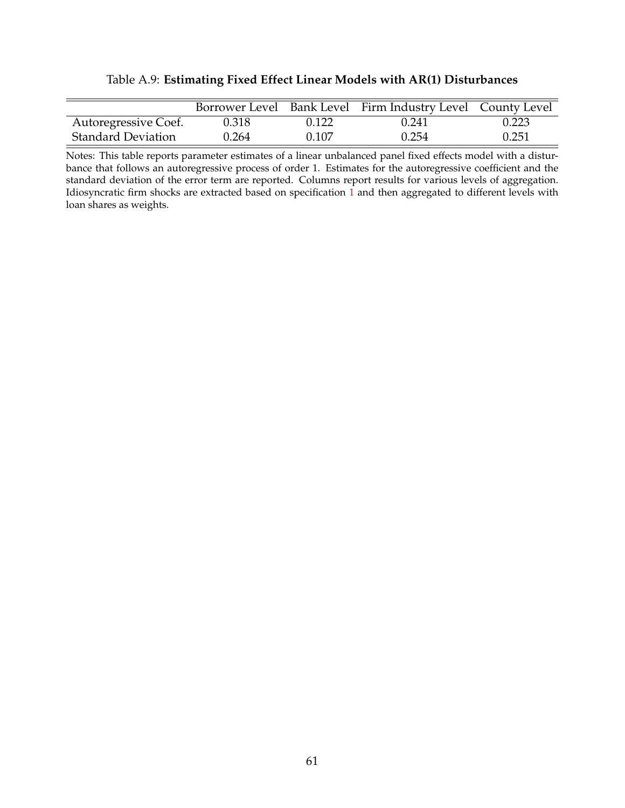|  |  |  | Table A.9: Estimating Fixed Effect Linear Models with AR(1) Disturbances |
|--|--|--|--------------------------------------------------------------------------|
|  |  |  |                                                                          |

<span id="page-61-0"></span>

|                           |       |       | Borrower Level Bank Level Firm Industry Level County Level |       |
|---------------------------|-------|-------|------------------------------------------------------------|-------|
| Autoregressive Coef.      | 0.318 | 0.122 | 0.241                                                      | 0.223 |
| <b>Standard Deviation</b> | 0.264 | 0.107 | 0.254                                                      | 0.251 |

Notes: This table reports parameter estimates of a linear unbalanced panel fixed effects model with a disturbance that follows an autoregressive process of order 1. Estimates for the autoregressive coefficient and the standard deviation of the error term are reported. Columns report results for various levels of aggregation. Idiosyncratic firm shocks are extracted based on specification [1](#page-12-0) and then aggregated to different levels with loan shares as weights.